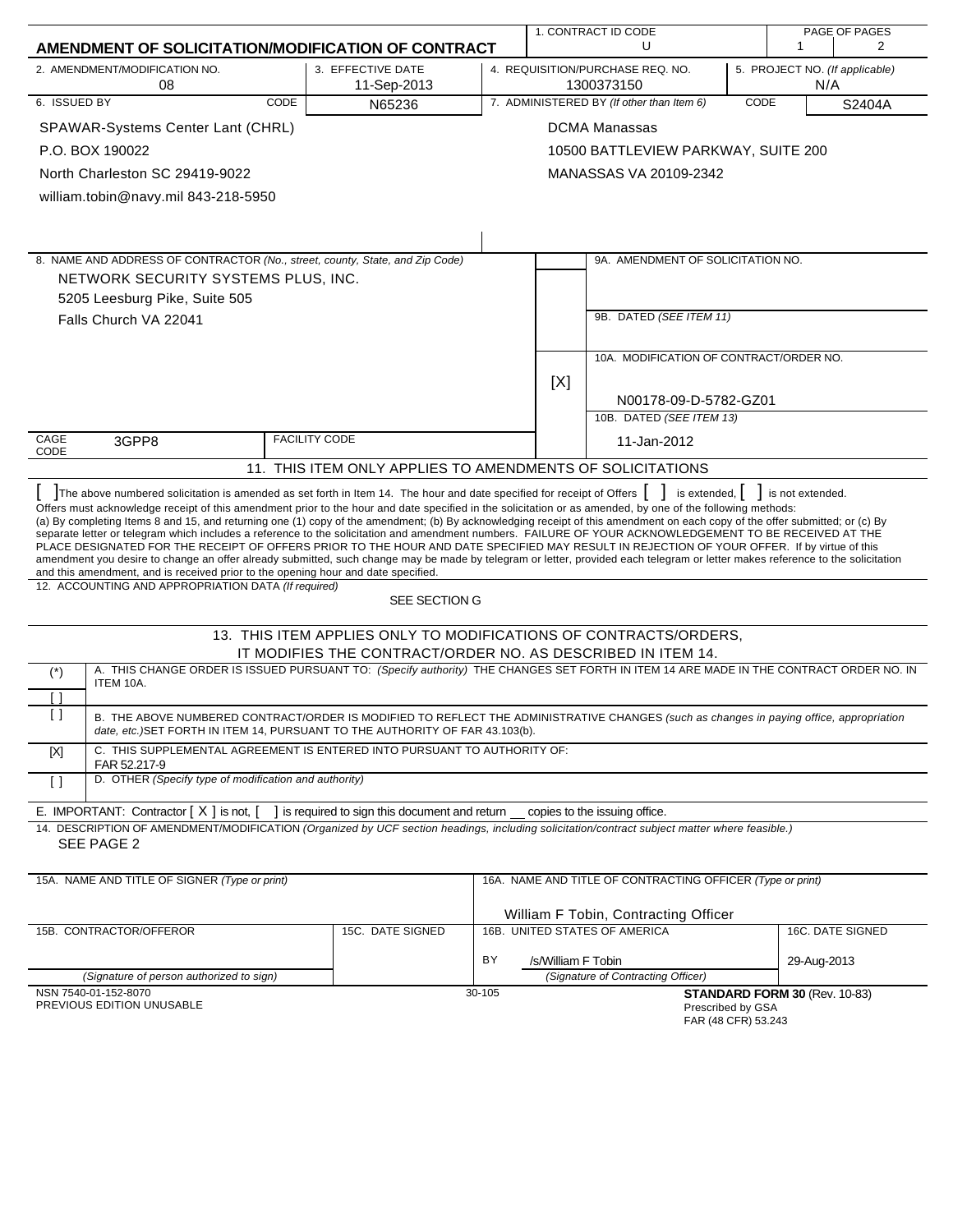|                                                                                                                                                                                                                                                                                                                                                                                                                                                                                                                                                                                                                                                                                                                                                                                                                                                                                                                                                                                                                                                      |                                                                                                                                 |        |                    | 1. CONTRACT ID CODE                                         |  |                                             | PAGE OF PAGES    |  |
|------------------------------------------------------------------------------------------------------------------------------------------------------------------------------------------------------------------------------------------------------------------------------------------------------------------------------------------------------------------------------------------------------------------------------------------------------------------------------------------------------------------------------------------------------------------------------------------------------------------------------------------------------------------------------------------------------------------------------------------------------------------------------------------------------------------------------------------------------------------------------------------------------------------------------------------------------------------------------------------------------------------------------------------------------|---------------------------------------------------------------------------------------------------------------------------------|--------|--------------------|-------------------------------------------------------------|--|---------------------------------------------|------------------|--|
| AMENDMENT OF SOLICITATION/MODIFICATION OF CONTRACT                                                                                                                                                                                                                                                                                                                                                                                                                                                                                                                                                                                                                                                                                                                                                                                                                                                                                                                                                                                                   |                                                                                                                                 |        |                    | U                                                           |  | $\mathbf 1$                                 | 2                |  |
| 2. AMENDMENT/MODIFICATION NO.<br>08                                                                                                                                                                                                                                                                                                                                                                                                                                                                                                                                                                                                                                                                                                                                                                                                                                                                                                                                                                                                                  | 3. EFFECTIVE DATE<br>11-Sep-2013                                                                                                |        |                    | 4. REQUISITION/PURCHASE REQ. NO.<br>1300373150              |  | 5. PROJECT NO. (If applicable)<br>N/A       |                  |  |
| 6. ISSUED BY<br>CODE                                                                                                                                                                                                                                                                                                                                                                                                                                                                                                                                                                                                                                                                                                                                                                                                                                                                                                                                                                                                                                 | N65236                                                                                                                          |        |                    | 7. ADMINISTERED BY (If other than Item 6)<br>CODE<br>S2404A |  |                                             |                  |  |
| SPAWAR-Systems Center Lant (CHRL)                                                                                                                                                                                                                                                                                                                                                                                                                                                                                                                                                                                                                                                                                                                                                                                                                                                                                                                                                                                                                    |                                                                                                                                 |        |                    | <b>DCMA Manassas</b>                                        |  |                                             |                  |  |
| P.O. BOX 190022                                                                                                                                                                                                                                                                                                                                                                                                                                                                                                                                                                                                                                                                                                                                                                                                                                                                                                                                                                                                                                      |                                                                                                                                 |        |                    | 10500 BATTLEVIEW PARKWAY, SUITE 200                         |  |                                             |                  |  |
| North Charleston SC 29419-9022                                                                                                                                                                                                                                                                                                                                                                                                                                                                                                                                                                                                                                                                                                                                                                                                                                                                                                                                                                                                                       |                                                                                                                                 |        |                    | MANASSAS VA 20109-2342                                      |  |                                             |                  |  |
| william.tobin@navy.mil 843-218-5950                                                                                                                                                                                                                                                                                                                                                                                                                                                                                                                                                                                                                                                                                                                                                                                                                                                                                                                                                                                                                  |                                                                                                                                 |        |                    |                                                             |  |                                             |                  |  |
|                                                                                                                                                                                                                                                                                                                                                                                                                                                                                                                                                                                                                                                                                                                                                                                                                                                                                                                                                                                                                                                      |                                                                                                                                 |        |                    |                                                             |  |                                             |                  |  |
|                                                                                                                                                                                                                                                                                                                                                                                                                                                                                                                                                                                                                                                                                                                                                                                                                                                                                                                                                                                                                                                      |                                                                                                                                 |        |                    |                                                             |  |                                             |                  |  |
| 8. NAME AND ADDRESS OF CONTRACTOR (No., street, county, State, and Zip Code)                                                                                                                                                                                                                                                                                                                                                                                                                                                                                                                                                                                                                                                                                                                                                                                                                                                                                                                                                                         |                                                                                                                                 |        |                    | 9A. AMENDMENT OF SOLICITATION NO.                           |  |                                             |                  |  |
| NETWORK SECURITY SYSTEMS PLUS, INC.                                                                                                                                                                                                                                                                                                                                                                                                                                                                                                                                                                                                                                                                                                                                                                                                                                                                                                                                                                                                                  |                                                                                                                                 |        |                    |                                                             |  |                                             |                  |  |
| 5205 Leesburg Pike, Suite 505                                                                                                                                                                                                                                                                                                                                                                                                                                                                                                                                                                                                                                                                                                                                                                                                                                                                                                                                                                                                                        |                                                                                                                                 |        |                    |                                                             |  |                                             |                  |  |
| Falls Church VA 22041                                                                                                                                                                                                                                                                                                                                                                                                                                                                                                                                                                                                                                                                                                                                                                                                                                                                                                                                                                                                                                |                                                                                                                                 |        |                    | 9B. DATED (SEE ITEM 11)                                     |  |                                             |                  |  |
|                                                                                                                                                                                                                                                                                                                                                                                                                                                                                                                                                                                                                                                                                                                                                                                                                                                                                                                                                                                                                                                      |                                                                                                                                 |        |                    |                                                             |  |                                             |                  |  |
|                                                                                                                                                                                                                                                                                                                                                                                                                                                                                                                                                                                                                                                                                                                                                                                                                                                                                                                                                                                                                                                      |                                                                                                                                 |        |                    | 10A. MODIFICATION OF CONTRACT/ORDER NO.                     |  |                                             |                  |  |
|                                                                                                                                                                                                                                                                                                                                                                                                                                                                                                                                                                                                                                                                                                                                                                                                                                                                                                                                                                                                                                                      |                                                                                                                                 |        | [X]                |                                                             |  |                                             |                  |  |
|                                                                                                                                                                                                                                                                                                                                                                                                                                                                                                                                                                                                                                                                                                                                                                                                                                                                                                                                                                                                                                                      |                                                                                                                                 |        |                    | N00178-09-D-5782-GZ01<br>10B. DATED (SEE ITEM 13)           |  |                                             |                  |  |
| CAGE<br>3GPP8                                                                                                                                                                                                                                                                                                                                                                                                                                                                                                                                                                                                                                                                                                                                                                                                                                                                                                                                                                                                                                        | <b>FACILITY CODE</b>                                                                                                            |        |                    | 11-Jan-2012                                                 |  |                                             |                  |  |
| CODE                                                                                                                                                                                                                                                                                                                                                                                                                                                                                                                                                                                                                                                                                                                                                                                                                                                                                                                                                                                                                                                 |                                                                                                                                 |        |                    |                                                             |  |                                             |                  |  |
|                                                                                                                                                                                                                                                                                                                                                                                                                                                                                                                                                                                                                                                                                                                                                                                                                                                                                                                                                                                                                                                      | 11. THIS ITEM ONLY APPLIES TO AMENDMENTS OF SOLICITATIONS                                                                       |        |                    |                                                             |  |                                             |                  |  |
| The above numbered solicitation is amended as set forth in Item 14. The hour and date specified for receipt of Offers<br>Offers must acknowledge receipt of this amendment prior to the hour and date specified in the solicitation or as amended, by one of the following methods:<br>(a) By completing Items 8 and 15, and returning one (1) copy of the amendment; (b) By acknowledging receipt of this amendment on each copy of the offer submitted; or (c) By<br>separate letter or telegram which includes a reference to the solicitation and amendment numbers. FAILURE OF YOUR ACKNOWLEDGEMENT TO BE RECEIVED AT THE<br>PLACE DESIGNATED FOR THE RECEIPT OF OFFERS PRIOR TO THE HOUR AND DATE SPECIFIED MAY RESULT IN REJECTION OF YOUR OFFER. If by virtue of this<br>amendment you desire to change an offer already submitted, such change may be made by telegram or letter, provided each telegram or letter makes reference to the solicitation<br>and this amendment, and is received prior to the opening hour and date specified. |                                                                                                                                 |        |                    |                                                             |  | is extended, $\vert \vert$ is not extended. |                  |  |
| 12. ACCOUNTING AND APPROPRIATION DATA (If required)                                                                                                                                                                                                                                                                                                                                                                                                                                                                                                                                                                                                                                                                                                                                                                                                                                                                                                                                                                                                  | SEE SECTION G                                                                                                                   |        |                    |                                                             |  |                                             |                  |  |
|                                                                                                                                                                                                                                                                                                                                                                                                                                                                                                                                                                                                                                                                                                                                                                                                                                                                                                                                                                                                                                                      |                                                                                                                                 |        |                    |                                                             |  |                                             |                  |  |
|                                                                                                                                                                                                                                                                                                                                                                                                                                                                                                                                                                                                                                                                                                                                                                                                                                                                                                                                                                                                                                                      | 13. THIS ITEM APPLIES ONLY TO MODIFICATIONS OF CONTRACTS/ORDERS,<br>IT MODIFIES THE CONTRACT/ORDER NO. AS DESCRIBED IN ITEM 14. |        |                    |                                                             |  |                                             |                  |  |
| A. THIS CHANGE ORDER IS ISSUED PURSUANT TO: (Specify authority) THE CHANGES SET FORTH IN ITEM 14 ARE MADE IN THE CONTRACT ORDER NO. IN<br>$(*)$                                                                                                                                                                                                                                                                                                                                                                                                                                                                                                                                                                                                                                                                                                                                                                                                                                                                                                      |                                                                                                                                 |        |                    |                                                             |  |                                             |                  |  |
| ITEM 10A.                                                                                                                                                                                                                                                                                                                                                                                                                                                                                                                                                                                                                                                                                                                                                                                                                                                                                                                                                                                                                                            |                                                                                                                                 |        |                    |                                                             |  |                                             |                  |  |
| Γl<br>$\lceil$ $\rceil$<br>B. THE ABOVE NUMBERED CONTRACT/ORDER IS MODIFIED TO REFLECT THE ADMINISTRATIVE CHANGES (such as changes in paying office, appropriation                                                                                                                                                                                                                                                                                                                                                                                                                                                                                                                                                                                                                                                                                                                                                                                                                                                                                   |                                                                                                                                 |        |                    |                                                             |  |                                             |                  |  |
| date, etc.) SET FORTH IN ITEM 14, PURSUANT TO THE AUTHORITY OF FAR 43.103(b).<br>C. THIS SUPPLEMENTAL AGREEMENT IS ENTERED INTO PURSUANT TO AUTHORITY OF:<br>[X]                                                                                                                                                                                                                                                                                                                                                                                                                                                                                                                                                                                                                                                                                                                                                                                                                                                                                     |                                                                                                                                 |        |                    |                                                             |  |                                             |                  |  |
| FAR 52.217-9                                                                                                                                                                                                                                                                                                                                                                                                                                                                                                                                                                                                                                                                                                                                                                                                                                                                                                                                                                                                                                         |                                                                                                                                 |        |                    |                                                             |  |                                             |                  |  |
| D. OTHER (Specify type of modification and authority)<br>$\Box$                                                                                                                                                                                                                                                                                                                                                                                                                                                                                                                                                                                                                                                                                                                                                                                                                                                                                                                                                                                      |                                                                                                                                 |        |                    |                                                             |  |                                             |                  |  |
| E. IMPORTANT: Contractor $[X]$ is not, $\begin{bmatrix} 1 \\ 1 \end{bmatrix}$ is required to sign this document and return copies to the issuing office.                                                                                                                                                                                                                                                                                                                                                                                                                                                                                                                                                                                                                                                                                                                                                                                                                                                                                             |                                                                                                                                 |        |                    |                                                             |  |                                             |                  |  |
| 14. DESCRIPTION OF AMENDMENT/MODIFICATION (Organized by UCF section headings, including solicitation/contract subject matter where feasible.)                                                                                                                                                                                                                                                                                                                                                                                                                                                                                                                                                                                                                                                                                                                                                                                                                                                                                                        |                                                                                                                                 |        |                    |                                                             |  |                                             |                  |  |
| SEE PAGE 2                                                                                                                                                                                                                                                                                                                                                                                                                                                                                                                                                                                                                                                                                                                                                                                                                                                                                                                                                                                                                                           |                                                                                                                                 |        |                    |                                                             |  |                                             |                  |  |
| 15A. NAME AND TITLE OF SIGNER (Type or print)                                                                                                                                                                                                                                                                                                                                                                                                                                                                                                                                                                                                                                                                                                                                                                                                                                                                                                                                                                                                        |                                                                                                                                 |        |                    | 16A. NAME AND TITLE OF CONTRACTING OFFICER (Type or print)  |  |                                             |                  |  |
|                                                                                                                                                                                                                                                                                                                                                                                                                                                                                                                                                                                                                                                                                                                                                                                                                                                                                                                                                                                                                                                      |                                                                                                                                 |        |                    | William F Tobin, Contracting Officer                        |  |                                             |                  |  |
| 15B. CONTRACTOR/OFFEROR                                                                                                                                                                                                                                                                                                                                                                                                                                                                                                                                                                                                                                                                                                                                                                                                                                                                                                                                                                                                                              | 15C. DATE SIGNED                                                                                                                |        |                    | 16B. UNITED STATES OF AMERICA                               |  |                                             | 16C. DATE SIGNED |  |
|                                                                                                                                                                                                                                                                                                                                                                                                                                                                                                                                                                                                                                                                                                                                                                                                                                                                                                                                                                                                                                                      |                                                                                                                                 |        |                    |                                                             |  |                                             |                  |  |
| (Signature of person authorized to sign)                                                                                                                                                                                                                                                                                                                                                                                                                                                                                                                                                                                                                                                                                                                                                                                                                                                                                                                                                                                                             |                                                                                                                                 | BY     | /s/William F Tobin | (Signature of Contracting Officer)                          |  | 29-Aug-2013                                 |                  |  |
| NSN 7540-01-152-8070                                                                                                                                                                                                                                                                                                                                                                                                                                                                                                                                                                                                                                                                                                                                                                                                                                                                                                                                                                                                                                 |                                                                                                                                 | 30-105 |                    |                                                             |  | STANDARD FORM 30 (Rev. 10-83)               |                  |  |
| PREVIOUS EDITION UNUSABLE                                                                                                                                                                                                                                                                                                                                                                                                                                                                                                                                                                                                                                                                                                                                                                                                                                                                                                                                                                                                                            |                                                                                                                                 |        |                    | Prescribed by GSA<br>FAR (48 CFR) 53.243                    |  |                                             |                  |  |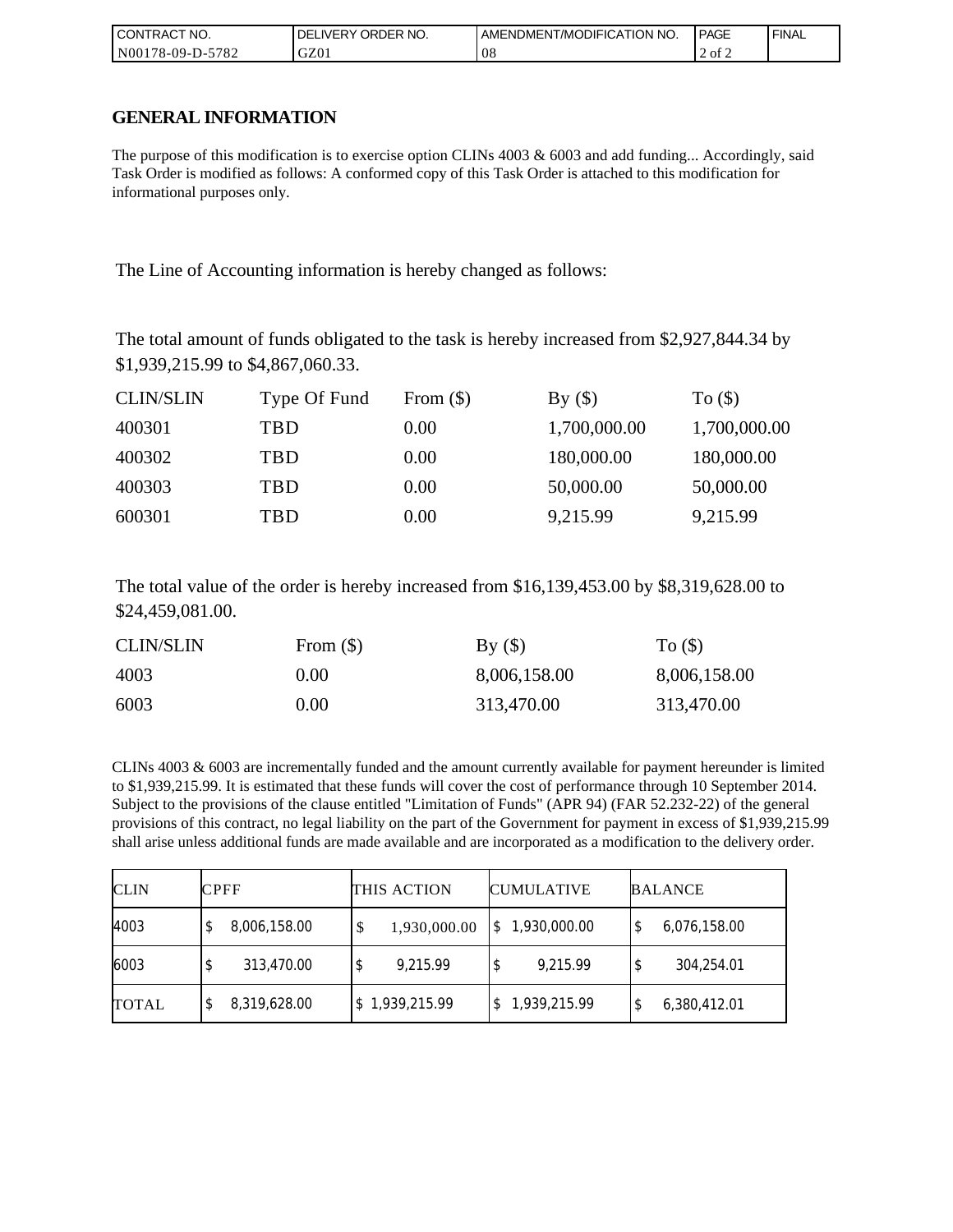| <b>CONTRACT NO.</b>  | NO.<br>ORDER<br><b>DELIVERY</b> | AMENDMENT/MODIFICATION NO. | PAGE   | ' FINAL |
|----------------------|---------------------------------|----------------------------|--------|---------|
| N00178-09-D-<br>5782 | GZ01                            | 08                         | 2 of 2 |         |

## **GENERAL INFORMATION**

The purpose of this modification is to exercise option CLINs 4003 & 6003 and add funding... Accordingly, said Task Order is modified as follows: A conformed copy of this Task Order is attached to this modification for informational purposes only.

The Line of Accounting information is hereby changed as follows:

The total amount of funds obligated to the task is hereby increased from \$2,927,844.34 by \$1,939,215.99 to \$4,867,060.33.

| <b>CLIN/SLIN</b> | Type Of Fund | From $(\$)$ | By()         | To $($ )     |
|------------------|--------------|-------------|--------------|--------------|
| 400301           | <b>TBD</b>   | 0.00        | 1,700,000.00 | 1,700,000.00 |
| 400302           | <b>TBD</b>   | 0.00        | 180,000.00   | 180,000.00   |
| 400303           | <b>TBD</b>   | 0.00        | 50,000.00    | 50,000.00    |
| 600301           | <b>TBD</b>   | 0.00        | 9,215.99     | 9,215.99     |

The total value of the order is hereby increased from \$16,139,453.00 by \$8,319,628.00 to \$24,459,081.00.

| <b>CLIN/SLIN</b> | From $(\$)$ | By()         | To $($ )     |
|------------------|-------------|--------------|--------------|
| 4003             | 0.00        | 8,006,158.00 | 8,006,158.00 |
| 6003             | 0.00        | 313,470.00   | 313,470.00   |

CLINs 4003 & 6003 are incrementally funded and the amount currently available for payment hereunder is limited to \$1,939,215.99. It is estimated that these funds will cover the cost of performance through 10 September 2014. Subject to the provisions of the clause entitled "Limitation of Funds" (APR 94) (FAR 52.232-22) of the general provisions of this contract, no legal liability on the part of the Government for payment in excess of \$1,939,215.99 shall arise unless additional funds are made available and are incorporated as a modification to the delivery order.

| <b>CLIN</b>  | <b>CPFF</b>        | ITHIS ACTION   | <b>CUMULATIVE</b> | <b>BALANCE</b>     |
|--------------|--------------------|----------------|-------------------|--------------------|
| 4003         | 8,006,158.00<br>\$ | 1,930,000.00   | 1,930,000.00      | 6,076,158.00<br>\$ |
| 6003         | 313,470.00<br>P    | 9,215.99       | 9,215.99<br>S     | 304,254.01<br>\$   |
| <b>TOTAL</b> | 8,319,628.00<br>\$ | \$1,939,215.99 | 1,939,215.99      | 6,380,412.01<br>\$ |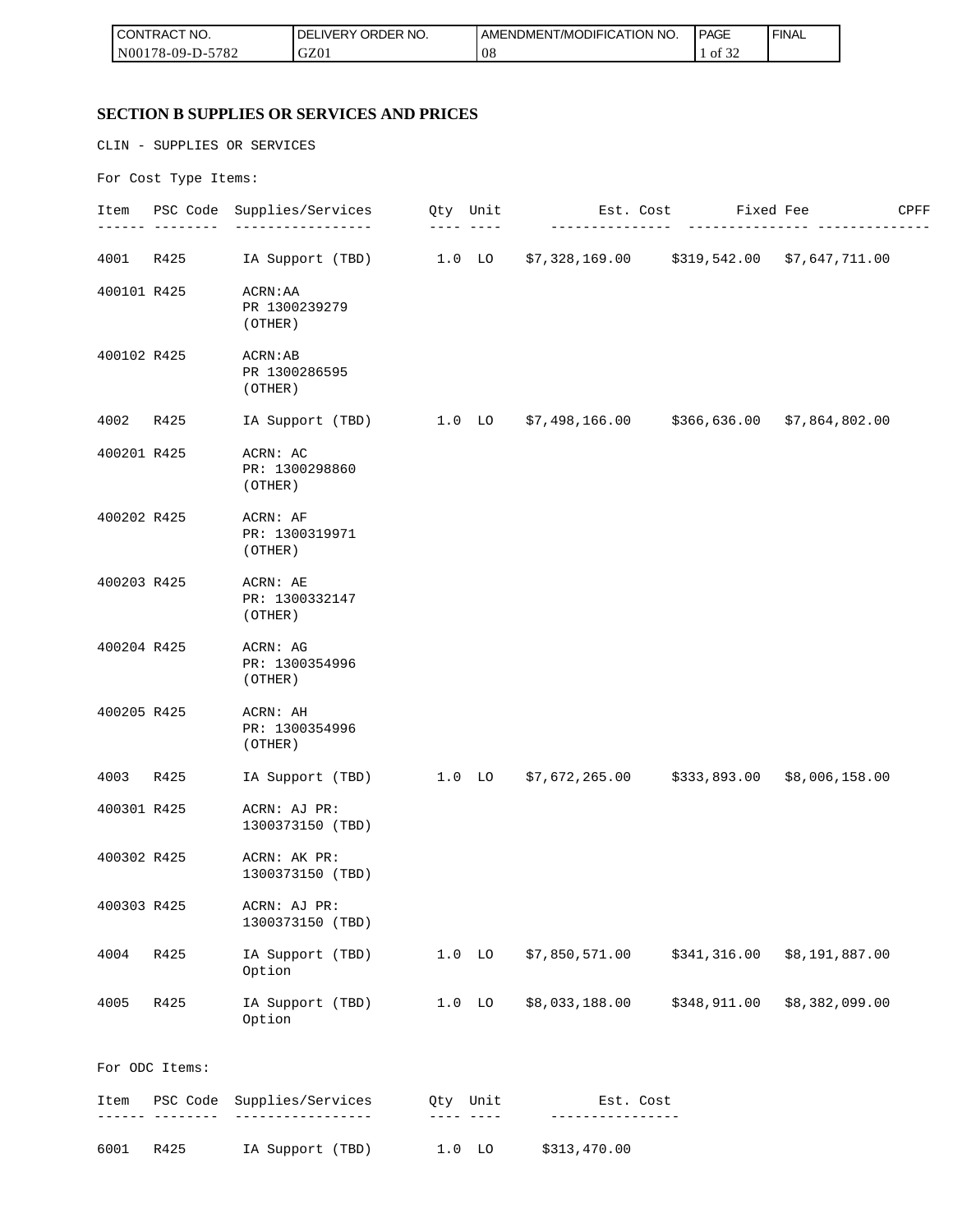| I CONTRACT NO.                           | ORDER NO.<br><b>DELIVERY</b> | I AMENDMENT/MODIFICATION NO. | PAGE                | ' FINAL |
|------------------------------------------|------------------------------|------------------------------|---------------------|---------|
| 570 <sup>o</sup><br>N00178-09-D-5<br>104 | GZ01                         | ' 08                         | $c \wedge$<br>of 32 |         |

# **SECTION B SUPPLIES OR SERVICES AND PRICES**

|             | CONTRACT NO.<br>N00178-09-D-5782 |                                       | DELIVERY ORDER NO.<br>GZ01                       | 08 | AMENDMENT/MODIFICATION NO.                                                       | PAGE<br>1 of 32 | <b>FINAL</b> |      |
|-------------|----------------------------------|---------------------------------------|--------------------------------------------------|----|----------------------------------------------------------------------------------|-----------------|--------------|------|
|             |                                  |                                       | <b>SECTION B SUPPLIES OR SERVICES AND PRICES</b> |    |                                                                                  |                 |              |      |
|             |                                  | CLIN - SUPPLIES OR SERVICES           |                                                  |    |                                                                                  |                 |              |      |
|             |                                  |                                       |                                                  |    |                                                                                  |                 |              |      |
|             | For Cost Type Items:             |                                       |                                                  |    |                                                                                  |                 |              |      |
|             |                                  |                                       |                                                  |    | Item PSC Code Supplies/Services Qty Unit Nest. Cost Fixed Fee<br>--------------- |                 |              | CPFF |
| 4001        | R425                             |                                       |                                                  |    | IA Support (TBD) 1.0 LO \$7,328,169.00 \$319,542.00 \$7,647,711.00               |                 |              |      |
| 400101 R425 |                                  | ACRN: AA<br>PR 1300239279<br>(OTHER)  |                                                  |    |                                                                                  |                 |              |      |
| 400102 R425 |                                  | ACRN:AB<br>PR 1300286595<br>(OTHER)   |                                                  |    |                                                                                  |                 |              |      |
| 4002        | R425                             |                                       |                                                  |    | IA Support (TBD) 1.0 LO \$7,498,166.00 \$366,636.00 \$7,864,802.00               |                 |              |      |
| 400201 R425 |                                  | ACRN: AC<br>PR: 1300298860<br>(OTHER) |                                                  |    |                                                                                  |                 |              |      |
| 400202 R425 |                                  | ACRN: AF<br>PR: 1300319971<br>(OTHER) |                                                  |    |                                                                                  |                 |              |      |
| 400203 R425 |                                  | ACRN: AE<br>PR: 1300332147<br>(OTHER) |                                                  |    |                                                                                  |                 |              |      |
| 400204 R425 |                                  | ACRN: AG<br>PR: 1300354996<br>(OTHER) |                                                  |    |                                                                                  |                 |              |      |
| 400205 R425 |                                  | ACRN: AH<br>PR: 1300354996<br>(OTHER) |                                                  |    |                                                                                  |                 |              |      |
| 4003        | R425                             |                                       |                                                  |    | IA Support (TBD) 1.0 LO \$7,672,265.00 \$333,893.00 \$8,006,158.00               |                 |              |      |
| 400301 R425 |                                  | ACRN: AJ PR:                          | 1300373150 (TBD)                                 |    |                                                                                  |                 |              |      |
| 400302 R425 |                                  | ACRN: AK PR:                          | 1300373150 (TBD)                                 |    |                                                                                  |                 |              |      |
| 400303 R425 |                                  | ACRN: AJ PR:                          | 1300373150 (TBD)                                 |    |                                                                                  |                 |              |      |
| 4004        | R425                             | Option                                | IA Support (TBD)                                 |    | 1.0 LO \$7,850,571.00 \$341,316.00 \$8,191,887.00                                |                 |              |      |
| 4005        | R425                             | Option                                | IA Support (TBD)                                 |    | 1.0 LO $$8,033,188.00$ $$348,911.00$ $$8,382,099.00$                             |                 |              |      |
|             | For ODC Items:                   |                                       |                                                  |    |                                                                                  |                 |              |      |
|             | ----- --------                   | -----------------                     | Item PSC Code Supplies/Services Qty Unit         |    | Est. Cost<br>----------------                                                    |                 |              |      |
| 6001        | R425                             |                                       | IA Support (TBD)                                 |    | 1.0 LO \$313,470.00                                                              |                 |              |      |

| 6001 R425 |  | IA Support (TBD) | $1.0$ LO | \$313,470.00 |
|-----------|--|------------------|----------|--------------|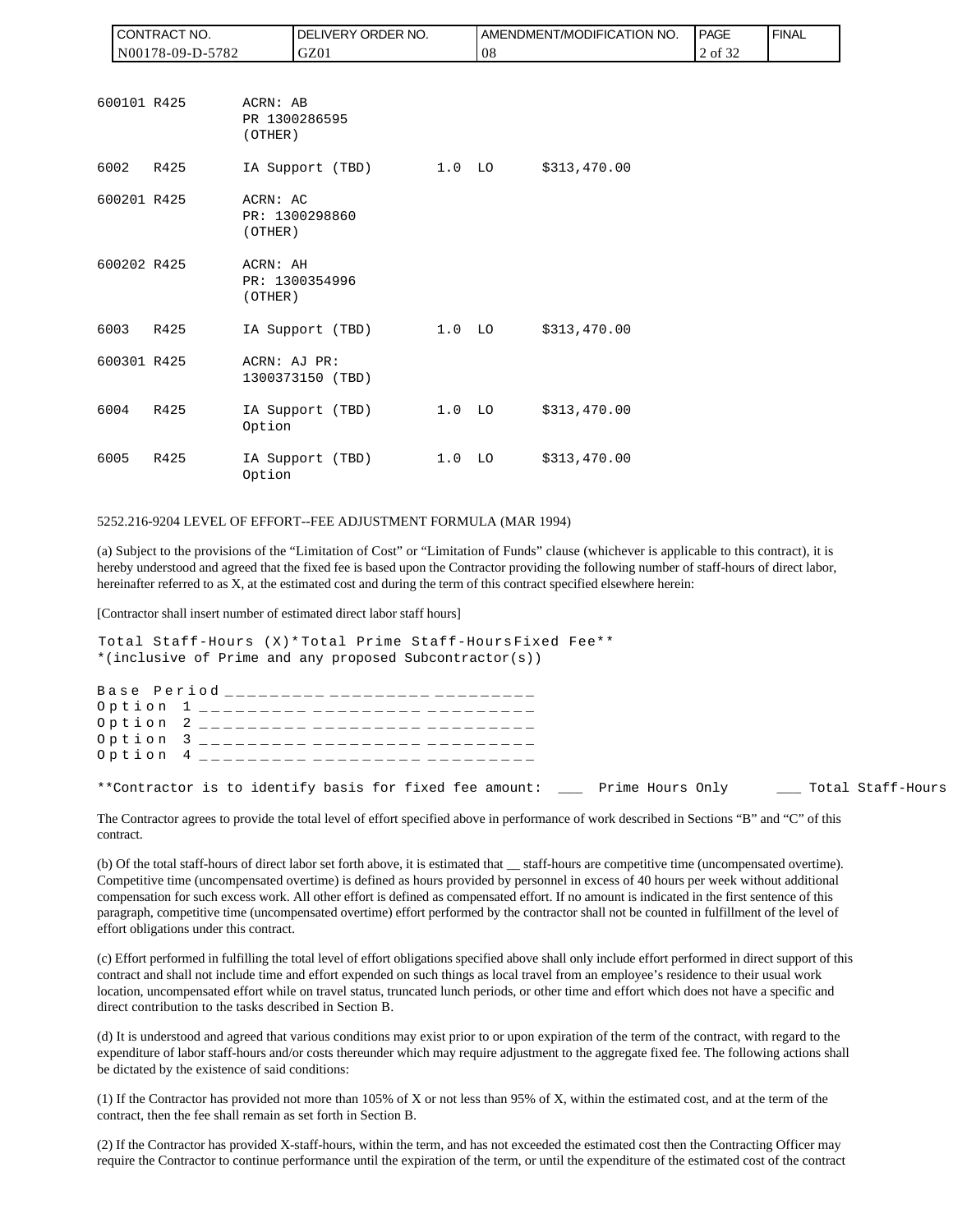|      | CONTRACT NO.     |                     | DELIVERY ORDER NO. |                   |    | AMENDMENT/MODIFICATION NO. | <b>PAGE</b> | <b>FINAL</b> |
|------|------------------|---------------------|--------------------|-------------------|----|----------------------------|-------------|--------------|
|      | N00178-09-D-5782 |                     | GZ01               |                   | 08 |                            | 2 of 32     |              |
|      | 600101 R425      | ACRN: AB<br>(OTHER) | PR 1300286595      |                   |    |                            |             |              |
| 6002 | R425             |                     | IA Support (TBD)   | $1.0$ LO          |    | \$313,470.00               |             |              |
|      | 600201 R425      | ACRN: AC<br>(OTHER) | PR: 1300298860     |                   |    |                            |             |              |
|      | 600202 R425      | ACRN: AH<br>(OTHER) | PR: 1300354996     |                   |    |                            |             |              |
| 6003 | R425             |                     | IA Support (TBD)   | $1.0$ LO          |    | \$313,470.00               |             |              |
|      | 600301 R425      | ACRN: AJ PR:        | 1300373150 (TBD)   |                   |    |                            |             |              |
| 6004 | R425             | Option              | IA Support (TBD)   | 1.0 <sub>LO</sub> |    | \$313,470.00               |             |              |
| 6005 | R425             | Option              | IA Support (TBD)   | $1.0$ LO          |    | \$313,470.00               |             |              |

#### 5252.216-9204 LEVEL OF EFFORT--FEE ADJUSTMENT FORMULA (MAR 1994)

(a) Subject to the provisions of the "Limitation of Cost" or "Limitation of Funds" clause (whichever is applicable to this contract), it is hereby understood and agreed that the fixed fee is based upon the Contractor providing the following number of staff-hours of direct labor, hereinafter referred to as X, at the estimated cost and during the term of this contract specified elsewhere herein:

[Contractor shall insert number of estimated direct labor staff hours]

Total Staff-Hours (X)\* Total Prime Staff-Hours Fixed Fee\*\* \*(inclusive of Prime and any proposed Subcontractor(s)) Base Period \_\_\_\_\_\_\_\_\_ \_\_\_\_\_\_\_\_\_ \_\_\_\_\_\_ Option 1 \_\_\_\_\_\_\_\_\_ \_\_\_\_\_\_\_\_\_ \_\_\_\_\_\_\_ Option 2 \_\_\_\_\_\_\_\_\_ \_\_\_\_\_\_\_\_\_ \_\_\_\_\_\_ Option 3 \_\_\_\_\_\_\_\_\_ \_\_\_\_\_\_\_\_\_ \_\_\_\_\_\_\_ Option 4 \_\_\_\_\_\_\_\_\_ \_\_\_\_\_\_\_\_\_ \_\_\_\_\_\_\_\_ \*\*Contractor is to identify basis for fixed fee amount: \_\_\_ Prime Hours Only \_\_\_\_ Total Staff-Hours

The Contractor agrees to provide the total level of effort specified above in performance of work described in Sections "B" and "C" of this contract.

(b) Of the total staff-hours of direct labor set forth above, it is estimated that \_\_ staff-hours are competitive time (uncompensated overtime). Competitive time (uncompensated overtime) is defined as hours provided by personnel in excess of 40 hours per week without additional compensation for such excess work. All other effort is defined as compensated effort. If no amount is indicated in the first sentence of this paragraph, competitive time (uncompensated overtime) effort performed by the contractor shall not be counted in fulfillment of the level of effort obligations under this contract.

(c) Effort performed in fulfilling the total level of effort obligations specified above shall only include effort performed in direct support of this contract and shall not include time and effort expended on such things as local travel from an employee's residence to their usual work location, uncompensated effort while on travel status, truncated lunch periods, or other time and effort which does not have a specific and direct contribution to the tasks described in Section B.

(d) It is understood and agreed that various conditions may exist prior to or upon expiration of the term of the contract, with regard to the expenditure of labor staff-hours and/or costs thereunder which may require adjustment to the aggregate fixed fee. The following actions shall be dictated by the existence of said conditions:

(1) If the Contractor has provided not more than 105% of X or not less than 95% of X, within the estimated cost, and at the term of the contract, then the fee shall remain as set forth in Section B.

(2) If the Contractor has provided X-staff-hours, within the term, and has not exceeded the estimated cost then the Contracting Officer may require the Contractor to continue performance until the expiration of the term, or until the expenditure of the estimated cost of the contract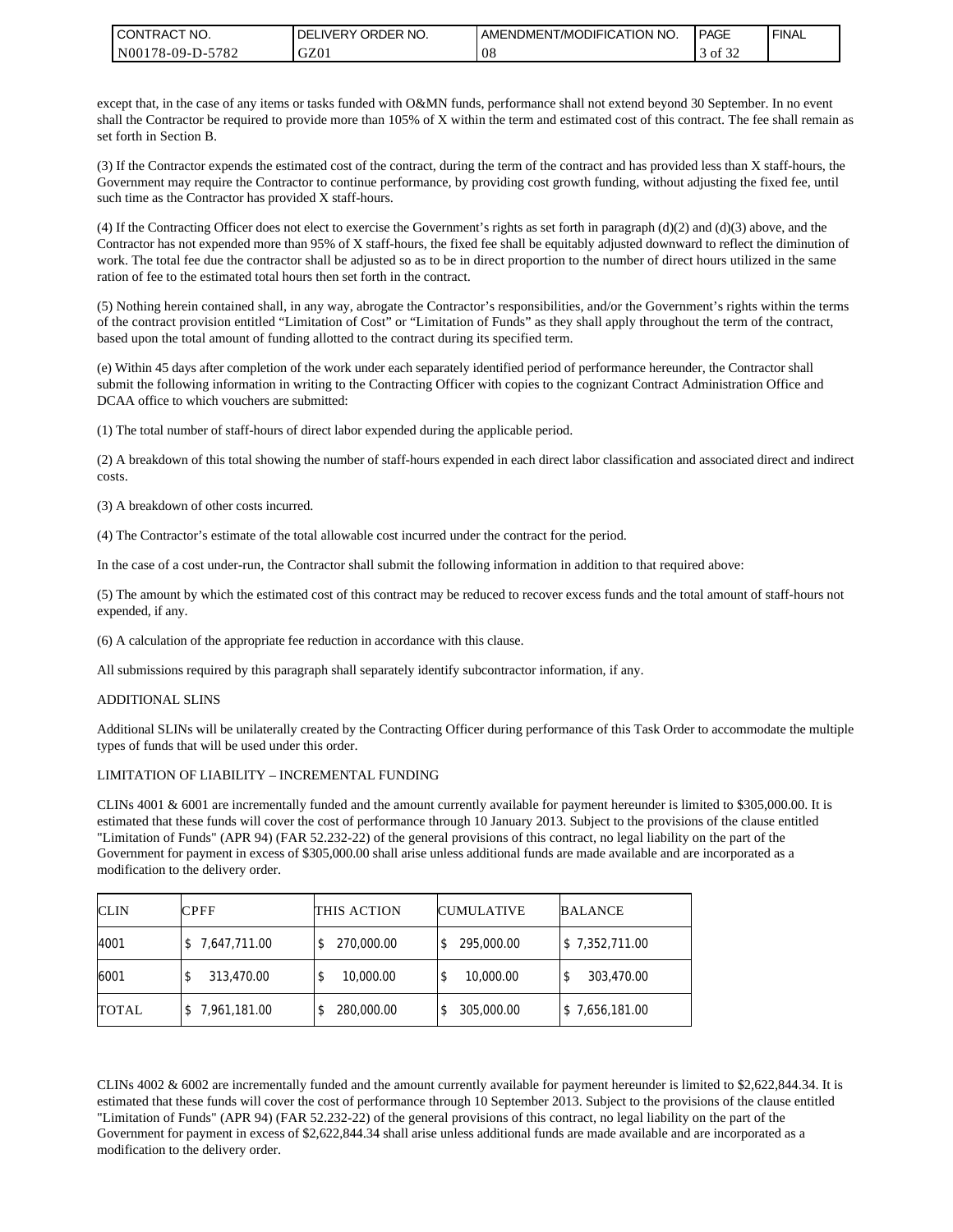| <b>NTRACT NO.</b><br>I CON | ORDER<br>NO.<br><b>DELIVERY</b> | I AMENDMENT/MODIFICATION NO. | PAGE                              | ' FINAL |
|----------------------------|---------------------------------|------------------------------|-----------------------------------|---------|
| $N00178-09-D$ -<br>5782    | GZ01                            | ΩÇ<br>v.                     | $\sim$ $\sim$ $\sim$<br>ΟĪ<br>ے ر |         |

except that, in the case of any items or tasks funded with O&MN funds, performance shall not extend beyond 30 September. In no event shall the Contractor be required to provide more than 105% of X within the term and estimated cost of this contract. The fee shall remain as set forth in Section B.

(3) If the Contractor expends the estimated cost of the contract, during the term of the contract and has provided less than X staff-hours, the Government may require the Contractor to continue performance, by providing cost growth funding, without adjusting the fixed fee, until such time as the Contractor has provided X staff-hours.

(4) If the Contracting Officer does not elect to exercise the Government's rights as set forth in paragraph (d)(2) and (d)(3) above, and the Contractor has not expended more than 95% of X staff-hours, the fixed fee shall be equitably adjusted downward to reflect the diminution of work. The total fee due the contractor shall be adjusted so as to be in direct proportion to the number of direct hours utilized in the same ration of fee to the estimated total hours then set forth in the contract.

(5) Nothing herein contained shall, in any way, abrogate the Contractor's responsibilities, and/or the Government's rights within the terms of the contract provision entitled "Limitation of Cost" or "Limitation of Funds" as they shall apply throughout the term of the contract, based upon the total amount of funding allotted to the contract during its specified term.

(e) Within 45 days after completion of the work under each separately identified period of performance hereunder, the Contractor shall submit the following information in writing to the Contracting Officer with copies to the cognizant Contract Administration Office and DCAA office to which vouchers are submitted:

(1) The total number of staff-hours of direct labor expended during the applicable period.

(2) A breakdown of this total showing the number of staff-hours expended in each direct labor classification and associated direct and indirect costs.

(3) A breakdown of other costs incurred.

(4) The Contractor's estimate of the total allowable cost incurred under the contract for the period.

In the case of a cost under-run, the Contractor shall submit the following information in addition to that required above:

(5) The amount by which the estimated cost of this contract may be reduced to recover excess funds and the total amount of staff-hours not expended, if any.

(6) A calculation of the appropriate fee reduction in accordance with this clause.

All submissions required by this paragraph shall separately identify subcontractor information, if any.

#### ADDITIONAL SLINS

Additional SLINs will be unilaterally created by the Contracting Officer during performance of this Task Order to accommodate the multiple types of funds that will be used under this order.

#### LIMITATION OF LIABILITY – INCREMENTAL FUNDING

CLINs 4001 & 6001 are incrementally funded and the amount currently available for payment hereunder is limited to \$305,000.00. It is estimated that these funds will cover the cost of performance through 10 January 2013. Subject to the provisions of the clause entitled "Limitation of Funds" (APR 94) (FAR 52.232-22) of the general provisions of this contract, no legal liability on the part of the Government for payment in excess of \$305,000.00 shall arise unless additional funds are made available and are incorporated as a modification to the delivery order.

| <b>CLIN</b>  | <b>CPFF</b>  | THIS ACTION     | <b>CUMULATIVE</b> | <b>BALANCE</b> |
|--------------|--------------|-----------------|-------------------|----------------|
| 4001         | 7,647,711.00 | 270,000.00      | 295,000.00        | \$7,352,711.00 |
| 6001         | 313,470.00   | 10,000.00<br>\$ | 10,000.00         | 303,470.00     |
| <b>TOTAL</b> | 7,961,181.00 | 280,000.00<br>S | 305,000.00        | \$7,656,181.00 |

CLINs 4002 & 6002 are incrementally funded and the amount currently available for payment hereunder is limited to \$2,622,844.34. It is estimated that these funds will cover the cost of performance through 10 September 2013. Subject to the provisions of the clause entitled "Limitation of Funds" (APR 94) (FAR 52.232-22) of the general provisions of this contract, no legal liability on the part of the Government for payment in excess of \$2,622,844.34 shall arise unless additional funds are made available and are incorporated as a modification to the delivery order.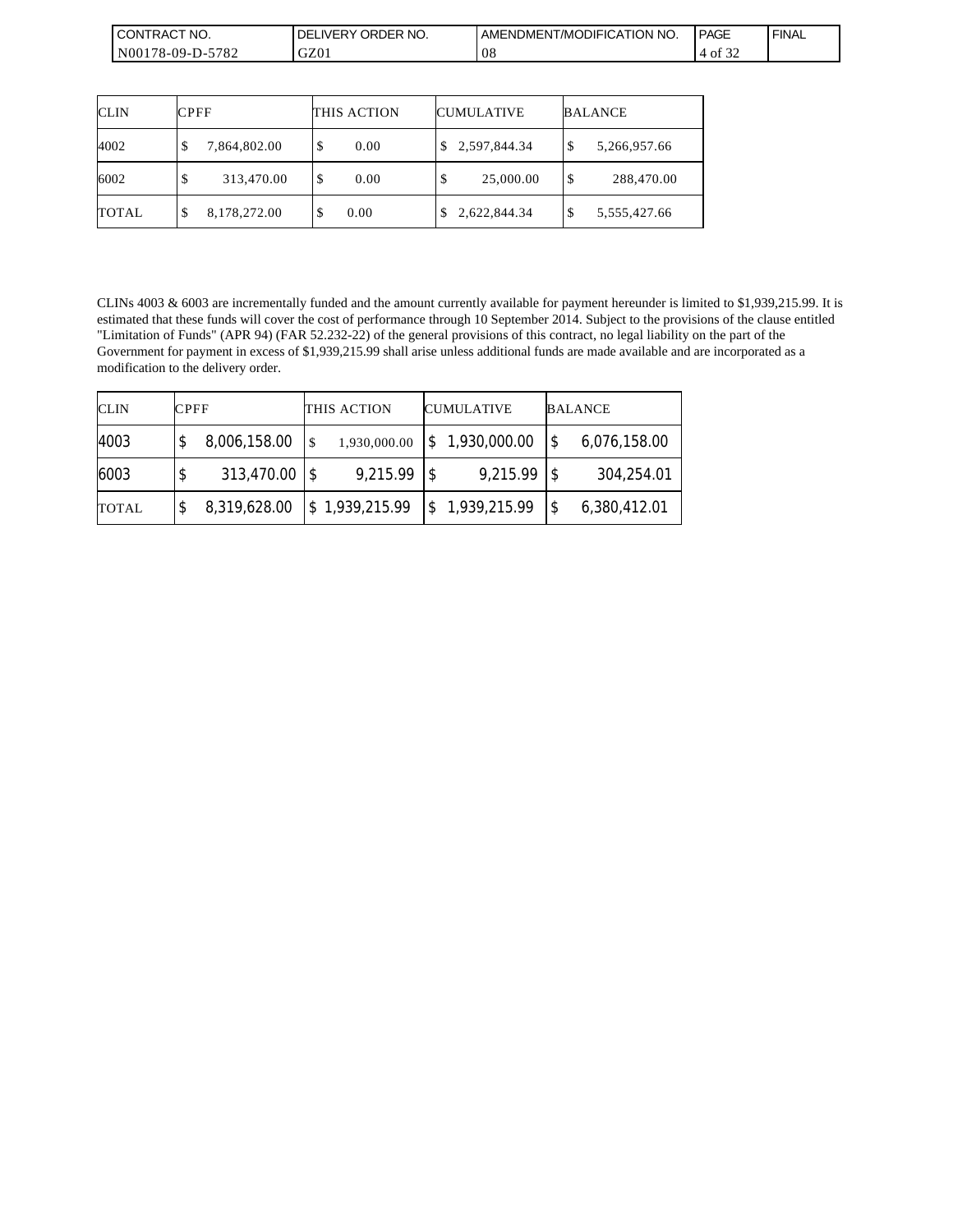| <b>I CONTRACT NO.</b> | I DELIVERY ORDER NO. | AMENDMENT/MODIFICATION NO. | I PAGE                | ' FINAL |
|-----------------------|----------------------|----------------------------|-----------------------|---------|
| 5782<br>N00178-09-D-5 | GZ01                 | 08                         | 0.25<br>' 4 of<br>ے ر |         |

| <b>CLIN</b>  | CPFF              | THIS ACTION | <b>CUMULATIVE</b>             | <b>BALANCE</b>     |
|--------------|-------------------|-------------|-------------------------------|--------------------|
| 4002         | 7,864,802.00      | 0.00<br>S   | 2,597,844.34<br><sup>\$</sup> | 5,266,957.66<br>S  |
| 6002         | 313,470.00<br>D   | 0.00<br>J   | 25,000.00<br>\$               | \$<br>288,470.00   |
| <b>TOTAL</b> | 8,178,272.00<br>D | 0.00<br>D   | 2,622,844.34                  | 5,555,427.66<br>\$ |

CLINs 4003 & 6003 are incrementally funded and the amount currently available for payment hereunder is limited to \$1,939,215.99. It is estimated that these funds will cover the cost of performance through 10 September 2014. Subject to the provisions of the clause entitled "Limitation of Funds" (APR 94) (FAR 52.232-22) of the general provisions of this contract, no legal liability on the part of the Government for payment in excess of \$1,939,215.99 shall arise unless additional funds are made available and are incorporated as a modification to the delivery order.

| <b>CLIN</b>  | <b>CPFF</b> |              |               | THIS ACTION                | <b>CUMULATIVE</b> |    | <b>BALANCE</b> |
|--------------|-------------|--------------|---------------|----------------------------|-------------------|----|----------------|
| 4003         |             | 8,006,158.00 | <sup>\$</sup> | 1,930,000.00               | \$1,930,000.00    | \$ | 6,076,158.00   |
| 6003         |             | 313,470.00   |               | 9,215.99                   | 9,215.99          |    | 304,254.01     |
| <b>TOTAL</b> |             | 8,319,628.00 |               | $\frac{1}{2}$ 1,939,215.99 | 1,939,215.99      | -S | 6,380,412.01   |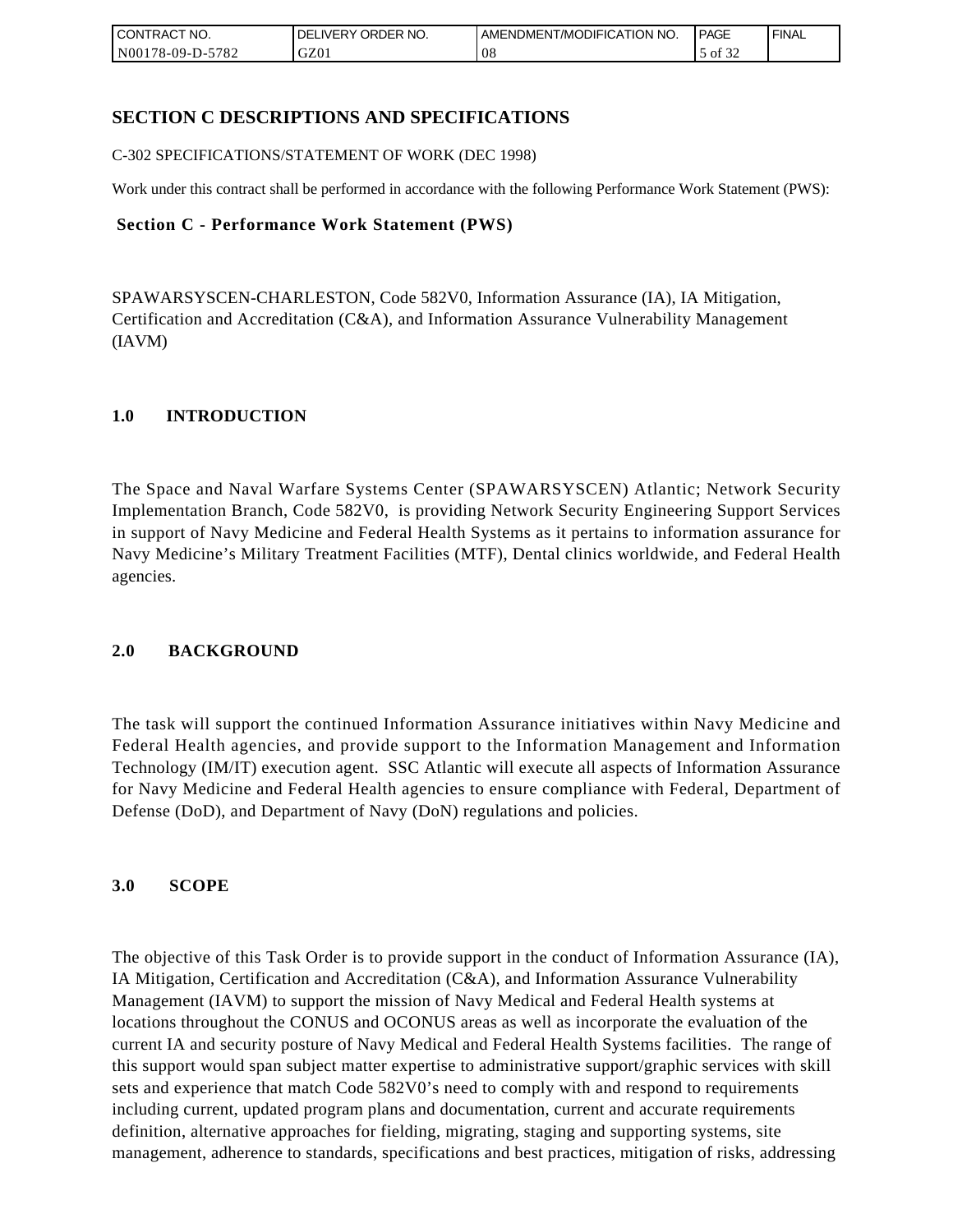| <b>CONTRACT NO.</b>                 | NO.<br>ORDER <sup>'</sup><br><b>DELIVERY</b> | AMENDMENT/MODIFICATION NO. | PAGE                   | ' FINAL |
|-------------------------------------|----------------------------------------------|----------------------------|------------------------|---------|
| N001<br>-5782<br>$178 - 09 - D - 5$ | GZ01                                         | 08                         | $\sim$ $\sim$<br>of 32 |         |

## **SECTION C DESCRIPTIONS AND SPECIFICATIONS**

C-302 SPECIFICATIONS/STATEMENT OF WORK (DEC 1998)

Work under this contract shall be performed in accordance with the following Performance Work Statement (PWS):

#### **Section C - Performance Work Statement (PWS)**

SPAWARSYSCEN-CHARLESTON, Code 582V0, Information Assurance (IA), IA Mitigation, Certification and Accreditation (C&A), and Information Assurance Vulnerability Management (IAVM)

## **1.0 INTRODUCTION**

The Space and Naval Warfare Systems Center (SPAWARSYSCEN) Atlantic; Network Security Implementation Branch, Code 582V0, is providing Network Security Engineering Support Services in support of Navy Medicine and Federal Health Systems as it pertains to information assurance for Navy Medicine's Military Treatment Facilities (MTF), Dental clinics worldwide, and Federal Health agencies.

## **2.0 BACKGROUND**

The task will support the continued Information Assurance initiatives within Navy Medicine and Federal Health agencies, and provide support to the Information Management and Information Technology (IM/IT) execution agent. SSC Atlantic will execute all aspects of Information Assurance for Navy Medicine and Federal Health agencies to ensure compliance with Federal, Department of Defense (DoD), and Department of Navy (DoN) regulations and policies.

## **3.0 SCOPE**

The objective of this Task Order is to provide support in the conduct of Information Assurance (IA), IA Mitigation, Certification and Accreditation (C&A), and Information Assurance Vulnerability Management (IAVM) to support the mission of Navy Medical and Federal Health systems at locations throughout the CONUS and OCONUS areas as well as incorporate the evaluation of the current IA and security posture of Navy Medical and Federal Health Systems facilities. The range of this support would span subject matter expertise to administrative support/graphic services with skill sets and experience that match Code 582V0's need to comply with and respond to requirements including current, updated program plans and documentation, current and accurate requirements definition, alternative approaches for fielding, migrating, staging and supporting systems, site management, adherence to standards, specifications and best practices, mitigation of risks, addressing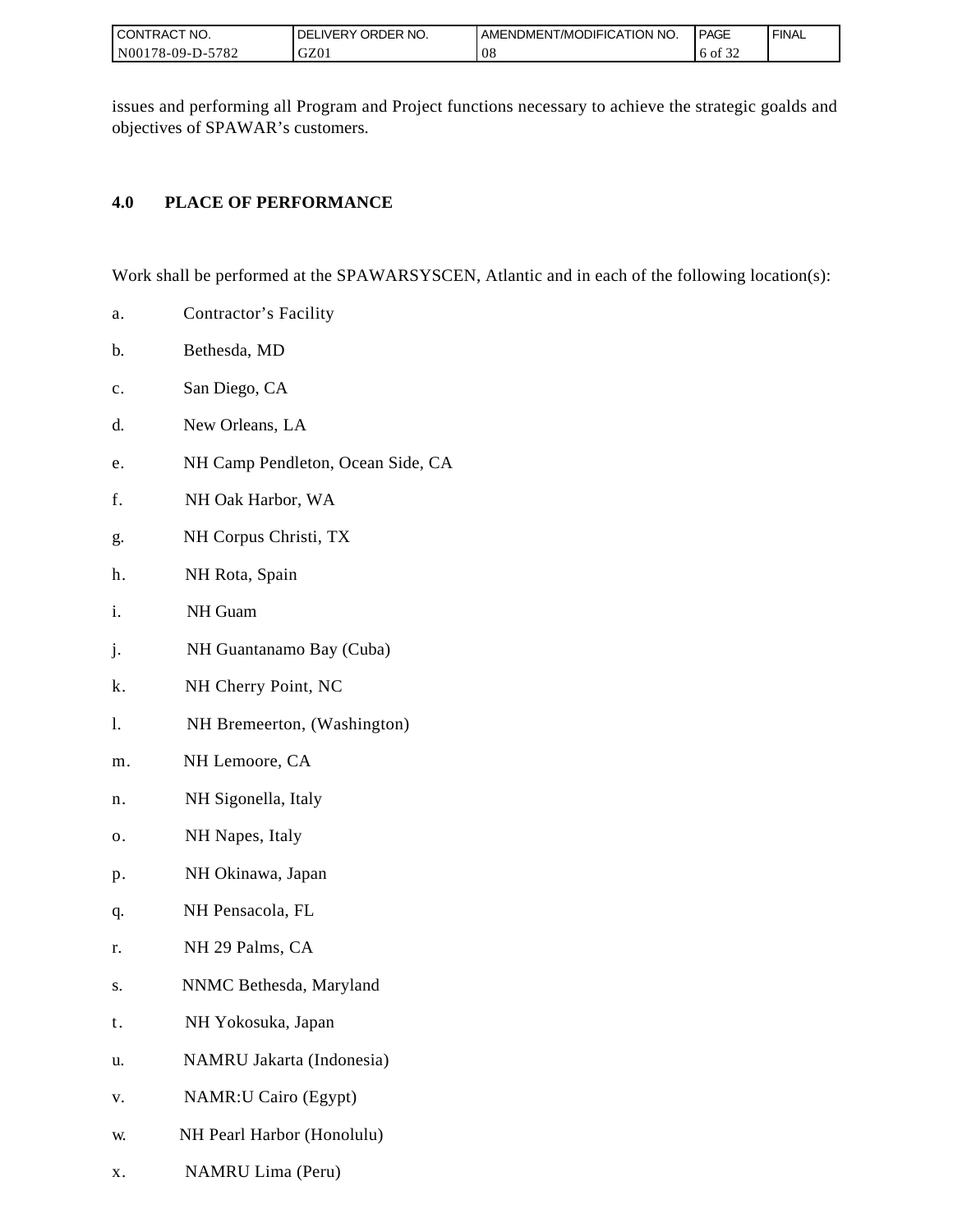| I CONTRACT NO.           | ORDER NO.<br>DELIVERY . | I AMENDMENT/MODIFICATION NO. | PAGE                   | ' FINAL |
|--------------------------|-------------------------|------------------------------|------------------------|---------|
| N00178-09-D-5<br>$-5782$ | GZ01                    | 08                           | 0.22<br>ΟĪ<br>.<br>ے ر |         |

issues and performing all Program and Project functions necessary to achieve the strategic goalds and objectives of SPAWAR's customers.

## **4.0 PLACE OF PERFORMANCE**

Work shall be performed at the SPAWARSYSCEN, Atlantic and in each of the following location(s):

- a. Contractor's Facility
- b. Bethesda, MD
- c. San Diego, CA
- d. New Orleans, LA
- e. NH Camp Pendleton, Ocean Side, CA
- f. NH Oak Harbor, WA
- g. NH Corpus Christi, TX
- h. NH Rota, Spain
- i. NH Guam
- j. NH Guantanamo Bay (Cuba)
- k. NH Cherry Point, NC
- l. NH Bremeerton, (Washington)
- m. NH Lemoore, CA
- n. NH Sigonella, Italy
- o. NH Napes, Italy
- p. NH Okinawa, Japan
- q. NH Pensacola, FL
- r. NH 29 Palms, CA
- s. NNMC Bethesda, Maryland
- t. NH Yokosuka, Japan
- u. NAMRU Jakarta (Indonesia)
- v. NAMR:U Cairo (Egypt)
- w. NH Pearl Harbor (Honolulu)
- x. NAMRU Lima (Peru)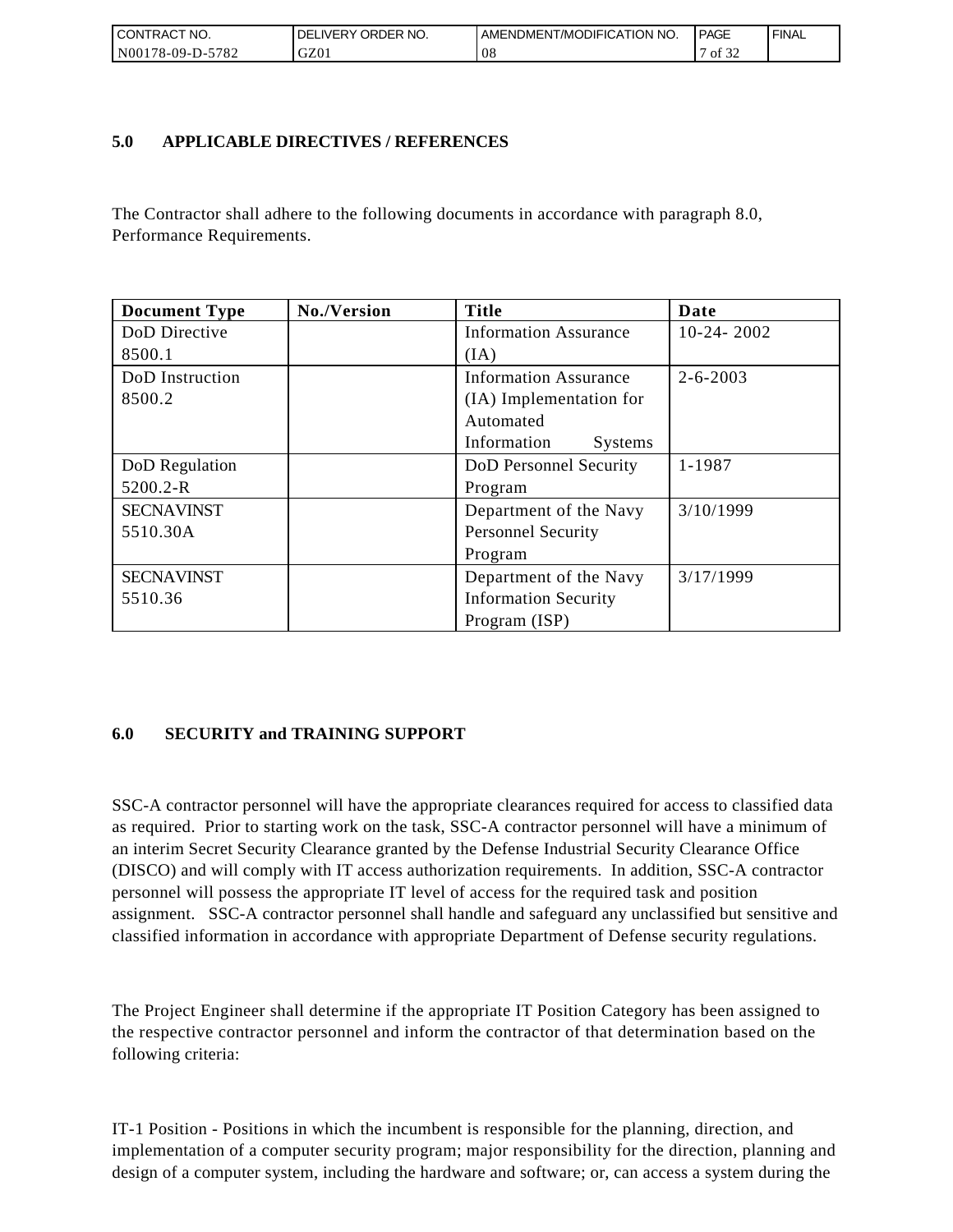| <b>CONTRACT NO.</b>               | NO.<br>ORDER <sup>'</sup><br><b>DELIVERY</b> | AMENDMENT/MODIFICATION NO. | PAGE                       | ' FINAL |
|-----------------------------------|----------------------------------------------|----------------------------|----------------------------|---------|
| N001<br>-5782<br>$178 - 09 - D -$ | GZ01                                         | 08                         | $\sim$ $\sim$<br>οt<br>ے ر |         |

## **5.0 APPLICABLE DIRECTIVES / REFERENCES**

The Contractor shall adhere to the following documents in accordance with paragraph 8.0, Performance Requirements.

| <b>Document Type</b> | No./Version | <b>Title</b>                  | Date           |
|----------------------|-------------|-------------------------------|----------------|
| DoD Directive        |             | <b>Information Assurance</b>  | $10-24-2002$   |
| 8500.1               |             | (IA)                          |                |
| DoD Instruction      |             | <b>Information Assurance</b>  | $2 - 6 - 2003$ |
| 8500.2               |             | (IA) Implementation for       |                |
|                      |             | Automated                     |                |
|                      |             | Information<br><b>Systems</b> |                |
| DoD Regulation       |             | DoD Personnel Security        | 1-1987         |
| 5200.2-R             |             | Program                       |                |
| <b>SECNAVINST</b>    |             | Department of the Navy        | 3/10/1999      |
| 5510.30A             |             | <b>Personnel Security</b>     |                |
|                      |             | Program                       |                |
| <b>SECNAVINST</b>    |             | Department of the Navy        | 3/17/1999      |
| 5510.36              |             | <b>Information Security</b>   |                |
|                      |             | Program (ISP)                 |                |

## **6.0 SECURITY and TRAINING SUPPORT**

SSC-A contractor personnel will have the appropriate clearances required for access to classified data as required. Prior to starting work on the task, SSC-A contractor personnel will have a minimum of an interim Secret Security Clearance granted by the Defense Industrial Security Clearance Office (DISCO) and will comply with IT access authorization requirements. In addition, SSC-A contractor personnel will possess the appropriate IT level of access for the required task and position assignment. SSC-A contractor personnel shall handle and safeguard any unclassified but sensitive and classified information in accordance with appropriate Department of Defense security regulations.

The Project Engineer shall determine if the appropriate IT Position Category has been assigned to the respective contractor personnel and inform the contractor of that determination based on the following criteria:

IT-1 Position - Positions in which the incumbent is responsible for the planning, direction, and implementation of a computer security program; major responsibility for the direction, planning and design of a computer system, including the hardware and software; or, can access a system during the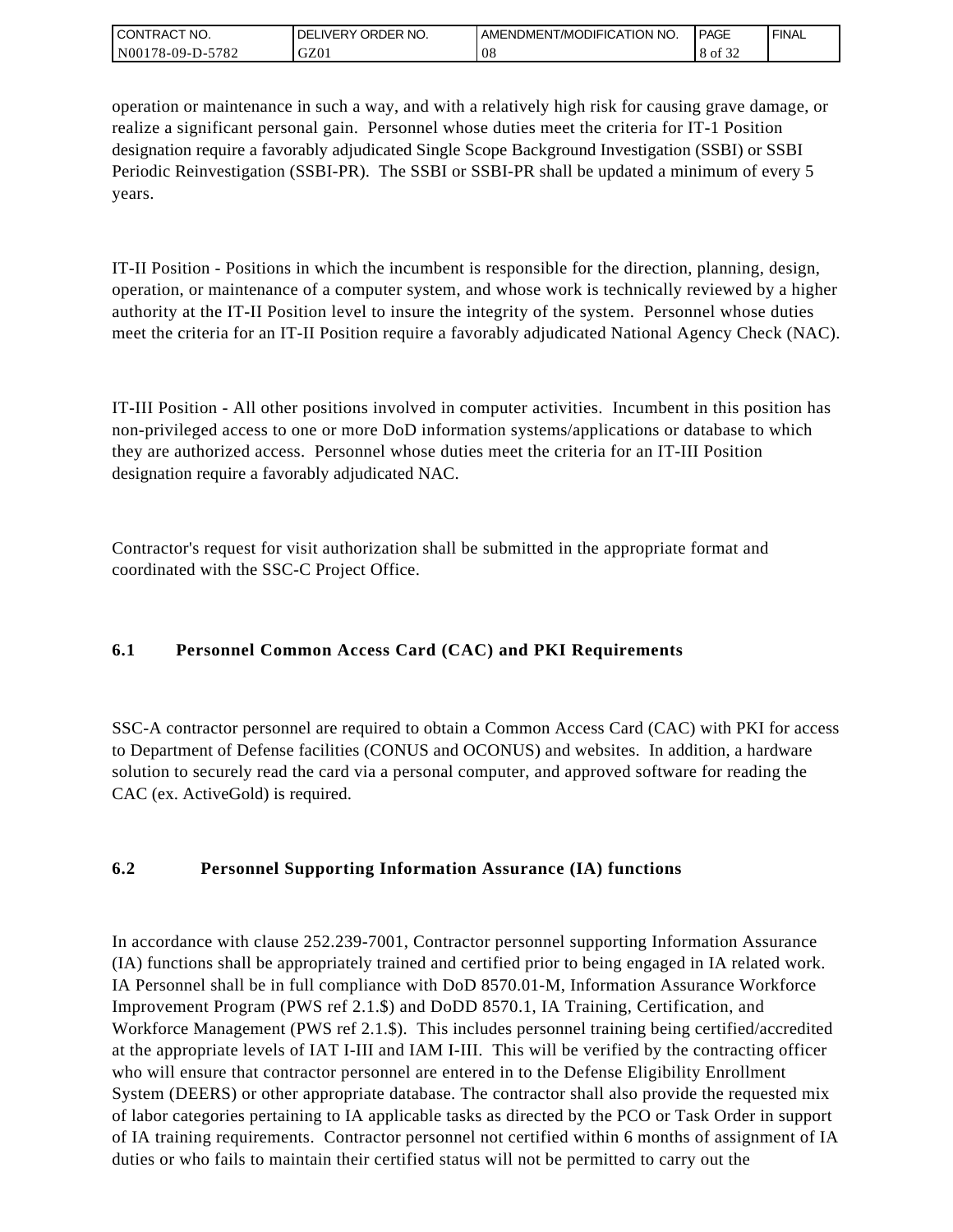| <b>CONTRACT NO.</b>   | ' ORDER NO.<br><b>IVERY</b><br>DELI | I AMENDMENT/MODIFICATION NO. | <b>PAGE</b> | ' FINAL |
|-----------------------|-------------------------------------|------------------------------|-------------|---------|
| N00178-09-D-5<br>5782 | GZ01                                | 08                           | 8 of<br>ے ر |         |

operation or maintenance in such a way, and with a relatively high risk for causing grave damage, or realize a significant personal gain. Personnel whose duties meet the criteria for IT-1 Position designation require a favorably adjudicated Single Scope Background Investigation (SSBI) or SSBI Periodic Reinvestigation (SSBI-PR). The SSBI or SSBI-PR shall be updated a minimum of every 5 years.

IT-II Position - Positions in which the incumbent is responsible for the direction, planning, design, operation, or maintenance of a computer system, and whose work is technically reviewed by a higher authority at the IT-II Position level to insure the integrity of the system. Personnel whose duties meet the criteria for an IT-II Position require a favorably adjudicated National Agency Check (NAC).

IT-III Position - All other positions involved in computer activities. Incumbent in this position has non-privileged access to one or more DoD information systems/applications or database to which they are authorized access. Personnel whose duties meet the criteria for an IT-III Position designation require a favorably adjudicated NAC.

Contractor's request for visit authorization shall be submitted in the appropriate format and coordinated with the SSC-C Project Office.

# **6.1 Personnel Common Access Card (CAC) and PKI Requirements**

SSC-A contractor personnel are required to obtain a Common Access Card (CAC) with PKI for access to Department of Defense facilities (CONUS and OCONUS) and websites. In addition, a hardware solution to securely read the card via a personal computer, and approved software for reading the CAC (ex. ActiveGold) is required.

## **6.2 Personnel Supporting Information Assurance (IA) functions**

In accordance with clause 252.239-7001, Contractor personnel supporting Information Assurance (IA) functions shall be appropriately trained and certified prior to being engaged in IA related work. IA Personnel shall be in full compliance with DoD 8570.01-M, Information Assurance Workforce Improvement Program (PWS ref 2.1.\$) and DoDD 8570.1, IA Training, Certification, and Workforce Management (PWS ref 2.1.\$). This includes personnel training being certified/accredited at the appropriate levels of IAT I-III and IAM I-III. This will be verified by the contracting officer who will ensure that contractor personnel are entered in to the Defense Eligibility Enrollment System (DEERS) or other appropriate database. The contractor shall also provide the requested mix of labor categories pertaining to IA applicable tasks as directed by the PCO or Task Order in support of IA training requirements. Contractor personnel not certified within 6 months of assignment of IA duties or who fails to maintain their certified status will not be permitted to carry out the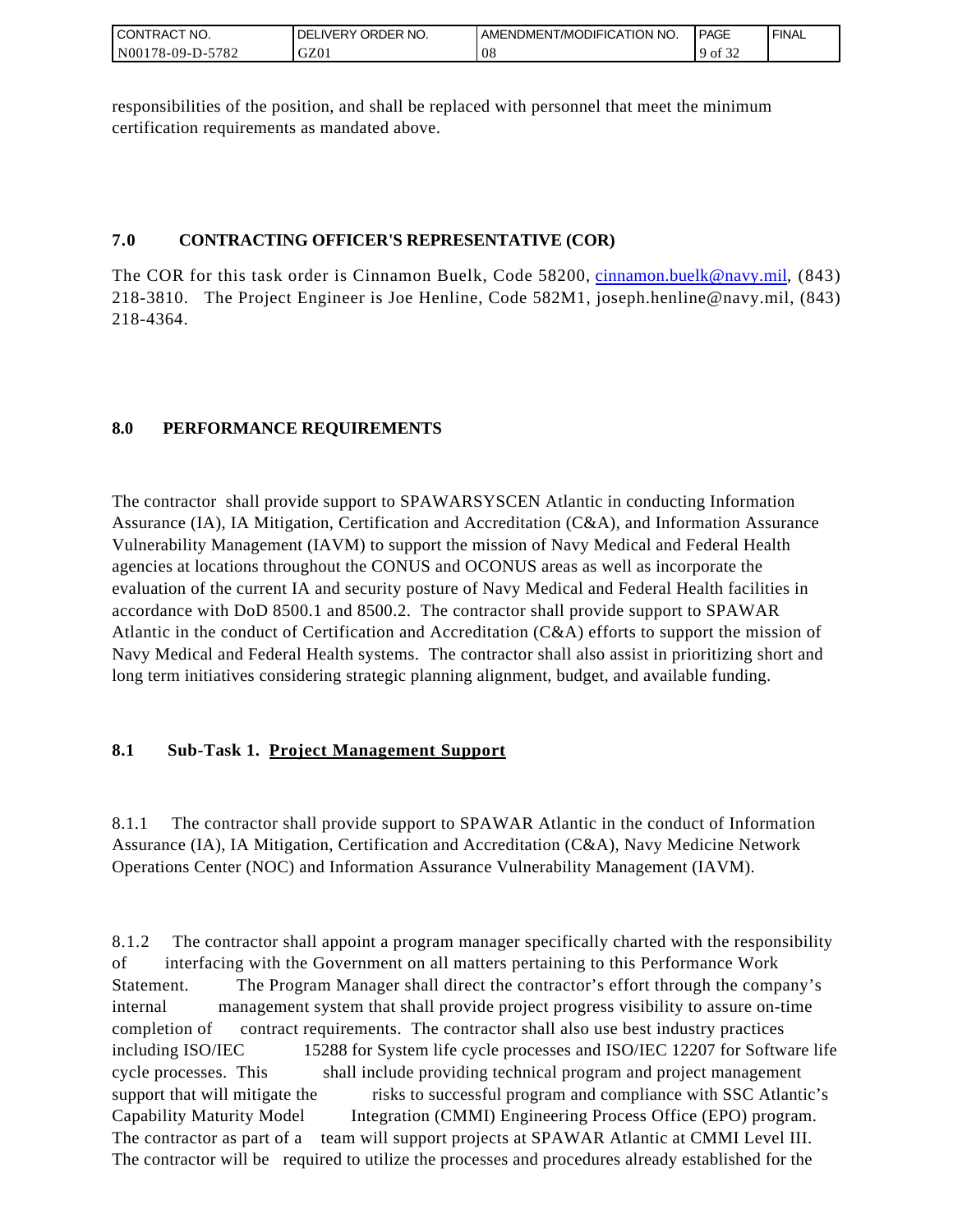| <b>CONTRACT NO.</b>                       | ORDER<br>NO.<br><b>DELIVERY</b> | AMENDMENT/MODIFICATION NO. | <b>PAGE</b>         | ' FINAL |
|-------------------------------------------|---------------------------------|----------------------------|---------------------|---------|
| N00 <sub>1</sub><br>-5782<br>$178-09-D$ - | GZ01                            | 08                         | 0.25<br>$9$ of $34$ |         |

responsibilities of the position, and shall be replaced with personnel that meet the minimum certification requirements as mandated above.

## **7.0 CONTRACTING OFFICER'S REPRESENTATIVE (COR)**

The COR for this task order is Cinnamon Buelk, Code 58200, [cinnamon.buelk@navy.mil,](mailto:cinnamon.buelk@navy.mil) (843) 218-3810. The Project Engineer is Joe Henline, Code 582M1, joseph.henline@navy.mil, (843) 218-4364.

# **8.0 PERFORMANCE REQUIREMENTS**

The contractor shall provide support to SPAWARSYSCEN Atlantic in conducting Information Assurance (IA), IA Mitigation, Certification and Accreditation (C&A), and Information Assurance Vulnerability Management (IAVM) to support the mission of Navy Medical and Federal Health agencies at locations throughout the CONUS and OCONUS areas as well as incorporate the evaluation of the current IA and security posture of Navy Medical and Federal Health facilities in accordance with DoD 8500.1 and 8500.2. The contractor shall provide support to SPAWAR Atlantic in the conduct of Certification and Accreditation (C&A) efforts to support the mission of Navy Medical and Federal Health systems. The contractor shall also assist in prioritizing short and long term initiatives considering strategic planning alignment, budget, and available funding.

## **8.1 Sub-Task 1. Project Management Support**

8.1.1 The contractor shall provide support to SPAWAR Atlantic in the conduct of Information Assurance (IA), IA Mitigation, Certification and Accreditation (C&A), Navy Medicine Network Operations Center (NOC) and Information Assurance Vulnerability Management (IAVM).

8.1.2 The contractor shall appoint a program manager specifically charted with the responsibility of interfacing with the Government on all matters pertaining to this Performance Work Statement. The Program Manager shall direct the contractor's effort through the company's internal management system that shall provide project progress visibility to assure on-time completion of contract requirements. The contractor shall also use best industry practices including ISO/IEC 15288 for System life cycle processes and ISO/IEC 12207 for Software life cycle processes. This shall include providing technical program and project management support that will mitigate the risks to successful program and compliance with SSC Atlantic's Capability Maturity Model Integration (CMMI) Engineering Process Office (EPO) program. The contractor as part of a team will support projects at SPAWAR Atlantic at CMMI Level III. The contractor will be required to utilize the processes and procedures already established for the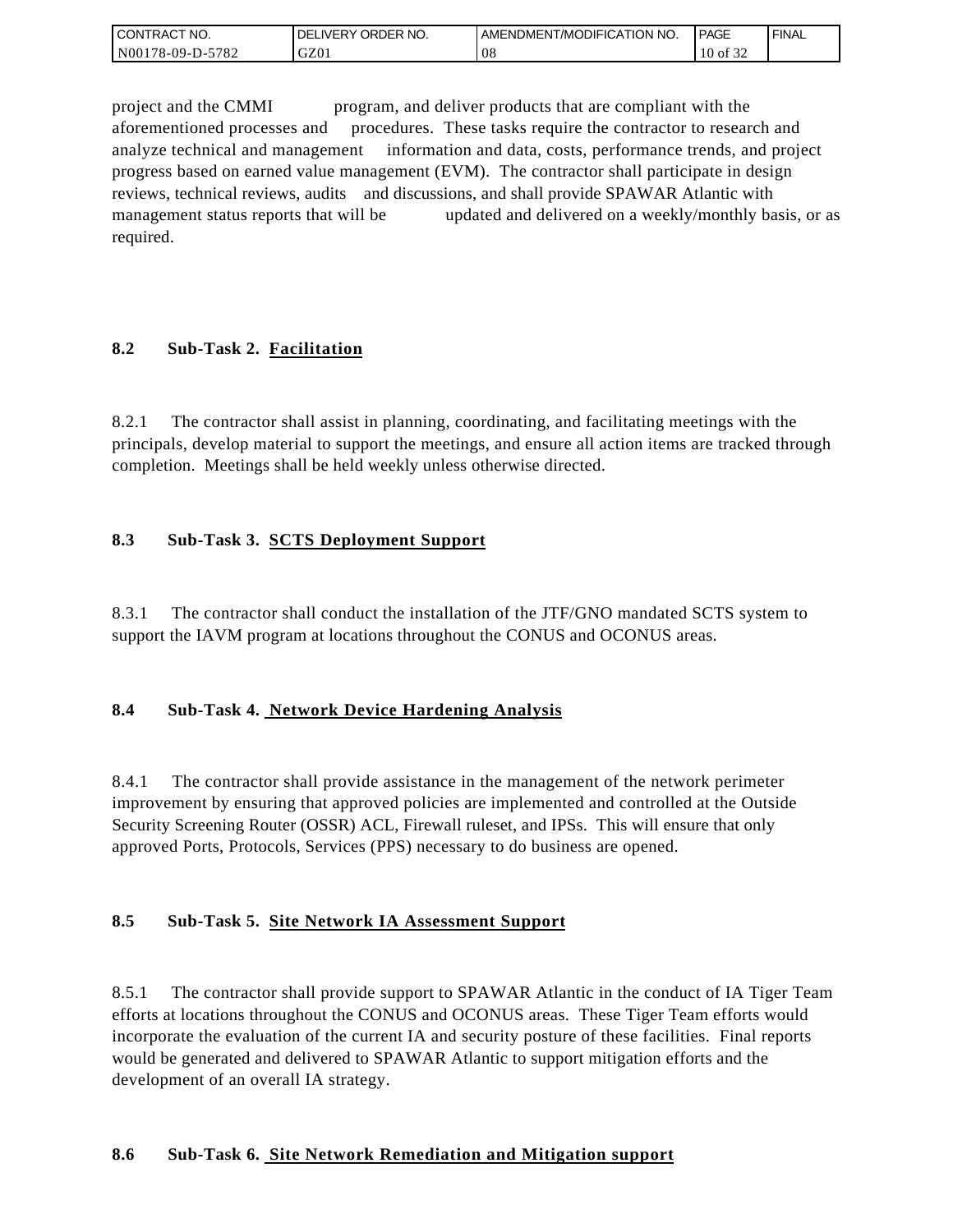| <b>CONTRACT NO.</b> | ' ORDER NO.<br><b>DELIVERY</b> | I AMENDMENT/MODIFICATION NO. | PAGE            | ' FINAL |
|---------------------|--------------------------------|------------------------------|-----------------|---------|
| N00178-09-D-5782    | GZ01                           | 08                           | 10<br>ΟĪ<br>-24 |         |

project and the CMMI program, and deliver products that are compliant with the aforementioned processes and procedures. These tasks require the contractor to research and analyze technical and management information and data, costs, performance trends, and project progress based on earned value management (EVM). The contractor shall participate in design reviews, technical reviews, audits and discussions, and shall provide SPAWAR Atlantic with management status reports that will be updated and delivered on a weekly/monthly basis, or as required.

## **8.2 Sub-Task 2. Facilitation**

8.2.1 The contractor shall assist in planning, coordinating, and facilitating meetings with the principals, develop material to support the meetings, and ensure all action items are tracked through completion. Meetings shall be held weekly unless otherwise directed.

## **8.3 Sub-Task 3. SCTS Deployment Support**

8.3.1 The contractor shall conduct the installation of the JTF/GNO mandated SCTS system to support the IAVM program at locations throughout the CONUS and OCONUS areas.

## **8.4 Sub-Task 4. Network Device Hardening Analysis**

8.4.1 The contractor shall provide assistance in the management of the network perimeter improvement by ensuring that approved policies are implemented and controlled at the Outside Security Screening Router (OSSR) ACL, Firewall ruleset, and IPSs. This will ensure that only approved Ports, Protocols, Services (PPS) necessary to do business are opened.

## **8.5 Sub-Task 5. Site Network IA Assessment Support**

8.5.1 The contractor shall provide support to SPAWAR Atlantic in the conduct of IA Tiger Team efforts at locations throughout the CONUS and OCONUS areas. These Tiger Team efforts would incorporate the evaluation of the current IA and security posture of these facilities. Final reports would be generated and delivered to SPAWAR Atlantic to support mitigation efforts and the development of an overall IA strategy.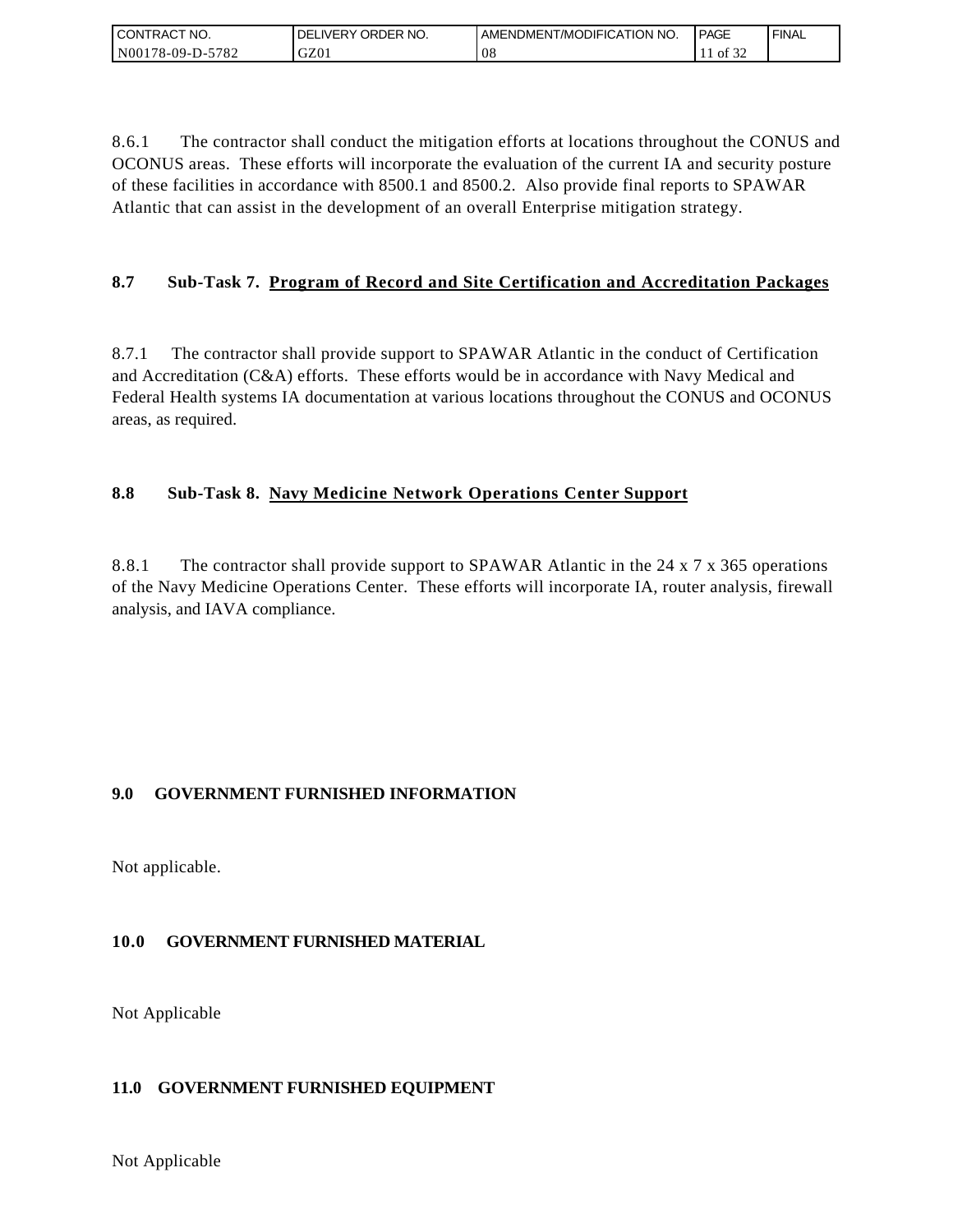| I CONTRACT NO.        | ' ORDER NO.<br>DELI<br>_IVERY | I AMENDMENT/MODIFICATION NO. | <b>PAGE</b>                | ' FINAL |
|-----------------------|-------------------------------|------------------------------|----------------------------|---------|
| 178-09-D-5782<br>N001 | GZ01                          | 08                           | $c \Delta$<br>of $3\angle$ |         |

8.6.1 The contractor shall conduct the mitigation efforts at locations throughout the CONUS and OCONUS areas. These efforts will incorporate the evaluation of the current IA and security posture of these facilities in accordance with 8500.1 and 8500.2. Also provide final reports to SPAWAR Atlantic that can assist in the development of an overall Enterprise mitigation strategy.

## **8.7 Sub-Task 7. Program of Record and Site Certification and Accreditation Packages**

8.7.1 The contractor shall provide support to SPAWAR Atlantic in the conduct of Certification and Accreditation (C&A) efforts. These efforts would be in accordance with Navy Medical and Federal Health systems IA documentation at various locations throughout the CONUS and OCONUS areas, as required.

## **8.8 Sub-Task 8. Navy Medicine Network Operations Center Support**

8.8.1 The contractor shall provide support to SPAWAR Atlantic in the 24 x 7 x 365 operations of the Navy Medicine Operations Center. These efforts will incorporate IA, router analysis, firewall analysis, and IAVA compliance.

## **9.0 GOVERNMENT FURNISHED INFORMATION**

Not applicable.

## **10.0 GOVERNMENT FURNISHED MATERIAL**

Not Applicable

## **11.0 GOVERNMENT FURNISHED EQUIPMENT**

Not Applicable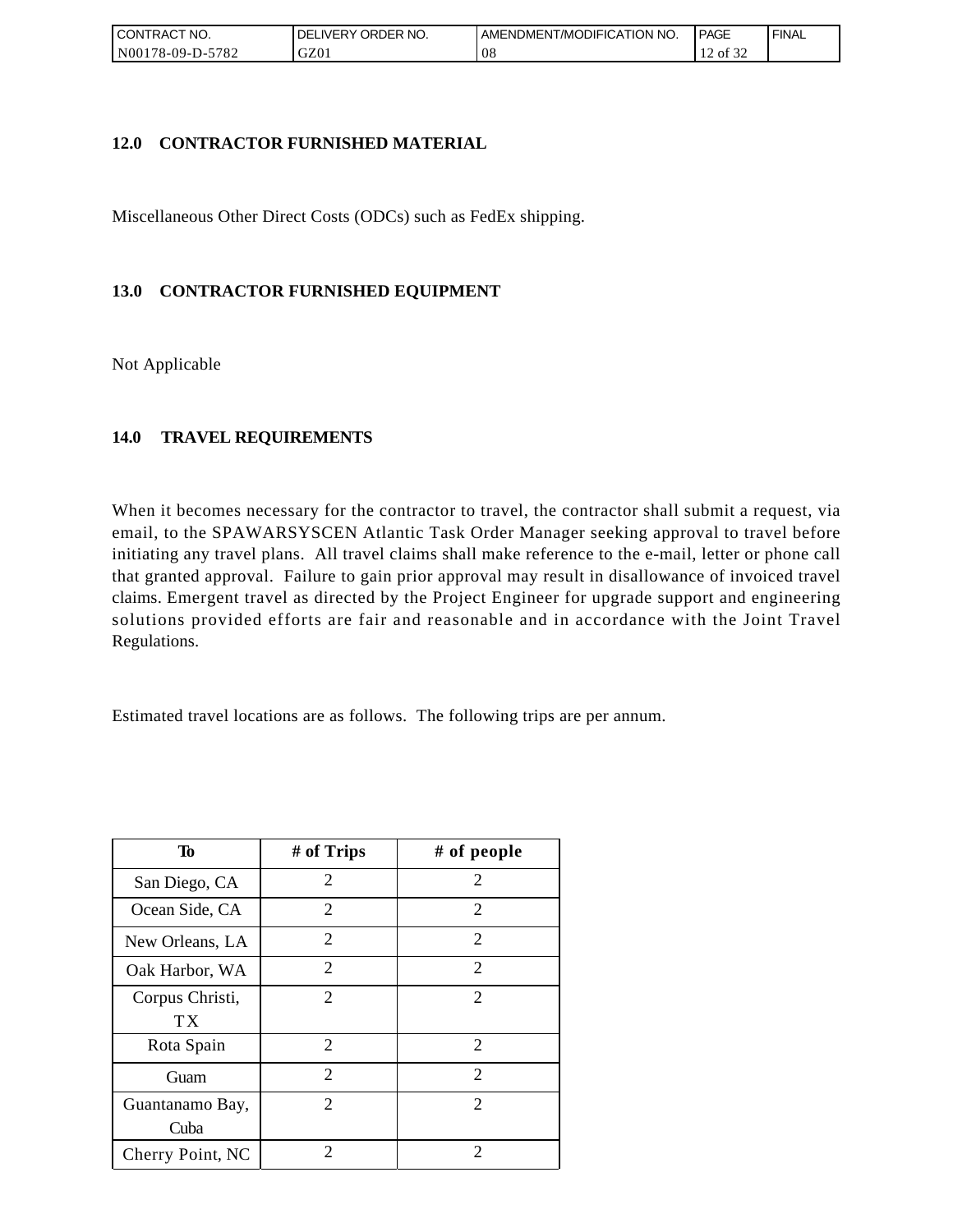| CONTRACT NO.               | `order no.<br><b>DELIVERY</b> | AMENDMENT/MODIFICATION NO. | <b>PAGE</b>                       | ' FINAL |
|----------------------------|-------------------------------|----------------------------|-----------------------------------|---------|
| $-5782$<br>  N00178-09-D-5 | GZ01                          | 08                         | $\sim$ $\sim$<br>ΟĪ<br>ے ر<br>. . |         |

## **12.0 CONTRACTOR FURNISHED MATERIAL**

Miscellaneous Other Direct Costs (ODCs) such as FedEx shipping.

## **13.0 CONTRACTOR FURNISHED EQUIPMENT**

Not Applicable

## **14.0 TRAVEL REQUIREMENTS**

When it becomes necessary for the contractor to travel, the contractor shall submit a request, via email, to the SPAWARSYSCEN Atlantic Task Order Manager seeking approval to travel before initiating any travel plans. All travel claims shall make reference to the e-mail, letter or phone call that granted approval. Failure to gain prior approval may result in disallowance of invoiced travel claims. Emergent travel as directed by the Project Engineer for upgrade support and engineering solutions provided efforts are fair and reasonable and in accordance with the Joint Travel Regulations.

Estimated travel locations are as follows. The following trips are per annum.

| To                      | # of Trips                  | # of people                 |
|-------------------------|-----------------------------|-----------------------------|
| San Diego, CA           | 2                           | 2                           |
| Ocean Side, CA          | 2                           | 2                           |
| New Orleans, LA         | $\overline{c}$              | 2                           |
| Oak Harbor, WA          | $\overline{2}$              | $\overline{2}$              |
| Corpus Christi,<br>ТX   | $\mathcal{D}_{\mathcal{L}}$ | $\mathcal{D}_{\mathcal{L}}$ |
| Rota Spain              | 2                           | 2                           |
| Guam                    | $\overline{2}$              | 2                           |
| Guantanamo Bay,<br>Cuba | $\mathcal{D}_{\mathcal{L}}$ | $\mathcal{D}_{\mathcal{L}}$ |
| Cherry Point, NC        | 2                           | 2                           |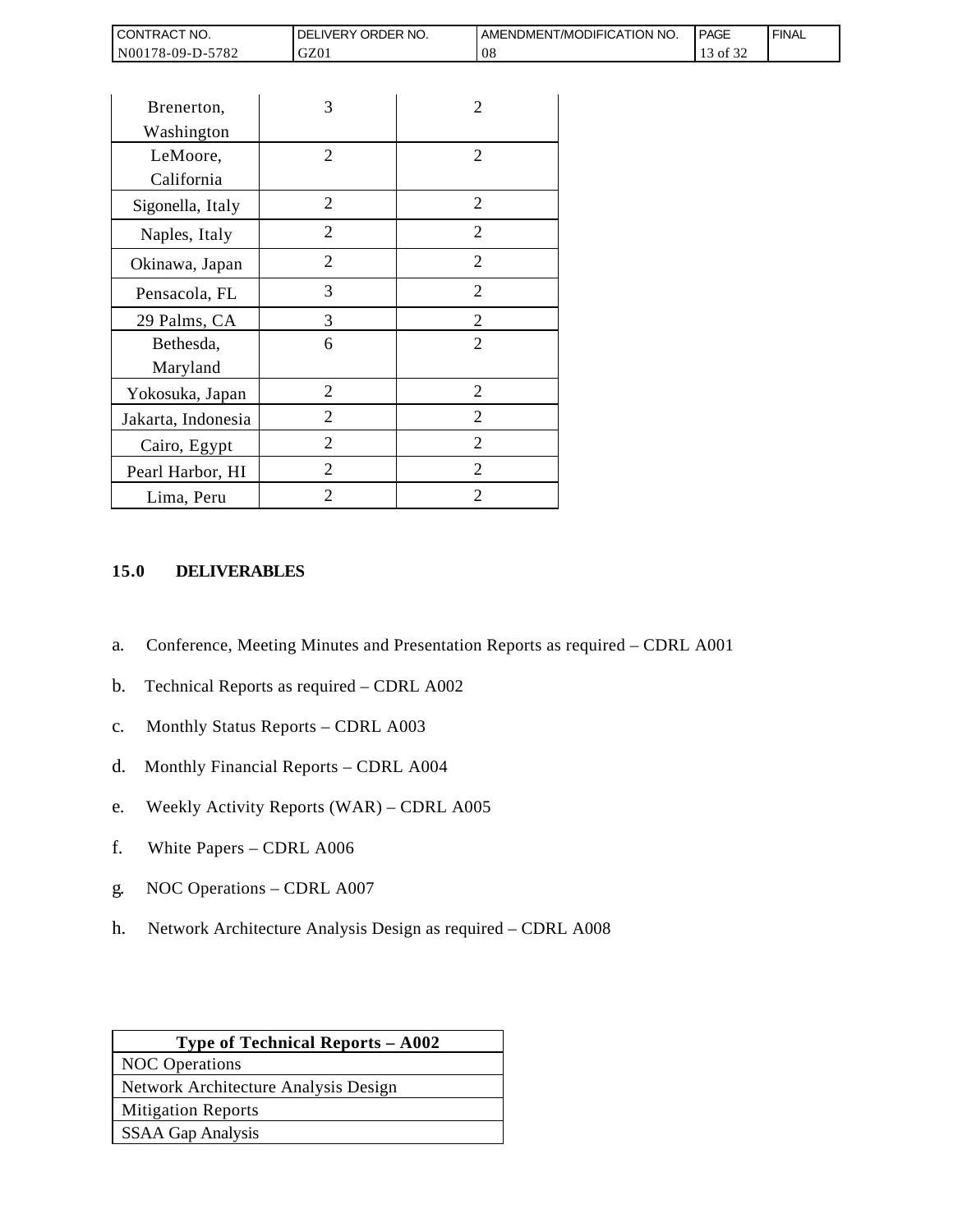| <b>CONTRACT NO.</b>               | ORDER<br>NO.<br><b>DELIVERY</b> | AMENDMENT/MODIFICATION NO. | <b>PAGE</b>                | ' FINAL |
|-----------------------------------|---------------------------------|----------------------------|----------------------------|---------|
| N001<br>5782<br>$3178 - 09 - D -$ | GZ01                            | 08                         | $\sim$ $\sim$ $\sim$<br>ΟĪ |         |

| CONTRACT NO.                                                                   | DELIVERY ORDER NO.                                                                                                                                                                                  | <b>AMENDMEN</b>                                        |  |  |  |
|--------------------------------------------------------------------------------|-----------------------------------------------------------------------------------------------------------------------------------------------------------------------------------------------------|--------------------------------------------------------|--|--|--|
| N00178-09-D-5782                                                               | GZ01                                                                                                                                                                                                | 08                                                     |  |  |  |
|                                                                                |                                                                                                                                                                                                     |                                                        |  |  |  |
| Brenerton,                                                                     | 3                                                                                                                                                                                                   | 2                                                      |  |  |  |
| Washington                                                                     |                                                                                                                                                                                                     |                                                        |  |  |  |
| LeMoore,                                                                       | 2                                                                                                                                                                                                   | 2                                                      |  |  |  |
| California                                                                     | $\overline{2}$                                                                                                                                                                                      | $\overline{2}$                                         |  |  |  |
| Sigonella, Italy                                                               |                                                                                                                                                                                                     |                                                        |  |  |  |
| Naples, Italy                                                                  | $\mathbf{2}$                                                                                                                                                                                        | $\overline{2}$                                         |  |  |  |
| Okinawa, Japan                                                                 | $\overline{2}$                                                                                                                                                                                      | 2                                                      |  |  |  |
| Pensacola, FL                                                                  | 3                                                                                                                                                                                                   | 2                                                      |  |  |  |
| 29 Palms, CA                                                                   | 3                                                                                                                                                                                                   | $\overline{c}$                                         |  |  |  |
| Bethesda,                                                                      | 6                                                                                                                                                                                                   | $\overline{2}$                                         |  |  |  |
| Maryland                                                                       |                                                                                                                                                                                                     |                                                        |  |  |  |
| Yokosuka, Japan                                                                | $\overline{2}$                                                                                                                                                                                      | $\overline{2}$                                         |  |  |  |
| Jakarta, Indonesia                                                             | 2                                                                                                                                                                                                   | $\overline{2}$                                         |  |  |  |
| Cairo, Egypt                                                                   | 2                                                                                                                                                                                                   | 2                                                      |  |  |  |
| Pearl Harbor, HI                                                               | $\overline{2}$                                                                                                                                                                                      | 2                                                      |  |  |  |
| Lima, Peru                                                                     | $\overline{2}$                                                                                                                                                                                      | 2                                                      |  |  |  |
| a.<br>b.<br>$\mathbf{C}$ .<br>d.<br>e.<br>f.<br>White Papers - CDRL A006<br>g. | Technical Reports as required - CDRL A002<br>Monthly Status Reports - CDRL A003<br>Monthly Financial Reports - CDRL A004<br>Weekly Activity Reports (WAR) - CDRL A005<br>NOC Operations - CDRL A007 | Conference, Meeting Minutes and Presentation Reports a |  |  |  |
| h.                                                                             |                                                                                                                                                                                                     | Network Architecture Analysis Design as required – CDI |  |  |  |
|                                                                                | Type of Technical Reports - A002                                                                                                                                                                    |                                                        |  |  |  |
| <b>NOC</b> Operations                                                          |                                                                                                                                                                                                     |                                                        |  |  |  |
| Network Architecture Analysis Design                                           |                                                                                                                                                                                                     |                                                        |  |  |  |
| <b>Mitigation Reports</b>                                                      |                                                                                                                                                                                                     |                                                        |  |  |  |
| <b>SSAA Gap Analysis</b>                                                       |                                                                                                                                                                                                     |                                                        |  |  |  |

#### **15.0 DELIVERABLES**

- a. Conference, Meeting Minutes and Presentation Reports as required CDRL A001
- b. Technical Reports as required CDRL A002
- c. Monthly Status Reports CDRL A003
- d. Monthly Financial Reports CDRL A004
- e. Weekly Activity Reports (WAR) CDRL A005
- f. White Papers CDRL A006
- g. NOC Operations CDRL A007
- h. Network Architecture Analysis Design as required CDRL A008

| <b>Type of Technical Reports – A002</b> |  |
|-----------------------------------------|--|
| <b>NOC</b> Operations                   |  |
| Network Architecture Analysis Design    |  |
| <b>Mitigation Reports</b>               |  |
| <b>SSAA Gap Analysis</b>                |  |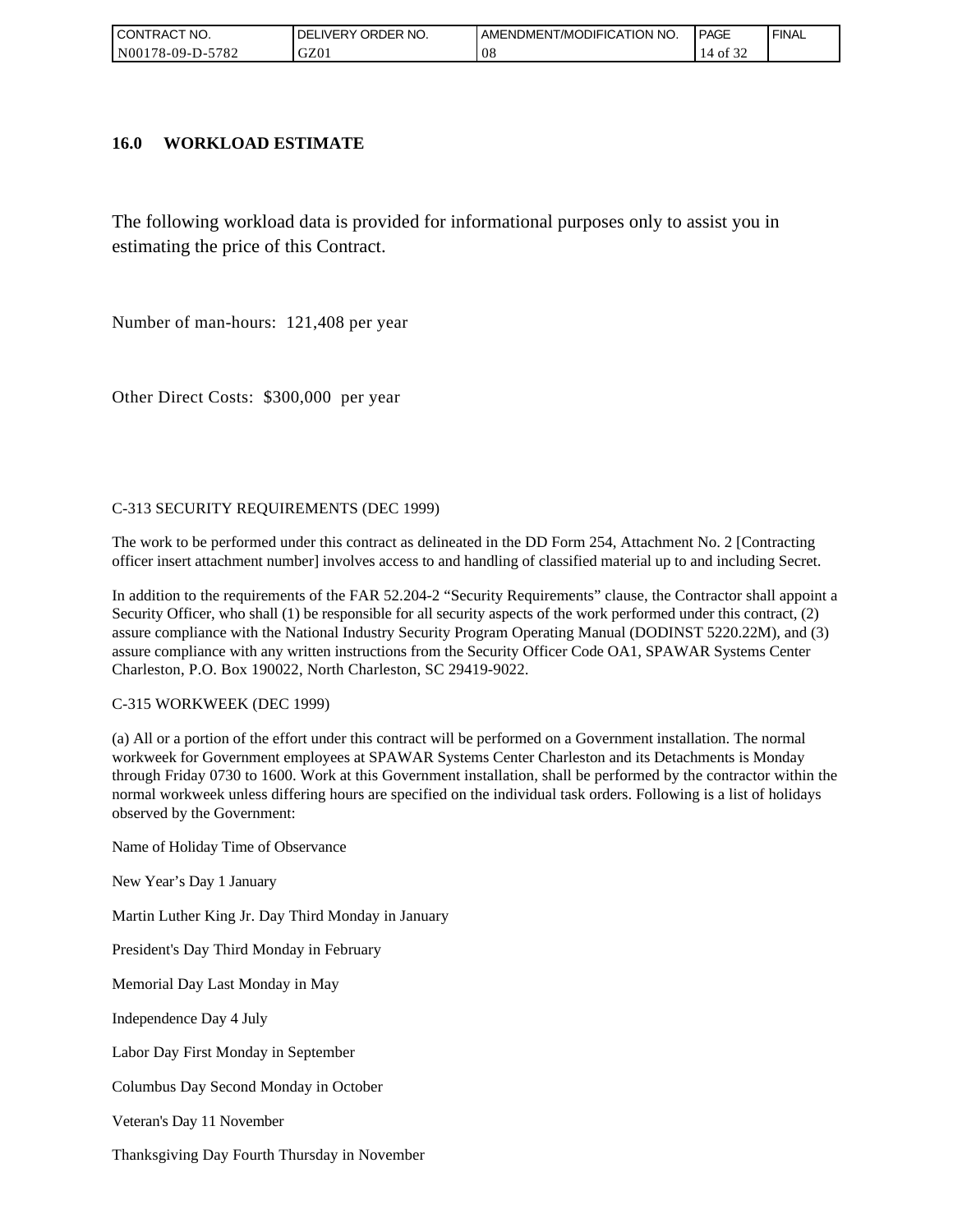| I CONT'<br>'TRACT NO. | <b>ORDER</b><br>NO.<br>.IVERY<br>DELI | AMENDMENT/MODIFICATION NO. | <b>PAGE</b> | ' FINAL |
|-----------------------|---------------------------------------|----------------------------|-------------|---------|
| N00178-09-D-5782      | GZ01                                  | 08                         | ΟĪ<br>ے ر   |         |

#### **16.0 WORKLOAD ESTIMATE**

The following workload data is provided for informational purposes only to assist you in estimating the price of this Contract.

Number of man-hours: 121,408 per year

Other Direct Costs: \$300,000 per year

#### C-313 SECURITY REQUIREMENTS (DEC 1999)

The work to be performed under this contract as delineated in the DD Form 254, Attachment No. 2 [Contracting officer insert attachment number] involves access to and handling of classified material up to and including Secret.

In addition to the requirements of the FAR 52.204-2 "Security Requirements" clause, the Contractor shall appoint a Security Officer, who shall (1) be responsible for all security aspects of the work performed under this contract, (2) assure compliance with the National Industry Security Program Operating Manual (DODINST 5220.22M), and (3) assure compliance with any written instructions from the Security Officer Code OA1, SPAWAR Systems Center Charleston, P.O. Box 190022, North Charleston, SC 29419-9022.

#### C-315 WORKWEEK (DEC 1999)

(a) All or a portion of the effort under this contract will be performed on a Government installation. The normal workweek for Government employees at SPAWAR Systems Center Charleston and its Detachments is Monday through Friday 0730 to 1600. Work at this Government installation, shall be performed by the contractor within the normal workweek unless differing hours are specified on the individual task orders. Following is a list of holidays observed by the Government:

Name of Holiday Time of Observance

New Year's Day 1 January

Martin Luther King Jr. Day Third Monday in January

President's Day Third Monday in February

Memorial Day Last Monday in May

Independence Day 4 July

Labor Day First Monday in September

Columbus Day Second Monday in October

Veteran's Day 11 November

Thanksgiving Day Fourth Thursday in November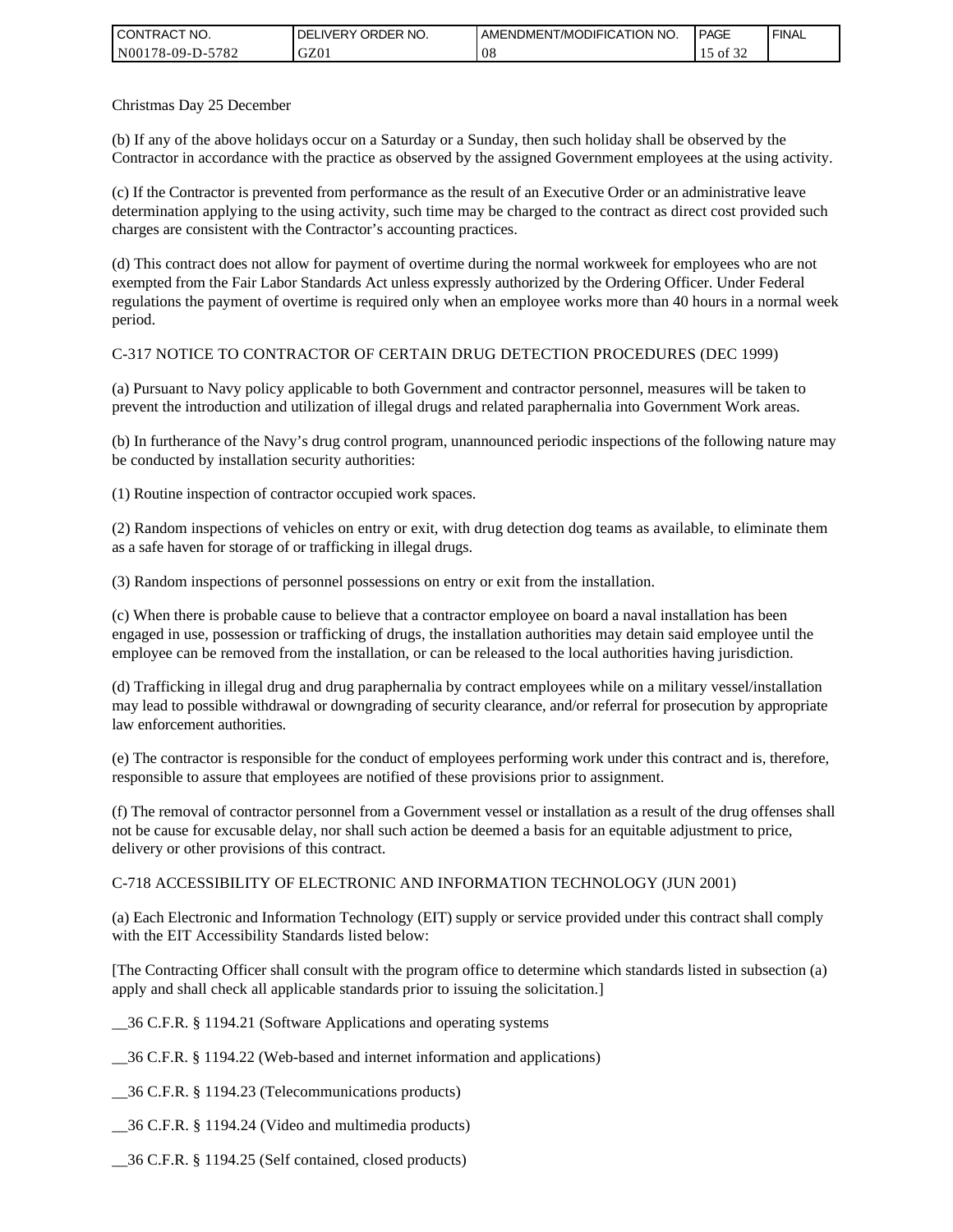| <b>CONTRACT NO.</b> | ' ORDER NO.<br><b>DELIVERY</b> | AMENDMENT/MODIFICATION NO. | PAGE              | ' FINAL |
|---------------------|--------------------------------|----------------------------|-------------------|---------|
| N00178-09-D-5782    | GZ01                           | 08                         | 0.22<br>ΟĪ<br>ے ر |         |

Christmas Day 25 December

(b) If any of the above holidays occur on a Saturday or a Sunday, then such holiday shall be observed by the Contractor in accordance with the practice as observed by the assigned Government employees at the using activity.

(c) If the Contractor is prevented from performance as the result of an Executive Order or an administrative leave determination applying to the using activity, such time may be charged to the contract as direct cost provided such charges are consistent with the Contractor's accounting practices.

(d) This contract does not allow for payment of overtime during the normal workweek for employees who are not exempted from the Fair Labor Standards Act unless expressly authorized by the Ordering Officer. Under Federal regulations the payment of overtime is required only when an employee works more than 40 hours in a normal week period.

#### C-317 NOTICE TO CONTRACTOR OF CERTAIN DRUG DETECTION PROCEDURES (DEC 1999)

(a) Pursuant to Navy policy applicable to both Government and contractor personnel, measures will be taken to prevent the introduction and utilization of illegal drugs and related paraphernalia into Government Work areas.

(b) In furtherance of the Navy's drug control program, unannounced periodic inspections of the following nature may be conducted by installation security authorities:

(1) Routine inspection of contractor occupied work spaces.

(2) Random inspections of vehicles on entry or exit, with drug detection dog teams as available, to eliminate them as a safe haven for storage of or trafficking in illegal drugs.

(3) Random inspections of personnel possessions on entry or exit from the installation.

(c) When there is probable cause to believe that a contractor employee on board a naval installation has been engaged in use, possession or trafficking of drugs, the installation authorities may detain said employee until the employee can be removed from the installation, or can be released to the local authorities having jurisdiction.

(d) Trafficking in illegal drug and drug paraphernalia by contract employees while on a military vessel/installation may lead to possible withdrawal or downgrading of security clearance, and/or referral for prosecution by appropriate law enforcement authorities.

(e) The contractor is responsible for the conduct of employees performing work under this contract and is, therefore, responsible to assure that employees are notified of these provisions prior to assignment.

(f) The removal of contractor personnel from a Government vessel or installation as a result of the drug offenses shall not be cause for excusable delay, nor shall such action be deemed a basis for an equitable adjustment to price, delivery or other provisions of this contract.

#### C-718 ACCESSIBILITY OF ELECTRONIC AND INFORMATION TECHNOLOGY (JUN 2001)

(a) Each Electronic and Information Technology (EIT) supply or service provided under this contract shall comply with the EIT Accessibility Standards listed below:

[The Contracting Officer shall consult with the program office to determine which standards listed in subsection (a) apply and shall check all applicable standards prior to issuing the solicitation.]

\_\_36 C.F.R. § 1194.21 (Software Applications and operating systems

\_\_36 C.F.R. § 1194.22 (Web-based and internet information and applications)

\_\_36 C.F.R. § 1194.23 (Telecommunications products)

\_\_36 C.F.R. § 1194.24 (Video and multimedia products)

\_\_36 C.F.R. § 1194.25 (Self contained, closed products)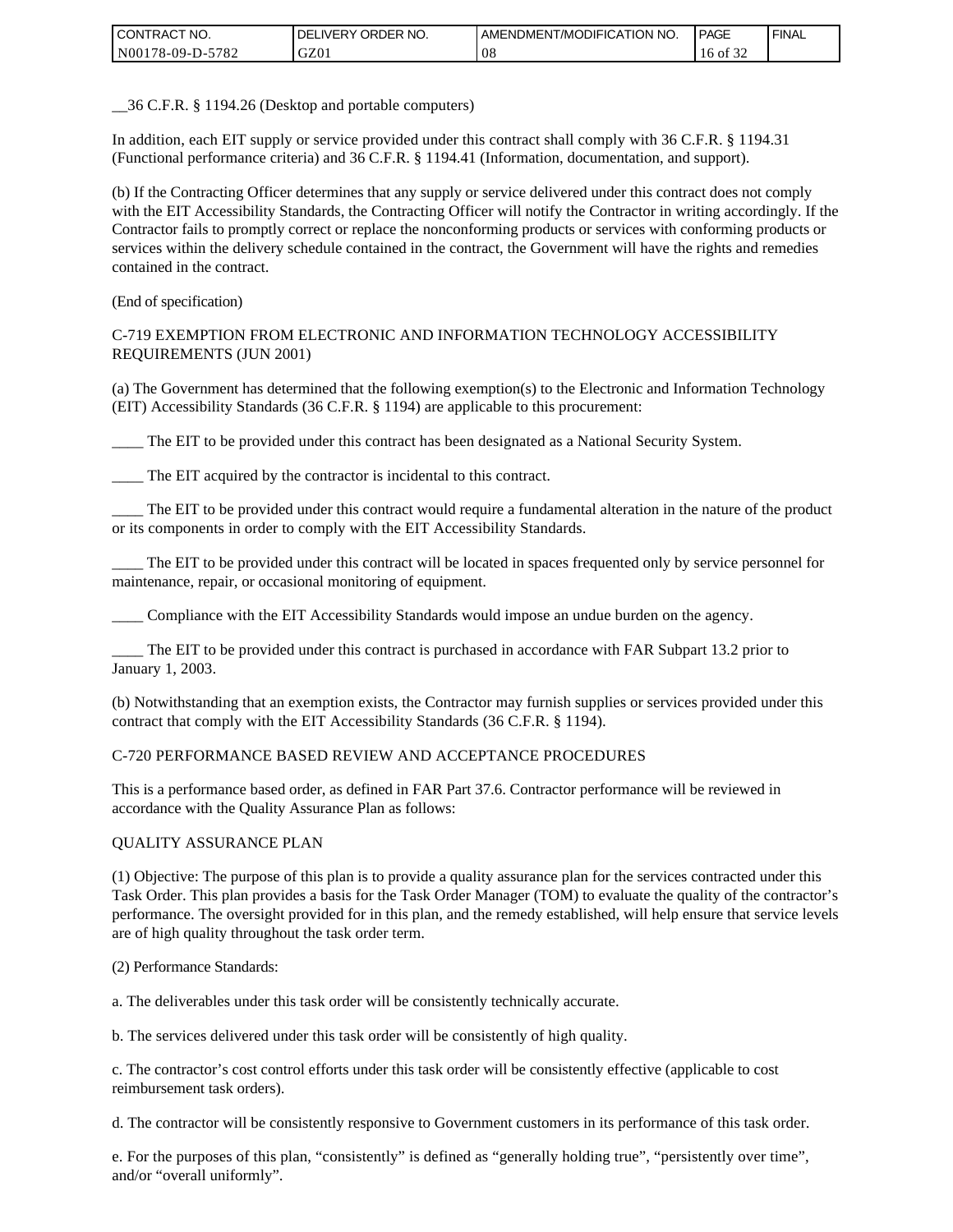| <b>CONTRACT NO.</b>                 | ORDER<br>NO.<br><b>DELIVERY</b> | AMENDMENT/MODIFICATION NO. | <b>PAGE</b> | ' FINAL |
|-------------------------------------|---------------------------------|----------------------------|-------------|---------|
| N001<br>5782<br>$3178 - 09 - D - 0$ | GZ01                            | 08                         | 16 of       |         |

\_\_36 C.F.R. § 1194.26 (Desktop and portable computers)

In addition, each EIT supply or service provided under this contract shall comply with 36 C.F.R. § 1194.31 (Functional performance criteria) and 36 C.F.R. § 1194.41 (Information, documentation, and support).

(b) If the Contracting Officer determines that any supply or service delivered under this contract does not comply with the EIT Accessibility Standards, the Contracting Officer will notify the Contractor in writing accordingly. If the Contractor fails to promptly correct or replace the nonconforming products or services with conforming products or services within the delivery schedule contained in the contract, the Government will have the rights and remedies contained in the contract.

(End of specification)

#### C-719 EXEMPTION FROM ELECTRONIC AND INFORMATION TECHNOLOGY ACCESSIBILITY REQUIREMENTS (JUN 2001)

(a) The Government has determined that the following exemption(s) to the Electronic and Information Technology (EIT) Accessibility Standards (36 C.F.R. § 1194) are applicable to this procurement:

\_\_\_\_ The EIT to be provided under this contract has been designated as a National Security System.

The EIT acquired by the contractor is incidental to this contract.

\_\_\_\_ The EIT to be provided under this contract would require a fundamental alteration in the nature of the product or its components in order to comply with the EIT Accessibility Standards.

\_\_\_\_ The EIT to be provided under this contract will be located in spaces frequented only by service personnel for maintenance, repair, or occasional monitoring of equipment.

\_\_\_\_ Compliance with the EIT Accessibility Standards would impose an undue burden on the agency.

The EIT to be provided under this contract is purchased in accordance with FAR Subpart 13.2 prior to January 1, 2003.

(b) Notwithstanding that an exemption exists, the Contractor may furnish supplies or services provided under this contract that comply with the EIT Accessibility Standards (36 C.F.R. § 1194).

#### C-720 PERFORMANCE BASED REVIEW AND ACCEPTANCE PROCEDURES

This is a performance based order, as defined in FAR Part 37.6. Contractor performance will be reviewed in accordance with the Quality Assurance Plan as follows:

#### QUALITY ASSURANCE PLAN

(1) Objective: The purpose of this plan is to provide a quality assurance plan for the services contracted under this Task Order. This plan provides a basis for the Task Order Manager (TOM) to evaluate the quality of the contractor's performance. The oversight provided for in this plan, and the remedy established, will help ensure that service levels are of high quality throughout the task order term.

(2) Performance Standards:

a. The deliverables under this task order will be consistently technically accurate.

b. The services delivered under this task order will be consistently of high quality.

c. The contractor's cost control efforts under this task order will be consistently effective (applicable to cost reimbursement task orders).

d. The contractor will be consistently responsive to Government customers in its performance of this task order.

e. For the purposes of this plan, "consistently" is defined as "generally holding true", "persistently over time", and/or "overall uniformly".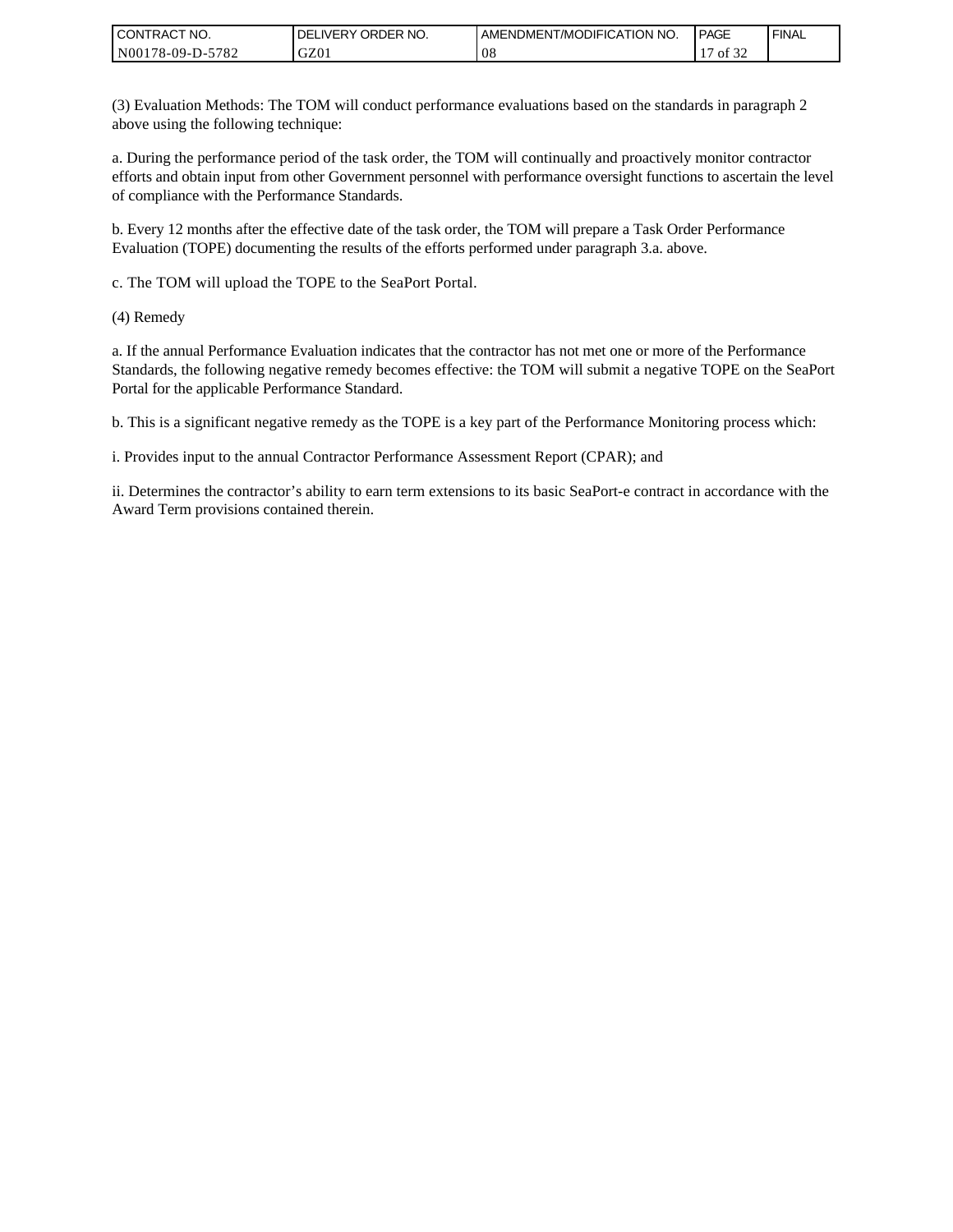| I CONTRACT NO.         | ORDER NO.<br><b>DELIVERY</b> | AMENDMENT/MODIFICATION NO. | <b>PAGE</b> | ' FINAL |
|------------------------|------------------------------|----------------------------|-------------|---------|
| N00178-09-D-5<br>-5782 | GZ01                         | 08                         | 0.25<br>ΟĪ  |         |

(3) Evaluation Methods: The TOM will conduct performance evaluations based on the standards in paragraph 2 above using the following technique:

a. During the performance period of the task order, the TOM will continually and proactively monitor contractor efforts and obtain input from other Government personnel with performance oversight functions to ascertain the level of compliance with the Performance Standards.

b. Every 12 months after the effective date of the task order, the TOM will prepare a Task Order Performance Evaluation (TOPE) documenting the results of the efforts performed under paragraph 3.a. above.

c. The TOM will upload the TOPE to the SeaPort Portal.

(4) Remedy

a. If the annual Performance Evaluation indicates that the contractor has not met one or more of the Performance Standards, the following negative remedy becomes effective: the TOM will submit a negative TOPE on the SeaPort Portal for the applicable Performance Standard.

b. This is a significant negative remedy as the TOPE is a key part of the Performance Monitoring process which:

i. Provides input to the annual Contractor Performance Assessment Report (CPAR); and

ii. Determines the contractor's ability to earn term extensions to its basic SeaPort-e contract in accordance with the Award Term provisions contained therein.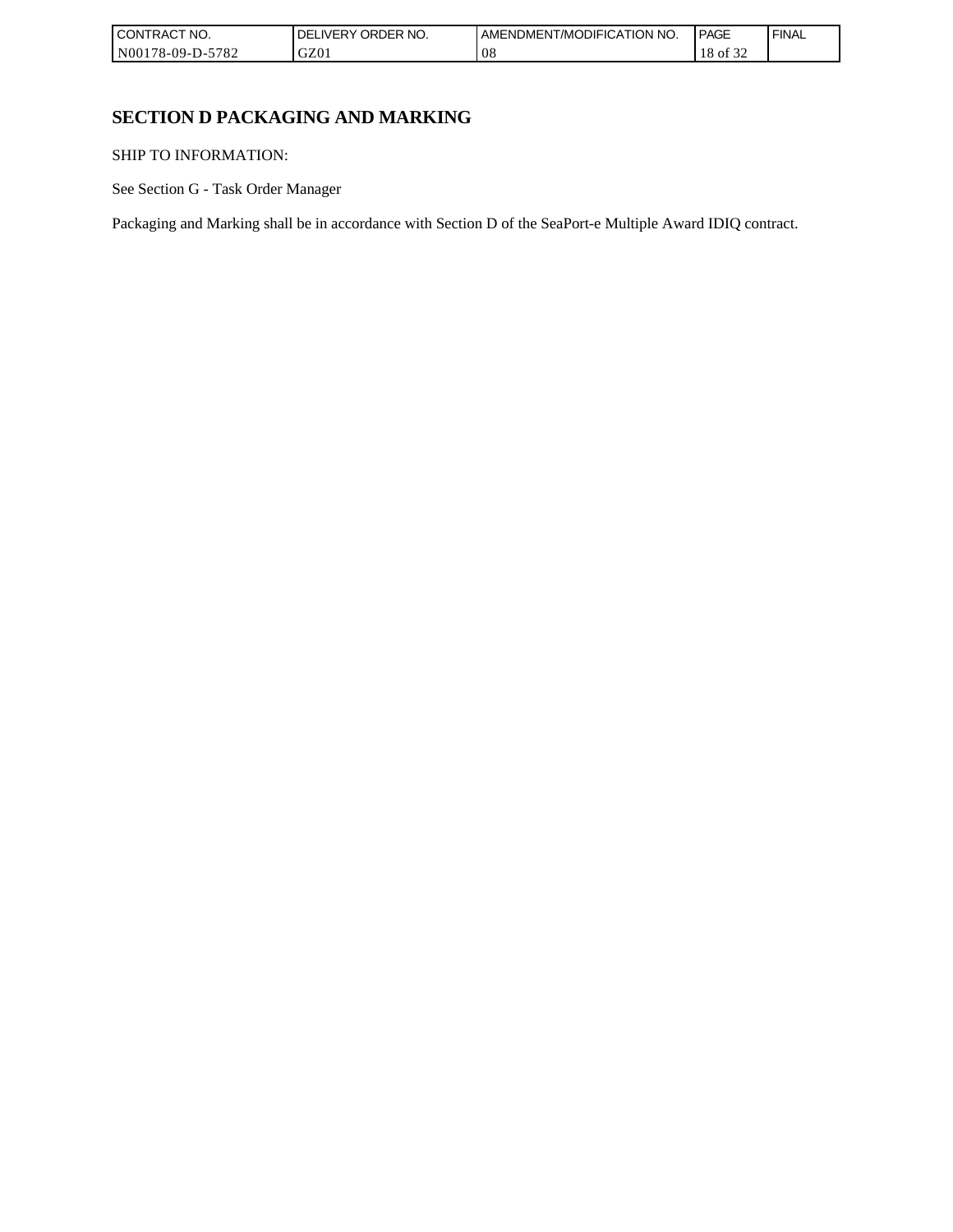| I CONT'<br>`CT NO.<br>[RAC  | ORDER NO.<br>، IVFRY | <b>IT/MODIFICATION NO.</b><br>AMENDMENT | <b>PAGE</b>         | <b>FINAL</b> |
|-----------------------------|----------------------|-----------------------------------------|---------------------|--------------|
| N00178-09-D-<br>5700<br>ے ہ | GZ01                 | 08                                      | $\sim$<br>ΟĪ<br>-24 |              |

# **SECTION D PACKAGING AND MARKING**

SHIP TO INFORMATION:

See Section G - Task Order Manager

Packaging and Marking shall be in accordance with Section D of the SeaPort-e Multiple Award IDIQ contract.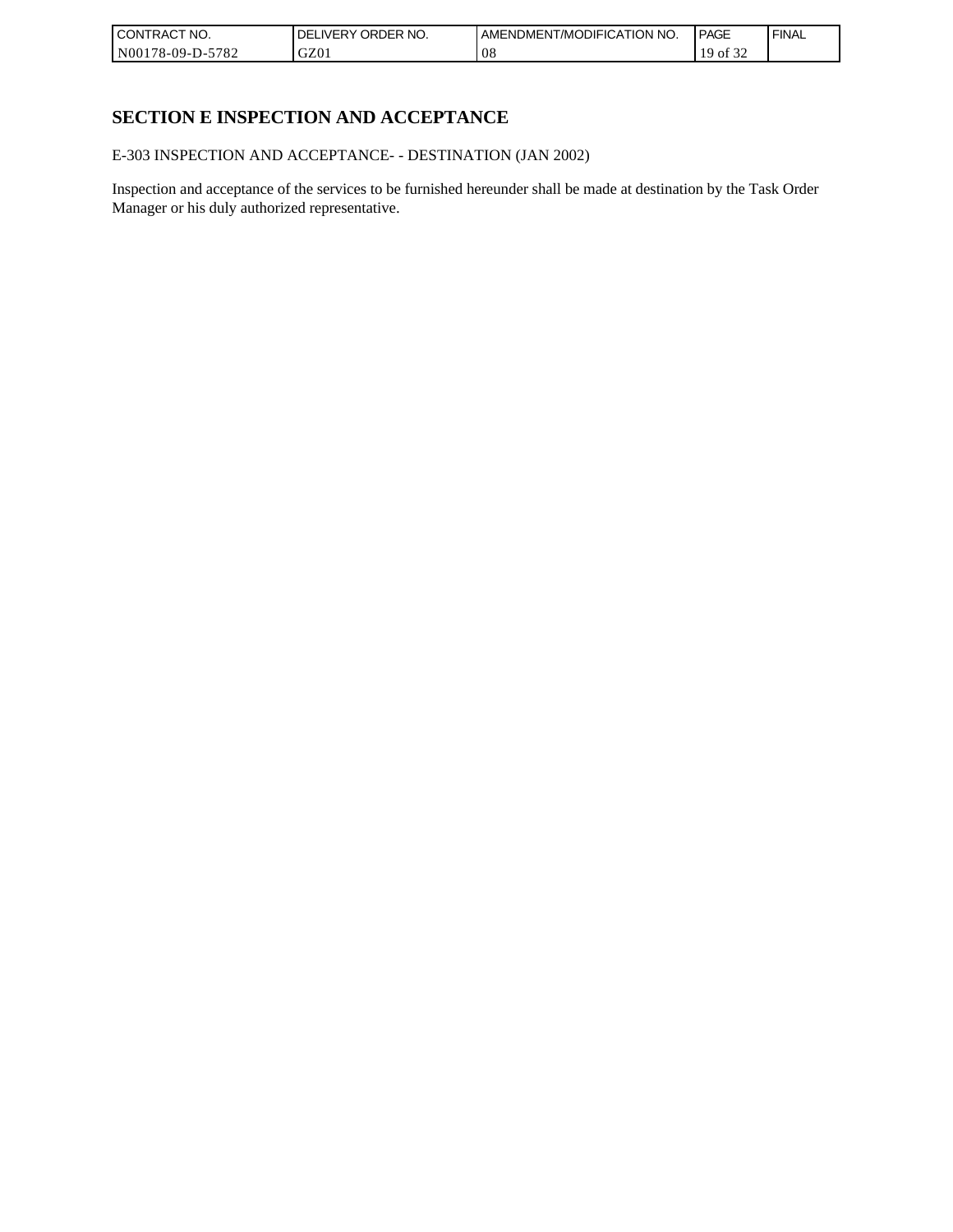| <b>CONTRACT NO.</b> | ' ORDER NO.<br><b>DELIVERY</b> | AMENDMENT/MODIFICATION NO. | PAGE              | ' FINAL |
|---------------------|--------------------------------|----------------------------|-------------------|---------|
| N00178-09-D-5782    | GZ01                           | 08                         | 0.22<br>ΟĪ<br>ے ر |         |

# **SECTION E INSPECTION AND ACCEPTANCE**

E-303 INSPECTION AND ACCEPTANCE- - DESTINATION (JAN 2002)

Inspection and acceptance of the services to be furnished hereunder shall be made at destination by the Task Order Manager or his duly authorized representative.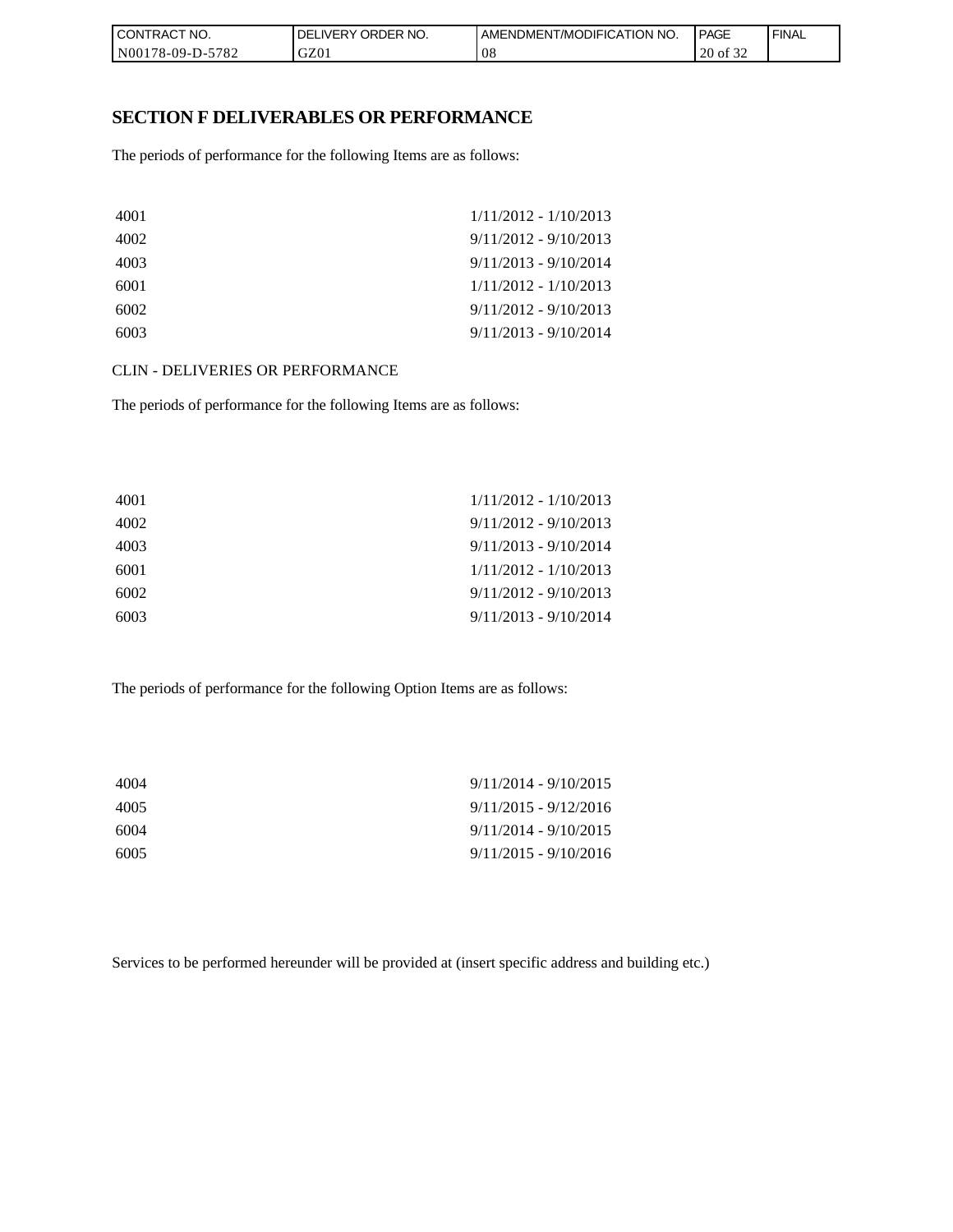| l CON <sup>-</sup><br><b>ITRACT NO.</b> | NO.<br>' ORDER<br><b>DELIVERY</b> | AMENDMENT/MODIFICATION<br>I NO. | <b>PAGE</b>      | <b>FINAL</b> |
|-----------------------------------------|-----------------------------------|---------------------------------|------------------|--------------|
| N00178-09-D-5<br>-5782                  | GZ01                              | 08                              | 20<br>∣ot<br>ے ر |              |

## **SECTION F DELIVERABLES OR PERFORMANCE**

The periods of performance for the following Items are as follows:

| 4001 | $1/11/2012 - 1/10/2013$ |
|------|-------------------------|
| 4002 | $9/11/2012 - 9/10/2013$ |
| 4003 | $9/11/2013 - 9/10/2014$ |
| 6001 | $1/11/2012 - 1/10/2013$ |
| 6002 | $9/11/2012 - 9/10/2013$ |
| 6003 | $9/11/2013 - 9/10/2014$ |

CLIN - DELIVERIES OR PERFORMANCE

The periods of performance for the following Items are as follows:

| 4001 | $1/11/2012 - 1/10/2013$ |
|------|-------------------------|
| 4002 | $9/11/2012 - 9/10/2013$ |
| 4003 | $9/11/2013 - 9/10/2014$ |
| 6001 | $1/11/2012 - 1/10/2013$ |
| 6002 | $9/11/2012 - 9/10/2013$ |
| 6003 | $9/11/2013 - 9/10/2014$ |

The periods of performance for the following Option Items are as follows:

| 4004 | $9/11/2014 - 9/10/2015$ |
|------|-------------------------|
| 4005 | $9/11/2015 - 9/12/2016$ |
| 6004 | $9/11/2014 - 9/10/2015$ |
| 6005 | $9/11/2015 - 9/10/2016$ |

Services to be performed hereunder will be provided at (insert specific address and building etc.)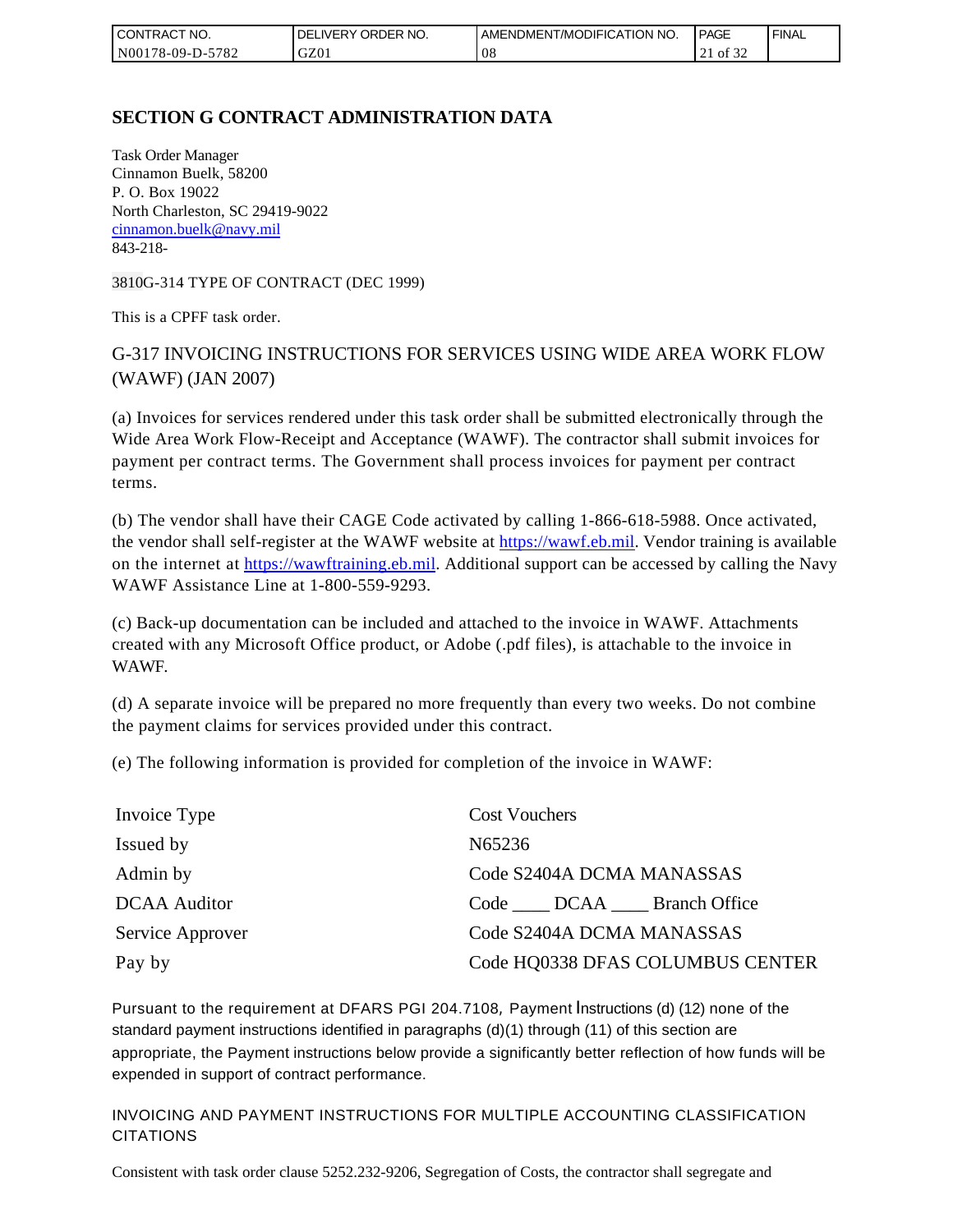| l CON<br>FRACT NO.                  | ORDER NO.<br><b>IVERY</b><br>DELI | AMENDMENT/MODIFICATION NO. | PAGE     | ' FINAL |
|-------------------------------------|-----------------------------------|----------------------------|----------|---------|
| 5782<br>N001<br>$-09-D$ -<br>՝ 78-Ն | GZ0 <sub>1</sub>                  | 08                         | ΟĪ<br>∠⊥ |         |

# **SECTION G CONTRACT ADMINISTRATION DATA**

Task Order Manager Cinnamon Buelk, 58200 P. O. Box 19022 North Charleston, SC 29419-9022 [cinnamon.buelk@navy.mil](mailto:cinnamon.buelk@navy.mil) 843-218-

3810G-314 TYPE OF CONTRACT (DEC 1999)

This is a CPFF task order.

# G-317 INVOICING INSTRUCTIONS FOR SERVICES USING WIDE AREA WORK FLOW (WAWF) (JAN 2007)

(a) Invoices for services rendered under this task order shall be submitted electronically through the Wide Area Work Flow-Receipt and Acceptance (WAWF). The contractor shall submit invoices for payment per contract terms. The Government shall process invoices for payment per contract terms.

(b) The vendor shall have their CAGE Code activated by calling 1-866-618-5988. Once activated, the vendor shall self-register at the WAWF website at [https://wawf.eb.mil.](https://wawf.eb.mil/) Vendor training is available on the internet at [https://wawftraining.eb.mil.](https://wawftraining.eb.mil/) Additional support can be accessed by calling the Navy WAWF Assistance Line at 1-800-559-9293.

(c) Back-up documentation can be included and attached to the invoice in WAWF. Attachments created with any Microsoft Office product, or Adobe (.pdf files), is attachable to the invoice in WAWF.

(d) A separate invoice will be prepared no more frequently than every two weeks. Do not combine the payment claims for services provided under this contract.

(e) The following information is provided for completion of the invoice in WAWF:

| Invoice Type        | <b>Cost Vouchers</b>             |
|---------------------|----------------------------------|
| Issued by           | N65236                           |
| Admin by            | Code S2404A DCMA MANASSAS        |
| <b>DCAA</b> Auditor | Code DCAA Branch Office          |
| Service Approver    | Code S2404A DCMA MANASSAS        |
| Pay by              | Code HQ0338 DFAS COLUMBUS CENTER |

Pursuant to the requirement at DFARS PGI 204.7108, Payment Instructions (d) (12) none of the standard payment instructions identified in paragraphs (d)(1) through (11) of this section are appropriate, the Payment instructions below provide a significantly better reflection of how funds will be expended in support of contract performance.

INVOICING AND PAYMENT INSTRUCTIONS FOR MULTIPLE ACCOUNTING CLASSIFICATION CITATIONS

Consistent with task order clause 5252.232-9206, Segregation of Costs, the contractor shall segregate and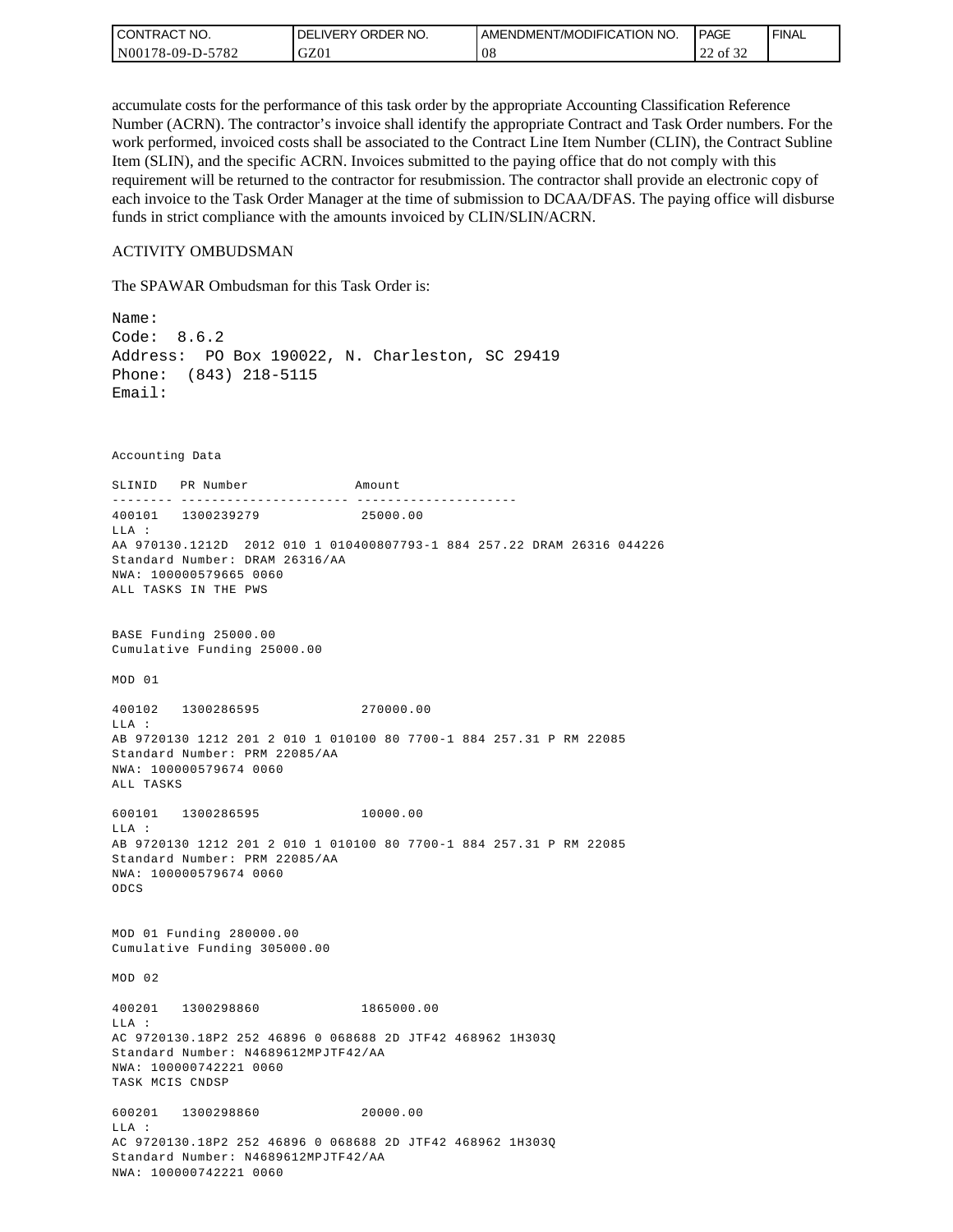| l CON <sup>-</sup><br>TRACT NO. | ORDER NO.<br>_IVERY<br>DELI | AMENDMENT/MODIFICATION NO. | PAGE                                       | ' FINAL |
|---------------------------------|-----------------------------|----------------------------|--------------------------------------------|---------|
| 5782<br>N00178-09-D-:           | GZ01                        | 08                         | $\sim$ $\sim$ $\sim$<br>$\sim$<br>22 of 32 |         |

accumulate costs for the performance of this task order by the appropriate Accounting Classification Reference Number (ACRN). The contractor's invoice shall identify the appropriate Contract and Task Order numbers. For the work performed, invoiced costs shall be associated to the Contract Line Item Number (CLIN), the Contract Subline Item (SLIN), and the specific ACRN. Invoices submitted to the paying office that do not comply with this requirement will be returned to the contractor for resubmission. The contractor shall provide an electronic copy of each invoice to the Task Order Manager at the time of submission to DCAA/DFAS. The paying office will disburse funds in strict compliance with the amounts invoiced by CLIN/SLIN/ACRN.

#### ACTIVITY OMBUDSMAN

The SPAWAR Ombudsman for this Task Order is:

Name: Code: 8.6.2 Address: PO Box 190022, N. Charleston, SC 29419 Phone: (843) 218-5115 Email: Accounting Data SLINID PR Number Amount -------- ---------------------- ---------------------400101 1300239279 25000.00 LLA : AA 970130.1212D 2012 010 1 010400807793-1 884 257.22 DRAM 26316 044226 Standard Number: DRAM 26316/AA NWA: 100000579665 0060 ALL TASKS IN THE PWS BASE Funding 25000.00 Cumulative Funding 25000.00 MOD 01 400102 1300286595 270000.00  $T.T.A$  : AB 9720130 1212 201 2 010 1 010100 80 7700-1 884 257.31 P RM 22085 Standard Number: PRM 22085/AA NWA: 100000579674 0060 ALL TASKS 600101 1300286595 10000.00 LLA : AB 9720130 1212 201 2 010 1 010100 80 7700-1 884 257.31 P RM 22085 Standard Number: PRM 22085/AA NWA: 100000579674 0060 ODCS MOD 01 Funding 280000.00 Cumulative Funding 305000.00 MOD 02 400201 1300298860 1865000.00 LLA : AC 9720130.18P2 252 46896 0 068688 2D JTF42 468962 1H303Q Standard Number: N4689612MPJTF42/AA NWA: 100000742221 0060 TASK MCIS CNDSP 600201 1300298860 20000.00 LLA : AC 9720130.18P2 252 46896 0 068688 2D JTF42 468962 1H303Q Standard Number: N4689612MPJTF42/AA NWA: 100000742221 0060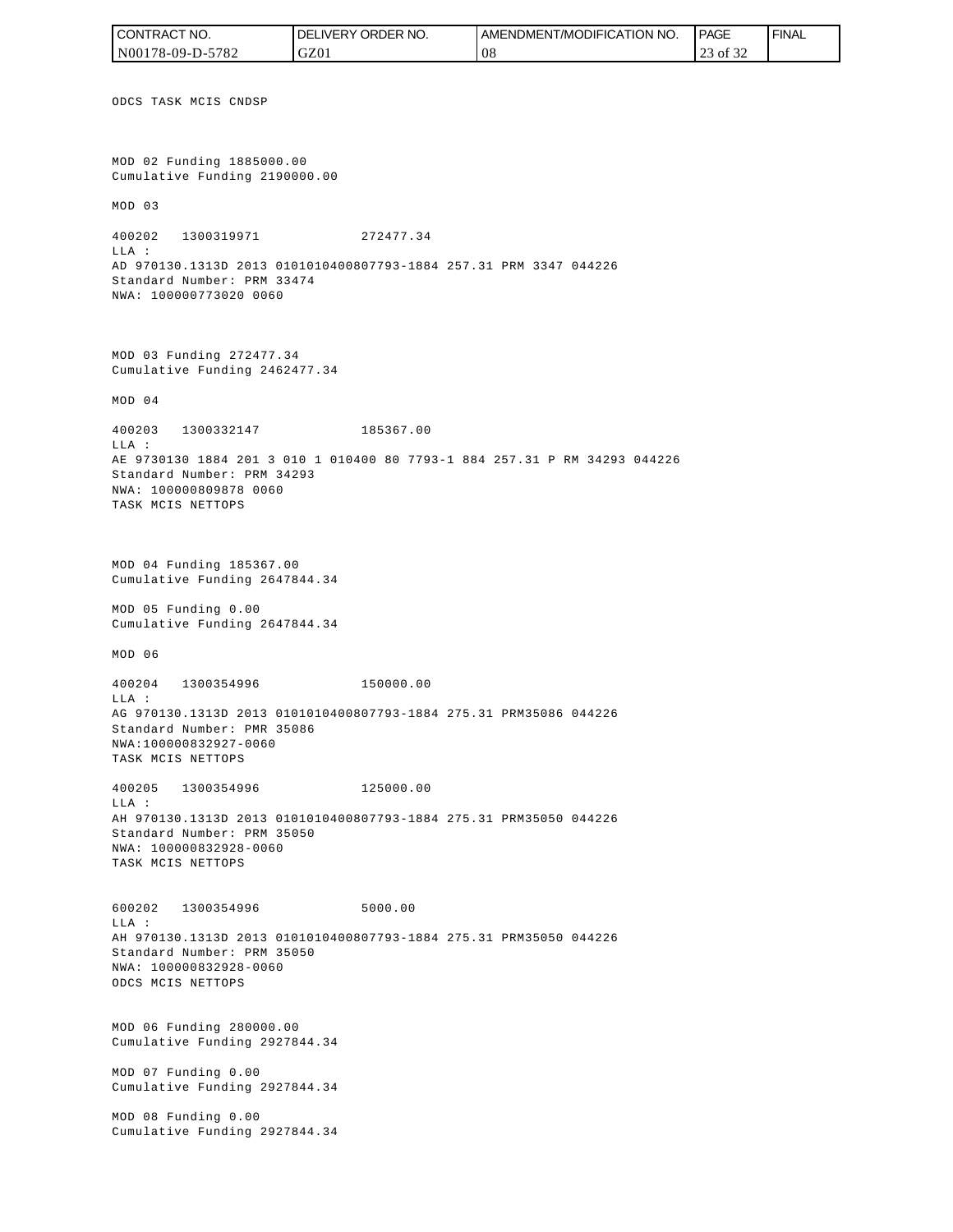ODCS TASK MCIS CNDSP MOD 02 Funding 1885000.00 Cumulative Funding 2190000.00 MOD 03 400202 1300319971 272477.34 LLA : AD 970130.1313D 2013 0101010400807793-1884 257.31 PRM 3347 044226 Standard Number: PRM 33474 NWA: 100000773020 0060 MOD 03 Funding 272477.34 Cumulative Funding 2462477.34 MOD 04 400203 1300332147 185367.00 LLA : AE 9730130 1884 201 3 010 1 010400 80 7793-1 884 257.31 P RM 34293 044226 Standard Number: PRM 34293 NWA: 100000809878 0060 TASK MCIS NETTOPS MOD 04 Funding 185367.00 Cumulative Funding 2647844.34 MOD 05 Funding 0.00 Cumulative Funding 2647844.34 MOD 06 400204 1300354996 150000.00 LLA : AG 970130.1313D 2013 0101010400807793-1884 275.31 PRM35086 044226 Standard Number: PMR 35086 NWA:100000832927-0060 TASK MCIS NETTOPS 400205 1300354996 125000.00 LLA : AH 970130.1313D 2013 0101010400807793-1884 275.31 PRM35050 044226 Standard Number: PRM 35050 NWA: 100000832928-0060 TASK MCIS NETTOPS 600202 1300354996 5000.00 LLA : AH 970130.1313D 2013 0101010400807793-1884 275.31 PRM35050 044226 Standard Number: PRM 35050 NWA: 100000832928-0060 ODCS MCIS NETTOPS MOD 06 Funding 280000.00 Cumulative Funding 2927844.34 MOD 07 Funding 0.00 Cumulative Funding 2927844.34 MOD 08 Funding 0.00 CONTRACT NO.<br>
NO0178-09-D-5782<br>
NOD0178-09-D-5782<br>
NOD02 Funding 1885000.00<br>
NOD02 Funding 2190000.00<br>
NOD02 1300319971<br>
LD 970130.1313D 2013 010101040<br>
NAD902 1300319971<br>
LD 970130.1313D 2013 010101040<br>
Standard Number: F N00178-09-D-5782 DELIVERY ORDER NO. GZ01 AMENDMENT/MODIFICATION NO. 08 **PAGE**  23 of 32 FINAL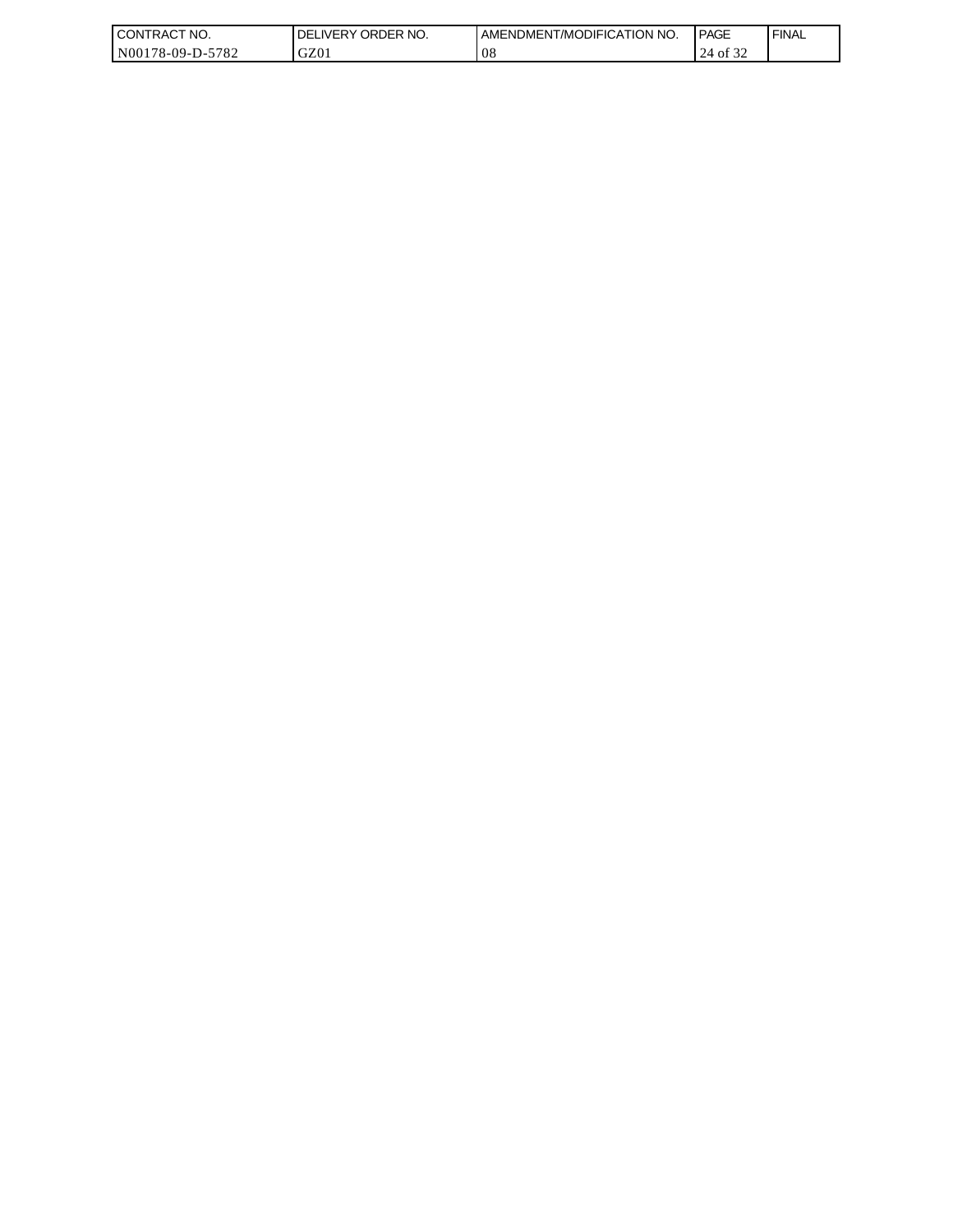| CONTRACT<br>'NO. | ORDER NO.<br><b>DELIVERY</b> | AMENDMENT/MODIFICATION NO. | <b>PAGE</b>     | ' FINAL |
|------------------|------------------------------|----------------------------|-----------------|---------|
| N00178-09-D-5782 | GZ01                         | 08                         | 24<br>0Ī<br>ے ر |         |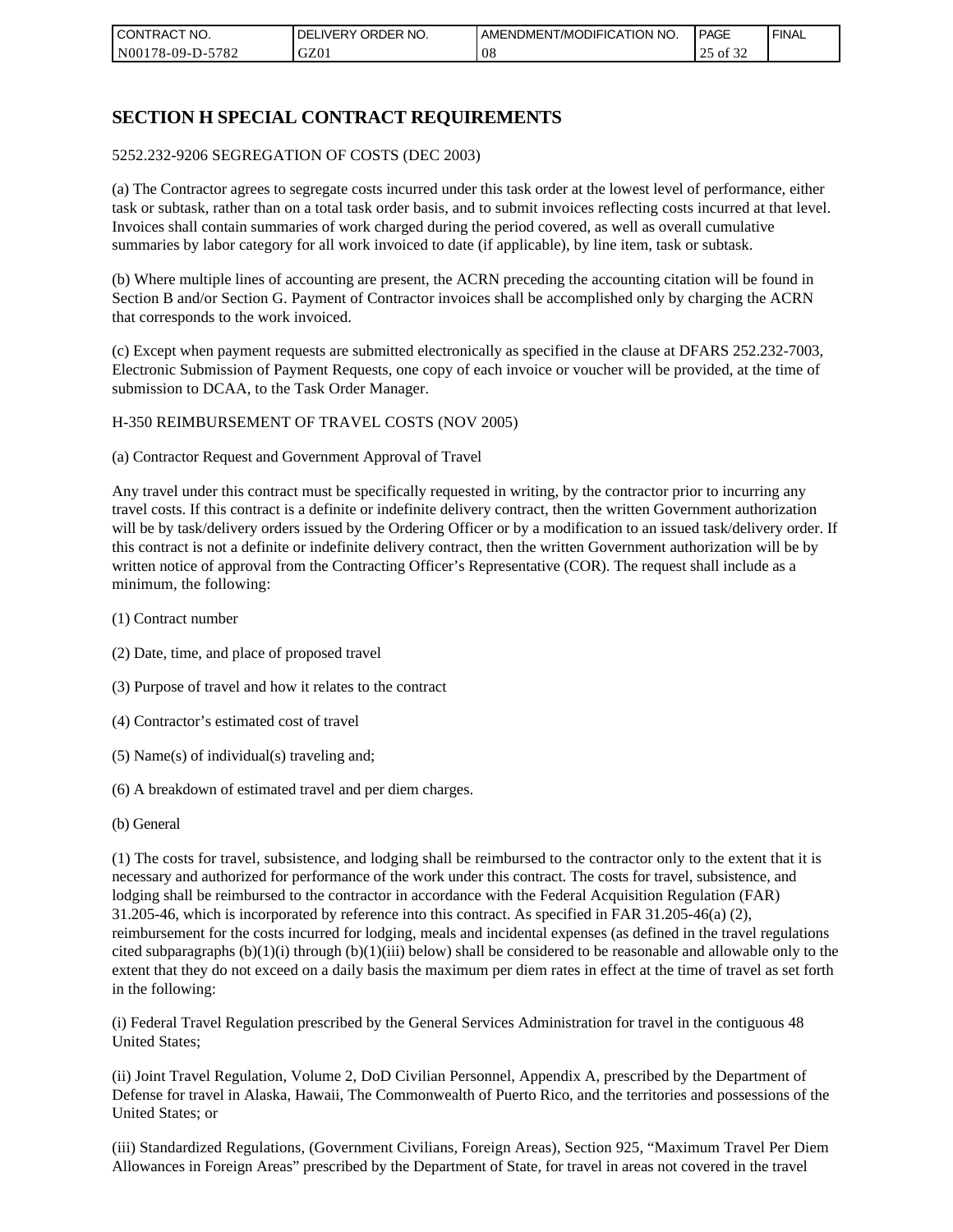| l CON <sup>-</sup><br>'TRACT NO. | NO.<br>ORDER<br>DELIVERY | AMENDMENT/MODIFICATION NO. | <b>I PAGE</b>       | ' FINAL |
|----------------------------------|--------------------------|----------------------------|---------------------|---------|
| N00178-09-D-5<br>$-5782$         | GZ01                     | 08                         | 0.22<br>of 32<br>رے |         |

# **SECTION H SPECIAL CONTRACT REQUIREMENTS**

#### 5252.232-9206 SEGREGATION OF COSTS (DEC 2003)

(a) The Contractor agrees to segregate costs incurred under this task order at the lowest level of performance, either task or subtask, rather than on a total task order basis, and to submit invoices reflecting costs incurred at that level. Invoices shall contain summaries of work charged during the period covered, as well as overall cumulative summaries by labor category for all work invoiced to date (if applicable), by line item, task or subtask.

(b) Where multiple lines of accounting are present, the ACRN preceding the accounting citation will be found in Section B and/or Section G. Payment of Contractor invoices shall be accomplished only by charging the ACRN that corresponds to the work invoiced.

(c) Except when payment requests are submitted electronically as specified in the clause at DFARS 252.232-7003, Electronic Submission of Payment Requests, one copy of each invoice or voucher will be provided, at the time of submission to DCAA, to the Task Order Manager.

#### H-350 REIMBURSEMENT OF TRAVEL COSTS (NOV 2005)

(a) Contractor Request and Government Approval of Travel

Any travel under this contract must be specifically requested in writing, by the contractor prior to incurring any travel costs. If this contract is a definite or indefinite delivery contract, then the written Government authorization will be by task/delivery orders issued by the Ordering Officer or by a modification to an issued task/delivery order. If this contract is not a definite or indefinite delivery contract, then the written Government authorization will be by written notice of approval from the Contracting Officer's Representative (COR). The request shall include as a minimum, the following:

- (1) Contract number
- (2) Date, time, and place of proposed travel
- (3) Purpose of travel and how it relates to the contract
- (4) Contractor's estimated cost of travel
- (5) Name(s) of individual(s) traveling and;
- (6) A breakdown of estimated travel and per diem charges.
- (b) General

(1) The costs for travel, subsistence, and lodging shall be reimbursed to the contractor only to the extent that it is necessary and authorized for performance of the work under this contract. The costs for travel, subsistence, and lodging shall be reimbursed to the contractor in accordance with the Federal Acquisition Regulation (FAR) 31.205-46, which is incorporated by reference into this contract. As specified in FAR 31.205-46(a) (2), reimbursement for the costs incurred for lodging, meals and incidental expenses (as defined in the travel regulations cited subparagraphs  $(b)(1)(i)$  through  $(b)(1)(iii)$  below) shall be considered to be reasonable and allowable only to the extent that they do not exceed on a daily basis the maximum per diem rates in effect at the time of travel as set forth in the following:

(i) Federal Travel Regulation prescribed by the General Services Administration for travel in the contiguous 48 United States;

(ii) Joint Travel Regulation, Volume 2, DoD Civilian Personnel, Appendix A, prescribed by the Department of Defense for travel in Alaska, Hawaii, The Commonwealth of Puerto Rico, and the territories and possessions of the United States; or

(iii) Standardized Regulations, (Government Civilians, Foreign Areas), Section 925, "Maximum Travel Per Diem Allowances in Foreign Areas" prescribed by the Department of State, for travel in areas not covered in the travel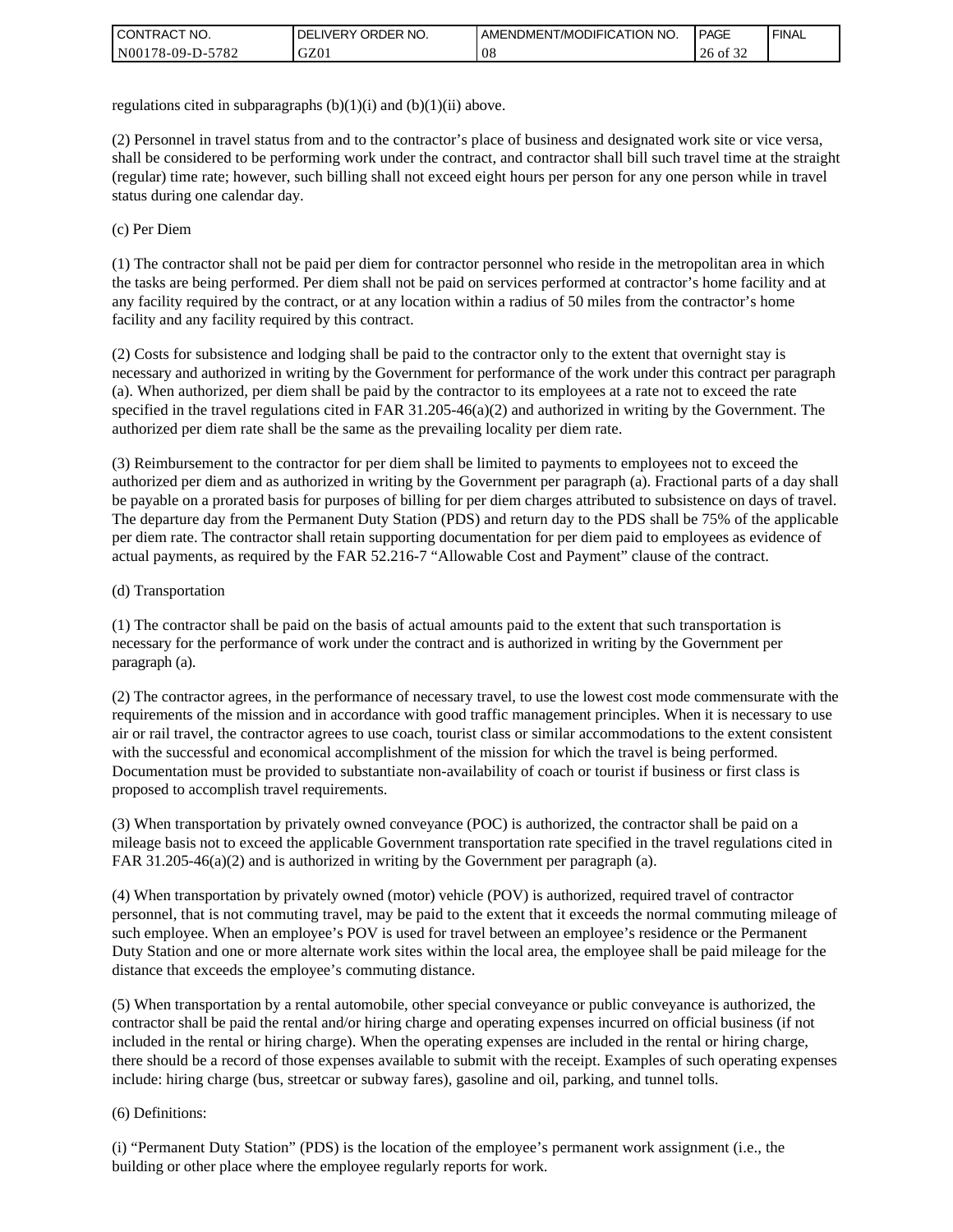| I CONTRACT NO.   | ' ORDER NO.<br><b>DELIVERY</b> | <b>LAMENDMENT/MODIFICATION NO.</b> | PAGE                | <b>FINAL</b> |
|------------------|--------------------------------|------------------------------------|---------------------|--------------|
| N00178-09-D-5782 | GZ01                           | -08                                | 26<br>$\cdot$ of 3. |              |

regulations cited in subparagraphs  $(b)(1)(i)$  and  $(b)(1)(ii)$  above.

(2) Personnel in travel status from and to the contractor's place of business and designated work site or vice versa, shall be considered to be performing work under the contract, and contractor shall bill such travel time at the straight (regular) time rate; however, such billing shall not exceed eight hours per person for any one person while in travel status during one calendar day.

(c) Per Diem

(1) The contractor shall not be paid per diem for contractor personnel who reside in the metropolitan area in which the tasks are being performed. Per diem shall not be paid on services performed at contractor's home facility and at any facility required by the contract, or at any location within a radius of 50 miles from the contractor's home facility and any facility required by this contract.

(2) Costs for subsistence and lodging shall be paid to the contractor only to the extent that overnight stay is necessary and authorized in writing by the Government for performance of the work under this contract per paragraph (a). When authorized, per diem shall be paid by the contractor to its employees at a rate not to exceed the rate specified in the travel regulations cited in FAR 31.205-46(a)(2) and authorized in writing by the Government. The authorized per diem rate shall be the same as the prevailing locality per diem rate.

(3) Reimbursement to the contractor for per diem shall be limited to payments to employees not to exceed the authorized per diem and as authorized in writing by the Government per paragraph (a). Fractional parts of a day shall be payable on a prorated basis for purposes of billing for per diem charges attributed to subsistence on days of travel. The departure day from the Permanent Duty Station (PDS) and return day to the PDS shall be 75% of the applicable per diem rate. The contractor shall retain supporting documentation for per diem paid to employees as evidence of actual payments, as required by the FAR 52.216-7 "Allowable Cost and Payment" clause of the contract.

#### (d) Transportation

(1) The contractor shall be paid on the basis of actual amounts paid to the extent that such transportation is necessary for the performance of work under the contract and is authorized in writing by the Government per paragraph (a).

(2) The contractor agrees, in the performance of necessary travel, to use the lowest cost mode commensurate with the requirements of the mission and in accordance with good traffic management principles. When it is necessary to use air or rail travel, the contractor agrees to use coach, tourist class or similar accommodations to the extent consistent with the successful and economical accomplishment of the mission for which the travel is being performed. Documentation must be provided to substantiate non-availability of coach or tourist if business or first class is proposed to accomplish travel requirements.

(3) When transportation by privately owned conveyance (POC) is authorized, the contractor shall be paid on a mileage basis not to exceed the applicable Government transportation rate specified in the travel regulations cited in FAR 31.205-46(a)(2) and is authorized in writing by the Government per paragraph (a).

(4) When transportation by privately owned (motor) vehicle (POV) is authorized, required travel of contractor personnel, that is not commuting travel, may be paid to the extent that it exceeds the normal commuting mileage of such employee. When an employee's POV is used for travel between an employee's residence or the Permanent Duty Station and one or more alternate work sites within the local area, the employee shall be paid mileage for the distance that exceeds the employee's commuting distance.

(5) When transportation by a rental automobile, other special conveyance or public conveyance is authorized, the contractor shall be paid the rental and/or hiring charge and operating expenses incurred on official business (if not included in the rental or hiring charge). When the operating expenses are included in the rental or hiring charge, there should be a record of those expenses available to submit with the receipt. Examples of such operating expenses include: hiring charge (bus, streetcar or subway fares), gasoline and oil, parking, and tunnel tolls.

#### (6) Definitions:

(i) "Permanent Duty Station" (PDS) is the location of the employee's permanent work assignment (i.e., the building or other place where the employee regularly reports for work.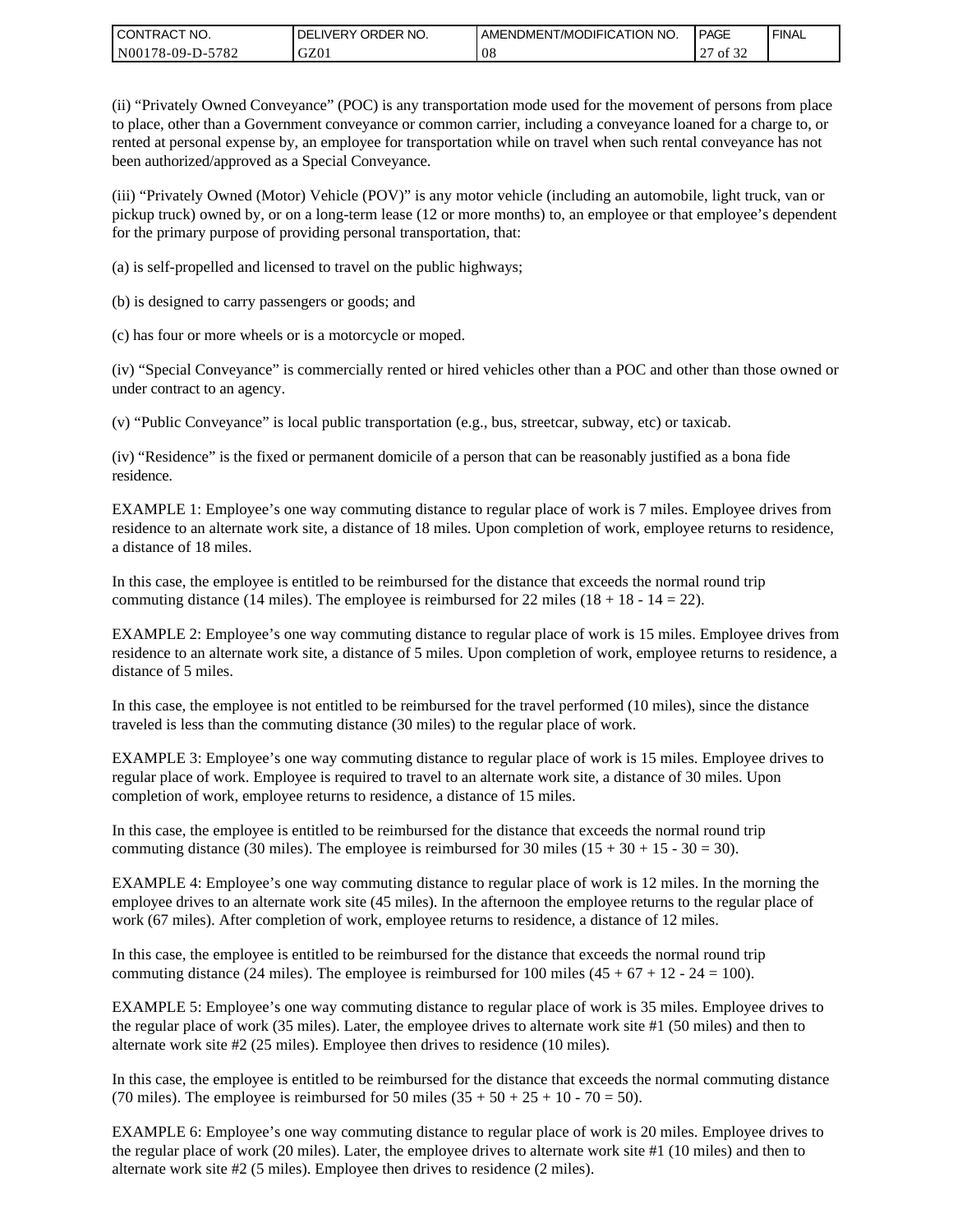| I CONTRACT NO.   | ORDER NO.<br><b>DELIVERY</b> | AMENDMENT/MODIFICATION NO. | PAGE  | ' FINAL |
|------------------|------------------------------|----------------------------|-------|---------|
| N00178-09-D-5782 | GZ0 <sub>1</sub>             | 08                         | of 32 |         |

(ii) "Privately Owned Conveyance" (POC) is any transportation mode used for the movement of persons from place to place, other than a Government conveyance or common carrier, including a conveyance loaned for a charge to, or rented at personal expense by, an employee for transportation while on travel when such rental conveyance has not been authorized/approved as a Special Conveyance.

(iii) "Privately Owned (Motor) Vehicle (POV)" is any motor vehicle (including an automobile, light truck, van or pickup truck) owned by, or on a long-term lease (12 or more months) to, an employee or that employee's dependent for the primary purpose of providing personal transportation, that:

(a) is self-propelled and licensed to travel on the public highways;

(b) is designed to carry passengers or goods; and

(c) has four or more wheels or is a motorcycle or moped.

(iv) "Special Conveyance" is commercially rented or hired vehicles other than a POC and other than those owned or under contract to an agency.

(v) "Public Conveyance" is local public transportation (e.g., bus, streetcar, subway, etc) or taxicab.

(iv) "Residence" is the fixed or permanent domicile of a person that can be reasonably justified as a bona fide residence.

EXAMPLE 1: Employee's one way commuting distance to regular place of work is 7 miles. Employee drives from residence to an alternate work site, a distance of 18 miles. Upon completion of work, employee returns to residence, a distance of 18 miles.

In this case, the employee is entitled to be reimbursed for the distance that exceeds the normal round trip commuting distance (14 miles). The employee is reimbursed for 22 miles (18 + 18 - 14 = 22).

EXAMPLE 2: Employee's one way commuting distance to regular place of work is 15 miles. Employee drives from residence to an alternate work site, a distance of 5 miles. Upon completion of work, employee returns to residence, a distance of 5 miles.

In this case, the employee is not entitled to be reimbursed for the travel performed (10 miles), since the distance traveled is less than the commuting distance (30 miles) to the regular place of work.

EXAMPLE 3: Employee's one way commuting distance to regular place of work is 15 miles. Employee drives to regular place of work. Employee is required to travel to an alternate work site, a distance of 30 miles. Upon completion of work, employee returns to residence, a distance of 15 miles.

In this case, the employee is entitled to be reimbursed for the distance that exceeds the normal round trip commuting distance (30 miles). The employee is reimbursed for 30 miles  $(15 + 30 + 15 - 30 = 30)$ .

EXAMPLE 4: Employee's one way commuting distance to regular place of work is 12 miles. In the morning the employee drives to an alternate work site (45 miles). In the afternoon the employee returns to the regular place of work (67 miles). After completion of work, employee returns to residence, a distance of 12 miles.

In this case, the employee is entitled to be reimbursed for the distance that exceeds the normal round trip commuting distance (24 miles). The employee is reimbursed for 100 miles  $(45 + 67 + 12 - 24 = 100)$ .

EXAMPLE 5: Employee's one way commuting distance to regular place of work is 35 miles. Employee drives to the regular place of work (35 miles). Later, the employee drives to alternate work site #1 (50 miles) and then to alternate work site #2 (25 miles). Employee then drives to residence (10 miles).

In this case, the employee is entitled to be reimbursed for the distance that exceeds the normal commuting distance (70 miles). The employee is reimbursed for 50 miles  $(35 + 50 + 25 + 10 - 70 = 50)$ .

EXAMPLE 6: Employee's one way commuting distance to regular place of work is 20 miles. Employee drives to the regular place of work (20 miles). Later, the employee drives to alternate work site #1 (10 miles) and then to alternate work site #2 (5 miles). Employee then drives to residence (2 miles).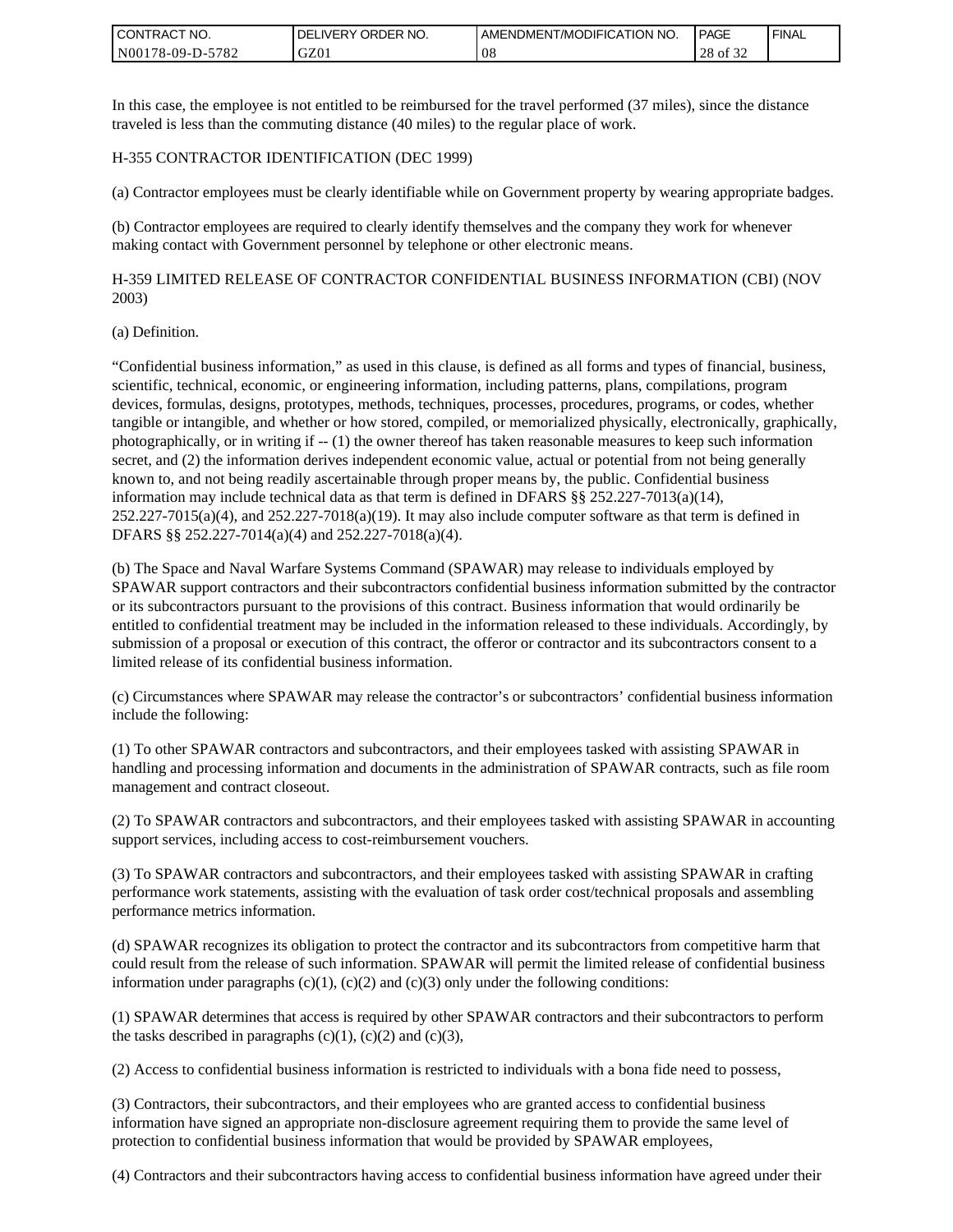| <b>CONTRACT NO.</b> | ' ORDER NO.<br><b>DELIVERY</b> | I AMENDMENT/MODIFICATION NO. | PAGE            | ' FINAL |
|---------------------|--------------------------------|------------------------------|-----------------|---------|
| N00178-09-D-5782    | GZ0 <sub>1</sub>               | 08                           | 28<br>οt<br>-24 |         |

In this case, the employee is not entitled to be reimbursed for the travel performed (37 miles), since the distance traveled is less than the commuting distance (40 miles) to the regular place of work.

#### H-355 CONTRACTOR IDENTIFICATION (DEC 1999)

(a) Contractor employees must be clearly identifiable while on Government property by wearing appropriate badges.

(b) Contractor employees are required to clearly identify themselves and the company they work for whenever making contact with Government personnel by telephone or other electronic means.

H-359 LIMITED RELEASE OF CONTRACTOR CONFIDENTIAL BUSINESS INFORMATION (CBI) (NOV 2003)

#### (a) Definition.

"Confidential business information," as used in this clause, is defined as all forms and types of financial, business, scientific, technical, economic, or engineering information, including patterns, plans, compilations, program devices, formulas, designs, prototypes, methods, techniques, processes, procedures, programs, or codes, whether tangible or intangible, and whether or how stored, compiled, or memorialized physically, electronically, graphically, photographically, or in writing if -- (1) the owner thereof has taken reasonable measures to keep such information secret, and (2) the information derives independent economic value, actual or potential from not being generally known to, and not being readily ascertainable through proper means by, the public. Confidential business information may include technical data as that term is defined in DFARS §§ 252.227-7013(a)(14),  $252.227-7015(a)(4)$ , and  $252.227-7018(a)(19)$ . It may also include computer software as that term is defined in DFARS §§ 252.227-7014(a)(4) and 252.227-7018(a)(4).

(b) The Space and Naval Warfare Systems Command (SPAWAR) may release to individuals employed by SPAWAR support contractors and their subcontractors confidential business information submitted by the contractor or its subcontractors pursuant to the provisions of this contract. Business information that would ordinarily be entitled to confidential treatment may be included in the information released to these individuals. Accordingly, by submission of a proposal or execution of this contract, the offeror or contractor and its subcontractors consent to a limited release of its confidential business information.

(c) Circumstances where SPAWAR may release the contractor's or subcontractors' confidential business information include the following:

(1) To other SPAWAR contractors and subcontractors, and their employees tasked with assisting SPAWAR in handling and processing information and documents in the administration of SPAWAR contracts, such as file room management and contract closeout.

(2) To SPAWAR contractors and subcontractors, and their employees tasked with assisting SPAWAR in accounting support services, including access to cost-reimbursement vouchers.

(3) To SPAWAR contractors and subcontractors, and their employees tasked with assisting SPAWAR in crafting performance work statements, assisting with the evaluation of task order cost/technical proposals and assembling performance metrics information.

(d) SPAWAR recognizes its obligation to protect the contractor and its subcontractors from competitive harm that could result from the release of such information. SPAWAR will permit the limited release of confidential business information under paragraphs  $(c)(1)$ ,  $(c)(2)$  and  $(c)(3)$  only under the following conditions:

(1) SPAWAR determines that access is required by other SPAWAR contractors and their subcontractors to perform the tasks described in paragraphs  $(c)(1)$ ,  $(c)(2)$  and  $(c)(3)$ ,

(2) Access to confidential business information is restricted to individuals with a bona fide need to possess,

(3) Contractors, their subcontractors, and their employees who are granted access to confidential business information have signed an appropriate non-disclosure agreement requiring them to provide the same level of protection to confidential business information that would be provided by SPAWAR employees,

(4) Contractors and their subcontractors having access to confidential business information have agreed under their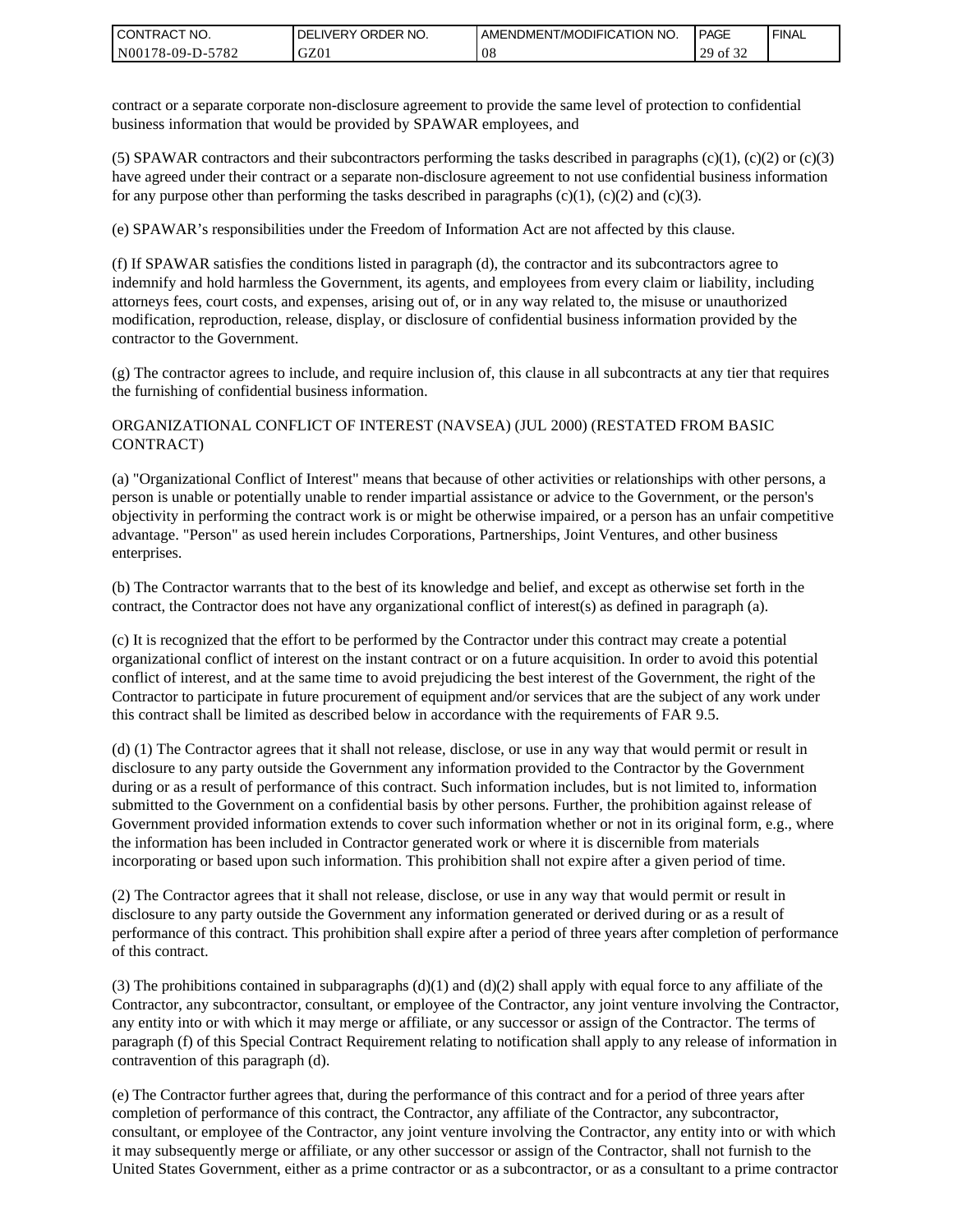| <b>CONTRACT NO.</b> | ' ORDER NO.<br><b>DELIVERY</b> | AMENDMENT/MODIFICATION NO. | <b>PAGE</b>                    | ' FINAL |
|---------------------|--------------------------------|----------------------------|--------------------------------|---------|
| N00178-09-D-5782    | GZ01                           | 08                         | 0.22<br>20<br>0Ī<br>ر _<br>ے ر |         |

contract or a separate corporate non-disclosure agreement to provide the same level of protection to confidential business information that would be provided by SPAWAR employees, and

(5) SPAWAR contractors and their subcontractors performing the tasks described in paragraphs  $(c)(1)$ ,  $(c)(2)$  or  $(c)(3)$ have agreed under their contract or a separate non-disclosure agreement to not use confidential business information for any purpose other than performing the tasks described in paragraphs  $(c)(1)$ ,  $(c)(2)$  and  $(c)(3)$ .

(e) SPAWAR's responsibilities under the Freedom of Information Act are not affected by this clause.

(f) If SPAWAR satisfies the conditions listed in paragraph (d), the contractor and its subcontractors agree to indemnify and hold harmless the Government, its agents, and employees from every claim or liability, including attorneys fees, court costs, and expenses, arising out of, or in any way related to, the misuse or unauthorized modification, reproduction, release, display, or disclosure of confidential business information provided by the contractor to the Government.

(g) The contractor agrees to include, and require inclusion of, this clause in all subcontracts at any tier that requires the furnishing of confidential business information.

#### ORGANIZATIONAL CONFLICT OF INTEREST (NAVSEA) (JUL 2000) (RESTATED FROM BASIC CONTRACT)

(a) "Organizational Conflict of Interest" means that because of other activities or relationships with other persons, a person is unable or potentially unable to render impartial assistance or advice to the Government, or the person's objectivity in performing the contract work is or might be otherwise impaired, or a person has an unfair competitive advantage. "Person" as used herein includes Corporations, Partnerships, Joint Ventures, and other business enterprises.

(b) The Contractor warrants that to the best of its knowledge and belief, and except as otherwise set forth in the contract, the Contractor does not have any organizational conflict of interest(s) as defined in paragraph (a).

(c) It is recognized that the effort to be performed by the Contractor under this contract may create a potential organizational conflict of interest on the instant contract or on a future acquisition. In order to avoid this potential conflict of interest, and at the same time to avoid prejudicing the best interest of the Government, the right of the Contractor to participate in future procurement of equipment and/or services that are the subject of any work under this contract shall be limited as described below in accordance with the requirements of FAR 9.5.

(d) (1) The Contractor agrees that it shall not release, disclose, or use in any way that would permit or result in disclosure to any party outside the Government any information provided to the Contractor by the Government during or as a result of performance of this contract. Such information includes, but is not limited to, information submitted to the Government on a confidential basis by other persons. Further, the prohibition against release of Government provided information extends to cover such information whether or not in its original form, e.g., where the information has been included in Contractor generated work or where it is discernible from materials incorporating or based upon such information. This prohibition shall not expire after a given period of time.

(2) The Contractor agrees that it shall not release, disclose, or use in any way that would permit or result in disclosure to any party outside the Government any information generated or derived during or as a result of performance of this contract. This prohibition shall expire after a period of three years after completion of performance of this contract.

(3) The prohibitions contained in subparagraphs  $(d)(1)$  and  $(d)(2)$  shall apply with equal force to any affiliate of the Contractor, any subcontractor, consultant, or employee of the Contractor, any joint venture involving the Contractor, any entity into or with which it may merge or affiliate, or any successor or assign of the Contractor. The terms of paragraph (f) of this Special Contract Requirement relating to notification shall apply to any release of information in contravention of this paragraph (d).

(e) The Contractor further agrees that, during the performance of this contract and for a period of three years after completion of performance of this contract, the Contractor, any affiliate of the Contractor, any subcontractor, consultant, or employee of the Contractor, any joint venture involving the Contractor, any entity into or with which it may subsequently merge or affiliate, or any other successor or assign of the Contractor, shall not furnish to the United States Government, either as a prime contractor or as a subcontractor, or as a consultant to a prime contractor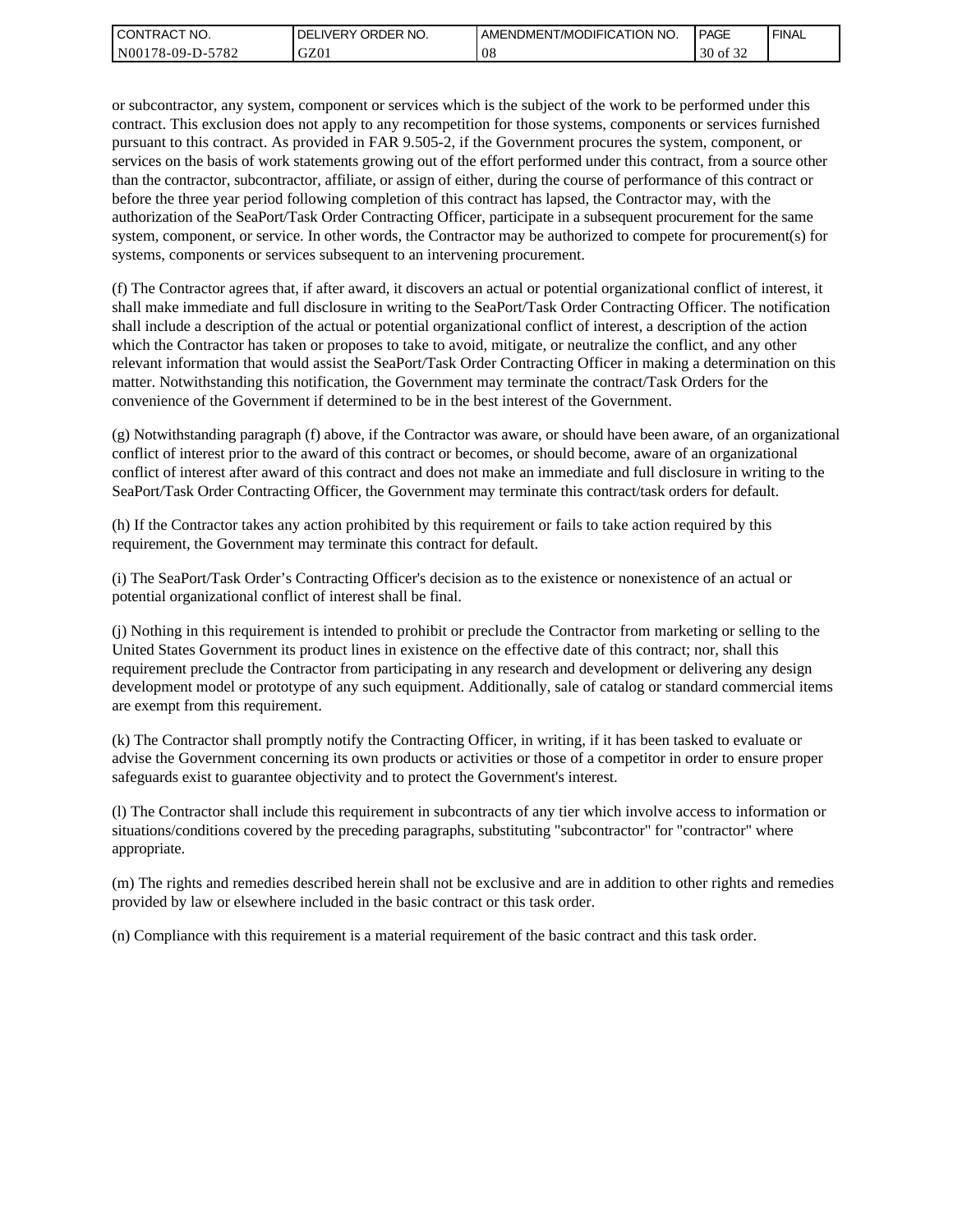| l CON <sup>-</sup><br>'TRACT NO. | ORDER<br>NO.<br>.IVERY<br>DELI | AMENDMENT/MODIFICATION NO. | <b>PAGE</b>                         | ' FINAL |
|----------------------------------|--------------------------------|----------------------------|-------------------------------------|---------|
| 5782<br>N00178-09-D-5            | GZ01                           | 08                         | 0.22<br>$\Omega$<br>ΟĪ<br>3U<br>ے ر |         |

or subcontractor, any system, component or services which is the subject of the work to be performed under this contract. This exclusion does not apply to any recompetition for those systems, components or services furnished pursuant to this contract. As provided in FAR 9.505-2, if the Government procures the system, component, or services on the basis of work statements growing out of the effort performed under this contract, from a source other than the contractor, subcontractor, affiliate, or assign of either, during the course of performance of this contract or before the three year period following completion of this contract has lapsed, the Contractor may, with the authorization of the SeaPort/Task Order Contracting Officer, participate in a subsequent procurement for the same system, component, or service. In other words, the Contractor may be authorized to compete for procurement(s) for systems, components or services subsequent to an intervening procurement.

(f) The Contractor agrees that, if after award, it discovers an actual or potential organizational conflict of interest, it shall make immediate and full disclosure in writing to the SeaPort/Task Order Contracting Officer. The notification shall include a description of the actual or potential organizational conflict of interest, a description of the action which the Contractor has taken or proposes to take to avoid, mitigate, or neutralize the conflict, and any other relevant information that would assist the SeaPort/Task Order Contracting Officer in making a determination on this matter. Notwithstanding this notification, the Government may terminate the contract/Task Orders for the convenience of the Government if determined to be in the best interest of the Government.

(g) Notwithstanding paragraph (f) above, if the Contractor was aware, or should have been aware, of an organizational conflict of interest prior to the award of this contract or becomes, or should become, aware of an organizational conflict of interest after award of this contract and does not make an immediate and full disclosure in writing to the SeaPort/Task Order Contracting Officer, the Government may terminate this contract/task orders for default.

(h) If the Contractor takes any action prohibited by this requirement or fails to take action required by this requirement, the Government may terminate this contract for default.

(i) The SeaPort/Task Order's Contracting Officer's decision as to the existence or nonexistence of an actual or potential organizational conflict of interest shall be final.

(j) Nothing in this requirement is intended to prohibit or preclude the Contractor from marketing or selling to the United States Government its product lines in existence on the effective date of this contract; nor, shall this requirement preclude the Contractor from participating in any research and development or delivering any design development model or prototype of any such equipment. Additionally, sale of catalog or standard commercial items are exempt from this requirement.

(k) The Contractor shall promptly notify the Contracting Officer, in writing, if it has been tasked to evaluate or advise the Government concerning its own products or activities or those of a competitor in order to ensure proper safeguards exist to guarantee objectivity and to protect the Government's interest.

(l) The Contractor shall include this requirement in subcontracts of any tier which involve access to information or situations/conditions covered by the preceding paragraphs, substituting "subcontractor" for "contractor" where appropriate.

(m) The rights and remedies described herein shall not be exclusive and are in addition to other rights and remedies provided by law or elsewhere included in the basic contract or this task order.

(n) Compliance with this requirement is a material requirement of the basic contract and this task order.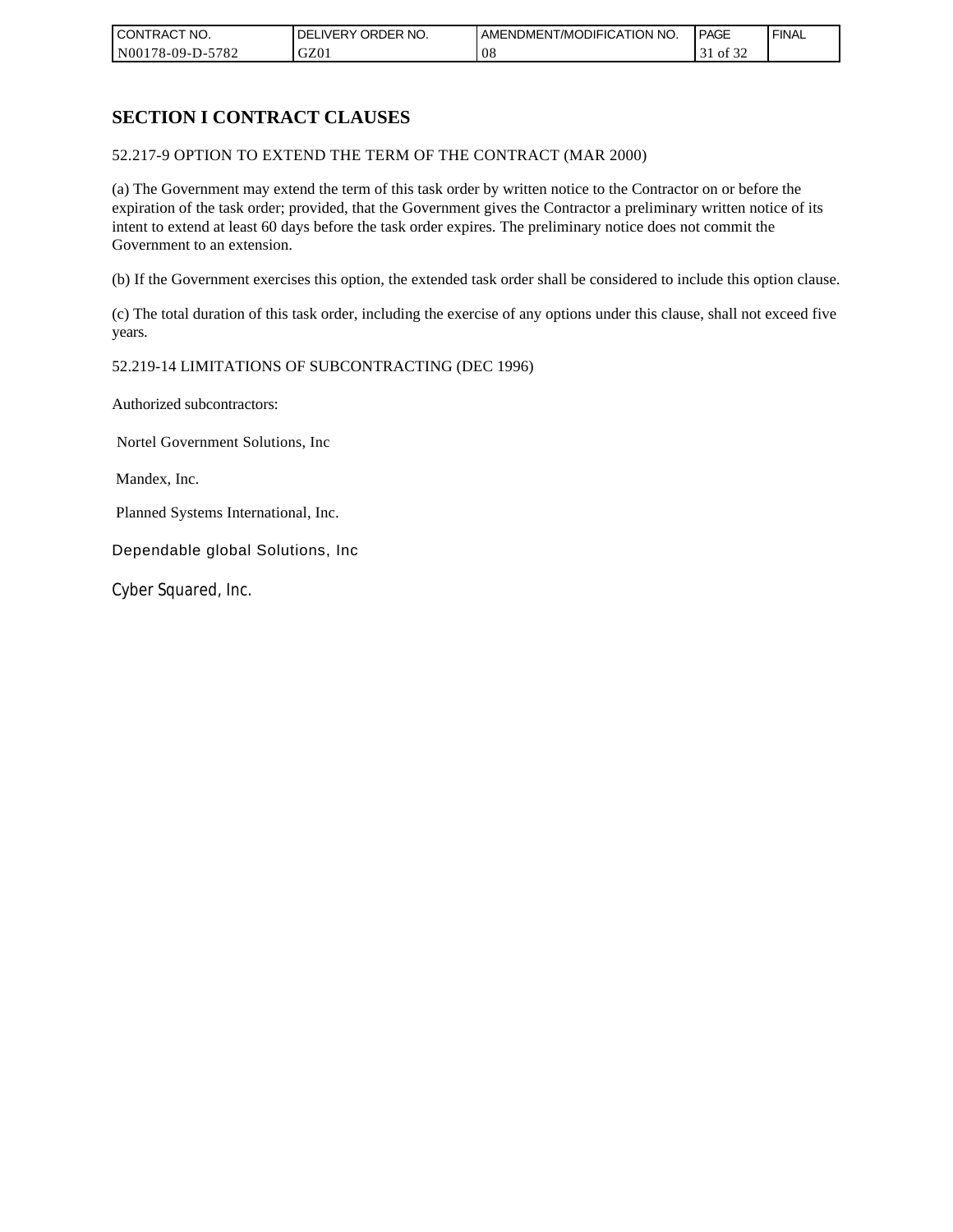| CONTRACT NO.     | ORDER<br>NO.<br><b>DELIVERY</b> | AMENDMENT/MODIFICATION NO. | PAGE             | <b>FINAL</b> |
|------------------|---------------------------------|----------------------------|------------------|--------------|
| N00178-09-D-5782 | GZ01                            | 08                         | 0Ī<br>-51<br>ے ر |              |

# **SECTION I CONTRACT CLAUSES**

52.217-9 OPTION TO EXTEND THE TERM OF THE CONTRACT (MAR 2000)

(a) The Government may extend the term of this task order by written notice to the Contractor on or before the expiration of the task order; provided, that the Government gives the Contractor a preliminary written notice of its intent to extend at least 60 days before the task order expires. The preliminary notice does not commit the Government to an extension.

(b) If the Government exercises this option, the extended task order shall be considered to include this option clause.

(c) The total duration of this task order, including the exercise of any options under this clause, shall not exceed five years.

#### 52.219-14 LIMITATIONS OF SUBCONTRACTING (DEC 1996)

Authorized subcontractors:

Nortel Government Solutions, Inc

Mandex, Inc.

Planned Systems International, Inc.

Dependable global Solutions, Inc

Cyber Squared, Inc.